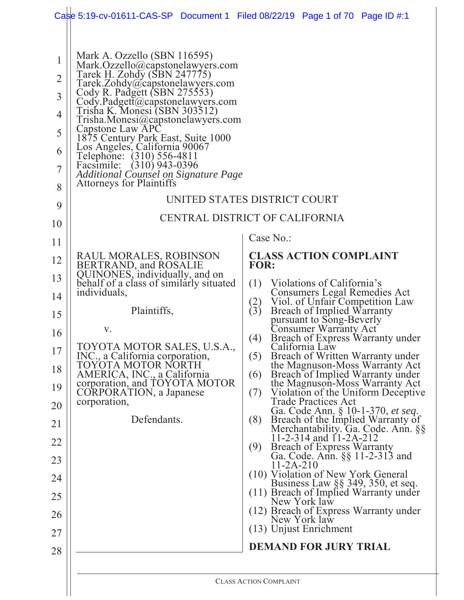|                                                           | Case 5:19-cv-01611-CAS-SP Document 1 Filed 08/22/19 Page 1 of 70 Page ID $\#$ :1                                                                                                                                                                                                                                                                                                                                                                                          |                                                                                                                     |
|-----------------------------------------------------------|---------------------------------------------------------------------------------------------------------------------------------------------------------------------------------------------------------------------------------------------------------------------------------------------------------------------------------------------------------------------------------------------------------------------------------------------------------------------------|---------------------------------------------------------------------------------------------------------------------|
| 1<br>$\overline{2}$<br>3<br>4<br>5<br>6<br>$\overline{7}$ | Mark A. Ozzello (SBN 116595)<br>Mark.Ozzello@capstonelawyers.com<br>Tarek H. Zohdy (SBN 247775)<br>Tarek.Zohdy@capstonelawyers.com<br>Cody R. Padgett (SBN 275553)<br>Cody.Padgett@capstonelawyers.com<br>Trisha K. Monesi (SBN 303512)<br>Trisha.Monesi@capstonelawyers.com<br>Capstone Law APC<br>1875 Century Park East, Suite 1000<br>Los Angeles, California 90067<br>Telephone: (310) 556-4811<br>Facsimile: (310) 943-0396<br>Additional Counsel on Signature Page |                                                                                                                     |
| 8                                                         | <b>Attorneys for Plaintiffs</b>                                                                                                                                                                                                                                                                                                                                                                                                                                           |                                                                                                                     |
| 9                                                         |                                                                                                                                                                                                                                                                                                                                                                                                                                                                           | UNITED STATES DISTRICT COURT                                                                                        |
| 10                                                        |                                                                                                                                                                                                                                                                                                                                                                                                                                                                           | CENTRAL DISTRICT OF CALIFORNIA                                                                                      |
| 11                                                        |                                                                                                                                                                                                                                                                                                                                                                                                                                                                           | Case No.:                                                                                                           |
| 12                                                        | RAUL MORALES, ROBINSON<br>BERTRAND, and ROSALIE<br>QUINONES, individually, and on                                                                                                                                                                                                                                                                                                                                                                                         | <b>CLASS ACTION COMPLAINT</b><br><b>FOR:</b>                                                                        |
| 13                                                        | behalf of a class of similarly situated                                                                                                                                                                                                                                                                                                                                                                                                                                   | Violations of California's<br>(1)                                                                                   |
| 14                                                        | individuals,                                                                                                                                                                                                                                                                                                                                                                                                                                                              | Consumers Legal Remedies Act<br>Viol. of Unfair Competition Law<br>$\binom{2}{3}$                                   |
| 15                                                        | Plaintiffs,                                                                                                                                                                                                                                                                                                                                                                                                                                                               | <b>Breach of Implied Warranty</b><br>pursuant to Song-Beverly<br>Consumer Warranty Act                              |
| 16                                                        | V.<br>TOYOTA MOTOR SALES, U.S.A.,                                                                                                                                                                                                                                                                                                                                                                                                                                         | Breach of Express Warranty under<br>(4)<br>California Law                                                           |
| 17                                                        | INC., a California corporation,<br>TOYOTA MOTOR NORTH                                                                                                                                                                                                                                                                                                                                                                                                                     | (5)<br>Breach of Written Warranty under<br>the Magnuson-Moss Warranty Act                                           |
| 18                                                        | AMERICA, INC., a California<br>corporation, and TOYOTA MOTOR                                                                                                                                                                                                                                                                                                                                                                                                              | Breach of Implied Warranty under<br>(6)<br>the Magnuson-Moss Warranty Act                                           |
| 19<br>20                                                  | CORPORATION, a Japanese<br>corporation,                                                                                                                                                                                                                                                                                                                                                                                                                                   | (7)<br>Violation of the Uniform Deceptive<br><b>Trade Practices Act</b>                                             |
| 21                                                        | Defendants.                                                                                                                                                                                                                                                                                                                                                                                                                                                               | Ga. Code Ann. § 10-1-370, et seq.<br>(8)<br>Breach of the Implied Warranty of<br>Merchantability. Ga. Code. Ann. §§ |
| 22                                                        |                                                                                                                                                                                                                                                                                                                                                                                                                                                                           | 11-2-314 and $11-2A-212$<br><b>Breach of Express Warranty</b><br>(9)                                                |
| 23                                                        |                                                                                                                                                                                                                                                                                                                                                                                                                                                                           | Ga. Code. Ann. §§ 11-2-313 and<br>$11 - 2A - 210$                                                                   |
| 24                                                        |                                                                                                                                                                                                                                                                                                                                                                                                                                                                           | (10) Violation of New York General<br>Business Law §§ 349, 350, et seq.                                             |
| 25                                                        |                                                                                                                                                                                                                                                                                                                                                                                                                                                                           | (11) Breach of Implied Warranty under<br>New York law                                                               |
| 26                                                        |                                                                                                                                                                                                                                                                                                                                                                                                                                                                           | (12) Breach of Express Warranty under<br>New York law                                                               |
| 27                                                        |                                                                                                                                                                                                                                                                                                                                                                                                                                                                           | (13) Unjust Enrichment                                                                                              |
| 28                                                        |                                                                                                                                                                                                                                                                                                                                                                                                                                                                           | <b>DEMAND FOR JURY TRIAL</b>                                                                                        |
|                                                           |                                                                                                                                                                                                                                                                                                                                                                                                                                                                           | <b>CLASS ACTION COMPLAINT</b>                                                                                       |
|                                                           |                                                                                                                                                                                                                                                                                                                                                                                                                                                                           |                                                                                                                     |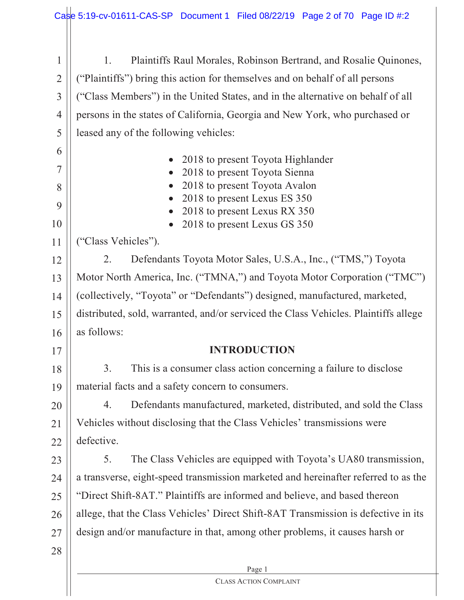Page 1 1 2 3 4 5 6 7 8 9 10 11 12 13 14 15 16 17 18 19 20 21 22 23 24 25 26 27 28 1. Plaintiffs Raul Morales, Robinson Bertrand, and Rosalie Quinones, ("Plaintiffs") bring this action for themselves and on behalf of all persons ("Class Members") in the United States, and in the alternative on behalf of all persons in the states of California, Georgia and New York, who purchased or leased any of the following vehicles: • 2018 to present Toyota Highlander  $\bullet$  2018 to present Toyota Sienna  $\bullet$  2018 to present Toyota Avalon  $\bullet$  2018 to present Lexus ES 350  $\bullet$  2018 to present Lexus RX 350  $\bullet$  2018 to present Lexus GS 350 ("Class Vehicles"). 2. Defendants Toyota Motor Sales, U.S.A., Inc., ("TMS,") Toyota Motor North America, Inc. ("TMNA,") and Toyota Motor Corporation ("TMC") (collectively, "Toyota" or "Defendants") designed, manufactured, marketed, distributed, sold, warranted, and/or serviced the Class Vehicles. Plaintiffs allege as follows: **INTRODUCTION** 3. This is a consumer class action concerning a failure to disclose material facts and a safety concern to consumers. 4. Defendants manufactured, marketed, distributed, and sold the Class Vehicles without disclosing that the Class Vehicles' transmissions were defective. 5. The Class Vehicles are equipped with Toyota's UA80 transmission, a transverse, eight-speed transmission marketed and hereinafter referred to as the "Direct Shift-8AT." Plaintiffs are informed and believe, and based thereon allege, that the Class Vehicles' Direct Shift-8AT Transmission is defective in its design and/or manufacture in that, among other problems, it causes harsh or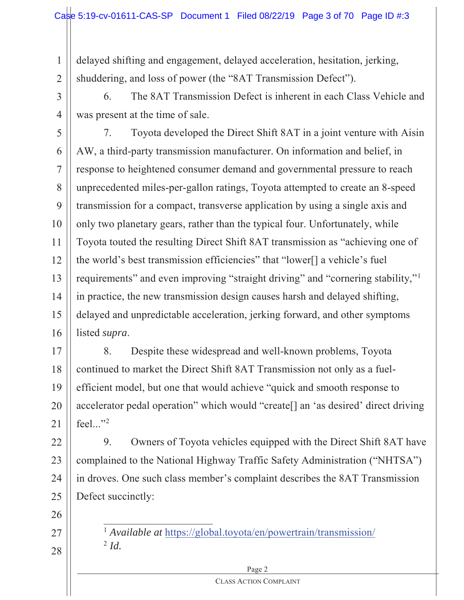delayed shifting and engagement, delayed acceleration, hesitation, jerking, shuddering, and loss of power (the "8AT Transmission Defect").

3 4 6. The 8AT Transmission Defect is inherent in each Class Vehicle and was present at the time of sale.

5 6 7 8 9 10 11 12 13 14 15 16 7. Toyota developed the Direct Shift 8AT in a joint venture with Aisin AW, a third-party transmission manufacturer. On information and belief, in response to heightened consumer demand and governmental pressure to reach unprecedented miles-per-gallon ratings, Toyota attempted to create an 8-speed transmission for a compact, transverse application by using a single axis and only two planetary gears, rather than the typical four. Unfortunately, while Toyota touted the resulting Direct Shift 8AT transmission as "achieving one of the world's best transmission efficiencies" that "lower[] a vehicle's fuel requirements" and even improving "straight driving" and "cornering stability,"<sup>1</sup> in practice, the new transmission design causes harsh and delayed shifting, delayed and unpredictable acceleration, jerking forward, and other symptoms listed *supra*.

17 18 19 20 21 8. Despite these widespread and well-known problems, Toyota continued to market the Direct Shift 8AT Transmission not only as a fuelefficient model, but one that would achieve "quick and smooth response to accelerator pedal operation" which would "create[] an 'as desired' direct driving feel..." $^{\prime\prime}$ 

22 23 24 25 9. Owners of Toyota vehicles equipped with the Direct Shift 8AT have complained to the National Highway Traffic Safety Administration ("NHTSA") in droves. One such class member's complaint describes the 8AT Transmission Defect succinctly:

26

27

28

1

2

<sup>1</sup> *Available at* https://global.toyota/en/powertrain/transmission/  $^{2}$  *Id.* 

#### Page 2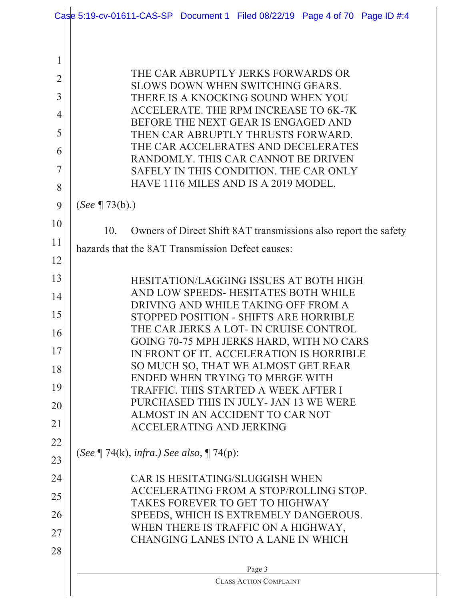|                | Case 5:19-cv-01611-CAS-SP Document 1 Filed 08/22/19 Page 4 of 70 Page ID #:4          |  |  |  |  |  |
|----------------|---------------------------------------------------------------------------------------|--|--|--|--|--|
|                |                                                                                       |  |  |  |  |  |
| 1              |                                                                                       |  |  |  |  |  |
| $\overline{2}$ | THE CAR ABRUPTLY JERKS FORWARDS OR                                                    |  |  |  |  |  |
| 3              | SLOWS DOWN WHEN SWITCHING GEARS.                                                      |  |  |  |  |  |
| 4              | THERE IS A KNOCKING SOUND WHEN YOU<br>ACCELERATE. THE RPM INCREASE TO 6K-7K           |  |  |  |  |  |
| 5              | BEFORE THE NEXT GEAR IS ENGAGED AND                                                   |  |  |  |  |  |
| 6              | THEN CAR ABRUPTLY THRUSTS FORWARD.<br>THE CAR ACCELERATES AND DECELERATES             |  |  |  |  |  |
| 7              | RANDOMLY. THIS CAR CANNOT BE DRIVEN                                                   |  |  |  |  |  |
|                | SAFELY IN THIS CONDITION. THE CAR ONLY<br>HAVE 1116 MILES AND IS A 2019 MODEL.        |  |  |  |  |  |
| 8              |                                                                                       |  |  |  |  |  |
| 9              | (See $\P$ 73(b).)                                                                     |  |  |  |  |  |
| 10             | Owners of Direct Shift 8AT transmissions also report the safety<br>10.                |  |  |  |  |  |
| 11             | hazards that the 8AT Transmission Defect causes:                                      |  |  |  |  |  |
| 12             |                                                                                       |  |  |  |  |  |
| 13             | <b>HESITATION/LAGGING ISSUES AT BOTH HIGH</b><br>AND LOW SPEEDS- HESITATES BOTH WHILE |  |  |  |  |  |
| 14             | DRIVING AND WHILE TAKING OFF FROM A                                                   |  |  |  |  |  |
| 15             | STOPPED POSITION - SHIFTS ARE HORRIBLE<br>THE CAR JERKS A LOT- IN CRUISE CONTROL      |  |  |  |  |  |
| 16             | GOING 70-75 MPH JERKS HARD, WITH NO CARS                                              |  |  |  |  |  |
| 17             | IN FRONT OF IT. ACCELERATION IS HORRIBLE                                              |  |  |  |  |  |
| 18             | SO MUCH SO, THAT WE ALMOST GET REAR<br>ENDED WHEN TRYING TO MERGE WITH                |  |  |  |  |  |
| 19             | TRAFFIC. THIS STARTED A WEEK AFTER I                                                  |  |  |  |  |  |
| 20             | PURCHASED THIS IN JULY- JAN 13 WE WERE<br>ALMOST IN AN ACCIDENT TO CAR NOT            |  |  |  |  |  |
| 21             | <b>ACCELERATING AND JERKING</b>                                                       |  |  |  |  |  |
| 22             | (See $\P$ 74(k), infra.) See also, $\P$ 74(p):                                        |  |  |  |  |  |
| 23             |                                                                                       |  |  |  |  |  |
| 24             | <b>CAR IS HESITATING/SLUGGISH WHEN</b>                                                |  |  |  |  |  |
| 25             | ACCELERATING FROM A STOP/ROLLING STOP.<br>TAKES FOREVER TO GET TO HIGHWAY             |  |  |  |  |  |
| 26             | SPEEDS, WHICH IS EXTREMELY DANGEROUS.                                                 |  |  |  |  |  |
| 27             | WHEN THERE IS TRAFFIC ON A HIGHWAY,<br>CHANGING LANES INTO A LANE IN WHICH            |  |  |  |  |  |
| 28             |                                                                                       |  |  |  |  |  |
|                | Page 3                                                                                |  |  |  |  |  |
|                | <b>CLASS ACTION COMPLAINT</b>                                                         |  |  |  |  |  |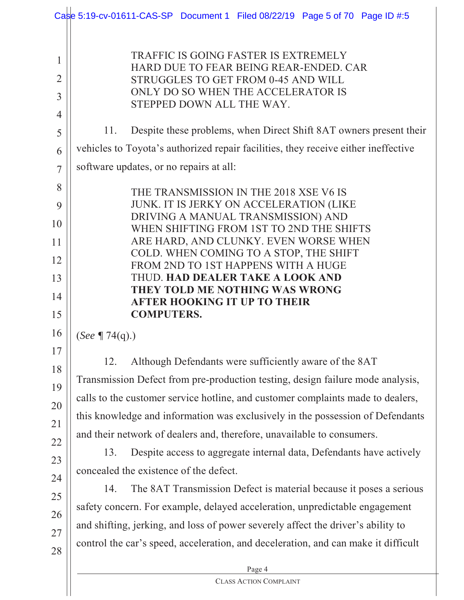|                               | Case 5:19-cv-01611-CAS-SP Document 1 Filed 08/22/19 Page 5 of 70 Page ID #:5                                                                                                                                                                |  |  |  |
|-------------------------------|---------------------------------------------------------------------------------------------------------------------------------------------------------------------------------------------------------------------------------------------|--|--|--|
| 1<br>2<br>3<br>$\overline{4}$ | TRAFFIC IS GOING FASTER IS EXTREMELY<br>HARD DUE TO FEAR BEING REAR-ENDED. CAR<br>STRUGGLES TO GET FROM 0-45 AND WILL<br>ONLY DO SO WHEN THE ACCELERATOR IS<br>STEPPED DOWN ALL THE WAY.                                                    |  |  |  |
| 5                             | Despite these problems, when Direct Shift 8AT owners present their<br>11.                                                                                                                                                                   |  |  |  |
| 6                             | vehicles to Toyota's authorized repair facilities, they receive either ineffective                                                                                                                                                          |  |  |  |
| $\overline{7}$                | software updates, or no repairs at all:                                                                                                                                                                                                     |  |  |  |
| 8<br>9                        | THE TRANSMISSION IN THE 2018 XSE V6 IS<br>JUNK. IT IS JERKY ON ACCELERATION (LIKE                                                                                                                                                           |  |  |  |
| 10                            | DRIVING A MANUAL TRANSMISSION) AND<br>WHEN SHIFTING FROM 1ST TO 2ND THE SHIFTS                                                                                                                                                              |  |  |  |
| 11                            | ARE HARD, AND CLUNKY. EVEN WORSE WHEN                                                                                                                                                                                                       |  |  |  |
| 12                            | COLD. WHEN COMING TO A STOP, THE SHIFT<br>FROM 2ND TO 1ST HAPPENS WITH A HUGE                                                                                                                                                               |  |  |  |
| 13                            | <b>THUD. HAD DEALER TAKE A LOOK AND</b>                                                                                                                                                                                                     |  |  |  |
| 14                            | THEY TOLD ME NOTHING WAS WRONG<br><b>AFTER HOOKING IT UP TO THEIR</b>                                                                                                                                                                       |  |  |  |
| 15                            | <b>COMPUTERS.</b>                                                                                                                                                                                                                           |  |  |  |
| 16                            | ( <i>See</i> $\P$ 74(q).)                                                                                                                                                                                                                   |  |  |  |
| 17                            | Although Defendants were sufficiently aware of the 8AT<br>12.                                                                                                                                                                               |  |  |  |
| 18                            | Transmission Defect from pre-production testing, design failure mode analysis,                                                                                                                                                              |  |  |  |
| 19                            | calls to the customer service hotline, and customer complaints made to dealers,<br>this knowledge and information was exclusively in the possession of Defendants<br>and their network of dealers and, therefore, unavailable to consumers. |  |  |  |
| 20                            |                                                                                                                                                                                                                                             |  |  |  |
| 21                            |                                                                                                                                                                                                                                             |  |  |  |
| 22                            | Despite access to aggregate internal data, Defendants have actively<br>13.                                                                                                                                                                  |  |  |  |
| 23                            | concealed the existence of the defect.                                                                                                                                                                                                      |  |  |  |
| 24                            | The 8AT Transmission Defect is material because it poses a serious<br>14.                                                                                                                                                                   |  |  |  |
| 25                            | safety concern. For example, delayed acceleration, unpredictable engagement                                                                                                                                                                 |  |  |  |
| 26                            | and shifting, jerking, and loss of power severely affect the driver's ability to                                                                                                                                                            |  |  |  |
| 27                            | control the car's speed, acceleration, and deceleration, and can make it difficult                                                                                                                                                          |  |  |  |
| 28                            |                                                                                                                                                                                                                                             |  |  |  |
|                               | Page 4<br><b>CLASS ACTION COMPLAINT</b>                                                                                                                                                                                                     |  |  |  |
|                               |                                                                                                                                                                                                                                             |  |  |  |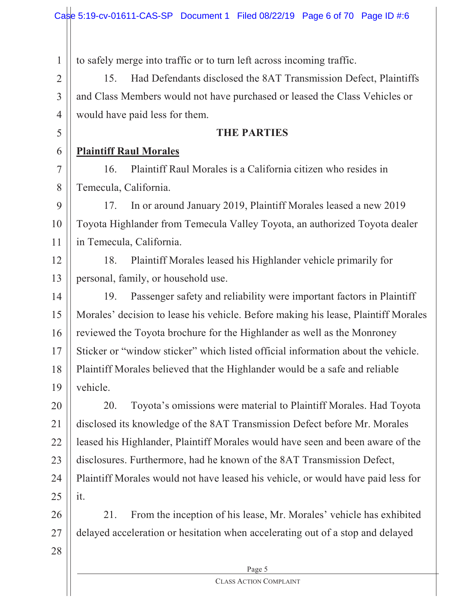to safely merge into traffic or to turn left across incoming traffic.

15. Had Defendants disclosed the 8AT Transmission Defect, Plaintiffs and Class Members would not have purchased or leased the Class Vehicles or would have paid less for them.

## **THE PARTIES**

#### 6 **Plaintiff Raul Morales**

1

2

3

4

5

7

8

16. Plaintiff Raul Morales is a California citizen who resides in Temecula, California.

9 10 11 17. In or around January 2019, Plaintiff Morales leased a new 2019 Toyota Highlander from Temecula Valley Toyota, an authorized Toyota dealer in Temecula, California.

12 13 18. Plaintiff Morales leased his Highlander vehicle primarily for personal, family, or household use.

14 15 16 17 18 19 19. Passenger safety and reliability were important factors in Plaintiff Morales' decision to lease his vehicle. Before making his lease, Plaintiff Morales reviewed the Toyota brochure for the Highlander as well as the Monroney Sticker or "window sticker" which listed official information about the vehicle. Plaintiff Morales believed that the Highlander would be a safe and reliable vehicle.

20 21 22 23 24 25 20. Toyota's omissions were material to Plaintiff Morales. Had Toyota disclosed its knowledge of the 8AT Transmission Defect before Mr. Morales leased his Highlander, Plaintiff Morales would have seen and been aware of the disclosures. Furthermore, had he known of the 8AT Transmission Defect, Plaintiff Morales would not have leased his vehicle, or would have paid less for it.

26 27 21. From the inception of his lease, Mr. Morales' vehicle has exhibited delayed acceleration or hesitation when accelerating out of a stop and delayed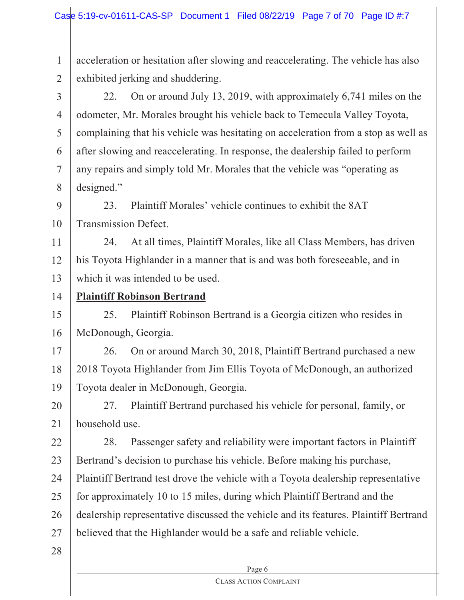1 2 acceleration or hesitation after slowing and reaccelerating. The vehicle has also exhibited jerking and shuddering.

3 4 5 6 7 8 22. On or around July 13, 2019, with approximately 6,741 miles on the odometer, Mr. Morales brought his vehicle back to Temecula Valley Toyota, complaining that his vehicle was hesitating on acceleration from a stop as well as after slowing and reaccelerating. In response, the dealership failed to perform any repairs and simply told Mr. Morales that the vehicle was "operating as designed."

9 10 23. Plaintiff Morales' vehicle continues to exhibit the 8AT Transmission Defect.

11 12 13 24. At all times, Plaintiff Morales, like all Class Members, has driven his Toyota Highlander in a manner that is and was both foreseeable, and in which it was intended to be used.

14 **Plaintiff Robinson Bertrand**

15 16 25. Plaintiff Robinson Bertrand is a Georgia citizen who resides in McDonough, Georgia.

17 18 19 26. On or around March 30, 2018, Plaintiff Bertrand purchased a new 2018 Toyota Highlander from Jim Ellis Toyota of McDonough, an authorized Toyota dealer in McDonough, Georgia.

20 21 27. Plaintiff Bertrand purchased his vehicle for personal, family, or household use.

22 23 24 25 26 27 28. Passenger safety and reliability were important factors in Plaintiff Bertrand's decision to purchase his vehicle. Before making his purchase, Plaintiff Bertrand test drove the vehicle with a Toyota dealership representative for approximately 10 to 15 miles, during which Plaintiff Bertrand and the dealership representative discussed the vehicle and its features. Plaintiff Bertrand believed that the Highlander would be a safe and reliable vehicle.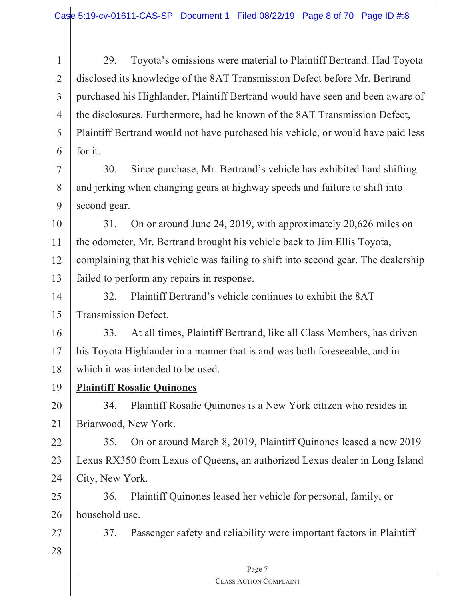1 2 3 4 5 6 29. Toyota's omissions were material to Plaintiff Bertrand. Had Toyota disclosed its knowledge of the 8AT Transmission Defect before Mr. Bertrand purchased his Highlander, Plaintiff Bertrand would have seen and been aware of the disclosures. Furthermore, had he known of the 8AT Transmission Defect, Plaintiff Bertrand would not have purchased his vehicle, or would have paid less for it.

7 8 9 30. Since purchase, Mr. Bertrand's vehicle has exhibited hard shifting and jerking when changing gears at highway speeds and failure to shift into second gear.

10 11 12 13 31. On or around June 24, 2019, with approximately 20,626 miles on the odometer, Mr. Bertrand brought his vehicle back to Jim Ellis Toyota, complaining that his vehicle was failing to shift into second gear. The dealership failed to perform any repairs in response.

14 15 32. Plaintiff Bertrand's vehicle continues to exhibit the 8AT Transmission Defect.

16 17 18 33. At all times, Plaintiff Bertrand, like all Class Members, has driven his Toyota Highlander in a manner that is and was both foreseeable, and in which it was intended to be used.

19 **Plaintiff Rosalie Quinones**

20 21 34. Plaintiff Rosalie Quinones is a New York citizen who resides in Briarwood, New York.

22 23 24 35. On or around March 8, 2019, Plaintiff Quinones leased a new 2019 Lexus RX350 from Lexus of Queens, an authorized Lexus dealer in Long Island City, New York.

25 26 36. Plaintiff Quinones leased her vehicle for personal, family, or household use.

27 28 37. Passenger safety and reliability were important factors in Plaintiff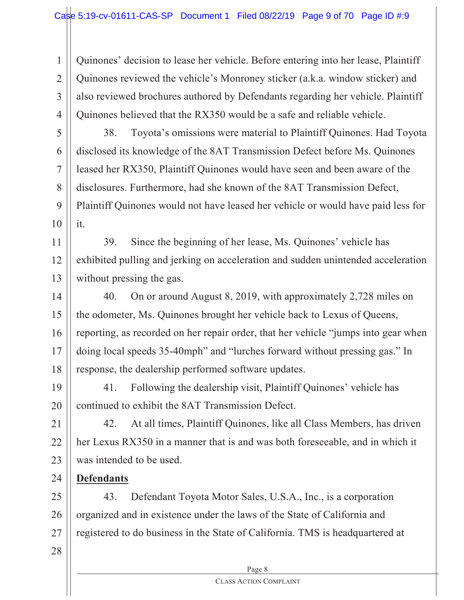4 Quinones' decision to lease her vehicle. Before entering into her lease, Plaintiff Quinones reviewed the vehicle's Monroney sticker (a.k.a. window sticker) and also reviewed brochures authored by Defendants regarding her vehicle. Plaintiff Quinones believed that the RX350 would be a safe and reliable vehicle.

- 5 6 7 8 9 10 38. Toyota's omissions were material to Plaintiff Quinones. Had Toyota disclosed its knowledge of the 8AT Transmission Defect before Ms. Quinones leased her RX350, Plaintiff Quinones would have seen and been aware of the disclosures. Furthermore, had she known of the 8AT Transmission Defect, Plaintiff Quinones would not have leased her vehicle or would have paid less for it.
- 11 12 13 39. Since the beginning of her lease, Ms. Quinones' vehicle has exhibited pulling and jerking on acceleration and sudden unintended acceleration without pressing the gas.
- 14 15 16 17 18 40. On or around August 8, 2019, with approximately 2,728 miles on the odometer, Ms. Quinones brought her vehicle back to Lexus of Queens, reporting, as recorded on her repair order, that her vehicle "jumps into gear when doing local speeds 35-40mph" and "lurches forward without pressing gas." In response, the dealership performed software updates.
- 19 20 41. Following the dealership visit, Plaintiff Quinones' vehicle has continued to exhibit the 8AT Transmission Defect.
- 21 22 23 42. At all times, Plaintiff Quinones, like all Class Members, has driven her Lexus RX350 in a manner that is and was both foreseeable, and in which it was intended to be used.
	- **Defendants**

25 26 27 43. Defendant Toyota Motor Sales, U.S.A., Inc., is a corporation organized and in existence under the laws of the State of California and registered to do business in the State of California. TMS is headquartered at

28

24

1

2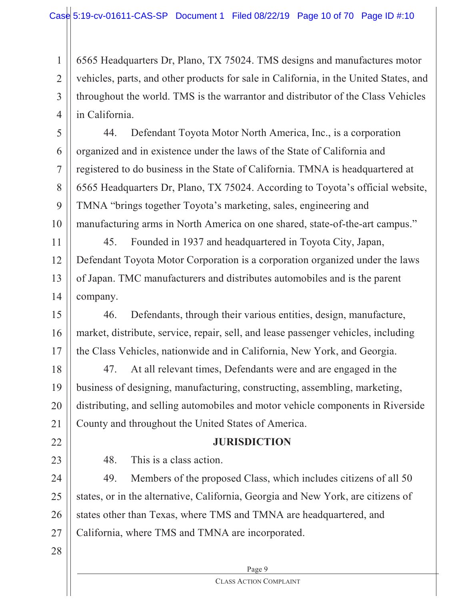2 3 4 6565 Headquarters Dr, Plano, TX 75024. TMS designs and manufactures motor vehicles, parts, and other products for sale in California, in the United States, and throughout the world. TMS is the warrantor and distributor of the Class Vehicles in California.

5 6 7 8 9 10 44. Defendant Toyota Motor North America, Inc., is a corporation organized and in existence under the laws of the State of California and registered to do business in the State of California. TMNA is headquartered at 6565 Headquarters Dr, Plano, TX 75024. According to Toyota's official website, TMNA "brings together Toyota's marketing, sales, engineering and manufacturing arms in North America on one shared, state-of-the-art campus."

11 12 13 14 45. Founded in 1937 and headquartered in Toyota City, Japan, Defendant Toyota Motor Corporation is a corporation organized under the laws of Japan. TMC manufacturers and distributes automobiles and is the parent company.

15 16 17 46. Defendants, through their various entities, design, manufacture, market, distribute, service, repair, sell, and lease passenger vehicles, including the Class Vehicles, nationwide and in California, New York, and Georgia.

18 19 20 21 47. At all relevant times, Defendants were and are engaged in the business of designing, manufacturing, constructing, assembling, marketing, distributing, and selling automobiles and motor vehicle components in Riverside County and throughout the United States of America.

## **JURISDICTION**

48. This is a class action.

24 25 26 27 49. Members of the proposed Class, which includes citizens of all 50 states, or in the alternative, California, Georgia and New York, are citizens of states other than Texas, where TMS and TMNA are headquartered, and California, where TMS and TMNA are incorporated.

28

22

23

1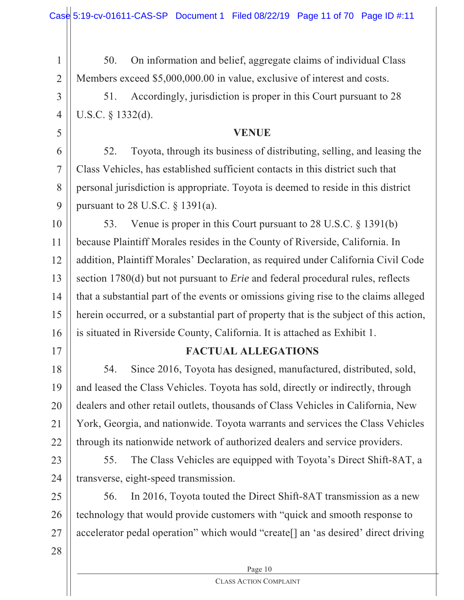50. On information and belief, aggregate claims of individual Class Members exceed \$5,000,000.00 in value, exclusive of interest and costs.

51. Accordingly, jurisdiction is proper in this Court pursuant to 28 U.S.C. § 1332(d).

## **VENUE**

6 7 8  $\mathbf Q$ 52. Toyota, through its business of distributing, selling, and leasing the Class Vehicles, has established sufficient contacts in this district such that personal jurisdiction is appropriate. Toyota is deemed to reside in this district pursuant to 28 U.S.C. § 1391(a).

10 11 12 13 14 15 16 53. Venue is proper in this Court pursuant to 28 U.S.C. § 1391(b) because Plaintiff Morales resides in the County of Riverside, California. In addition, Plaintiff Morales' Declaration, as required under California Civil Code section 1780(d) but not pursuant to *Erie* and federal procedural rules, reflects that a substantial part of the events or omissions giving rise to the claims alleged herein occurred, or a substantial part of property that is the subject of this action, is situated in Riverside County, California. It is attached as Exhibit 1.

1

2

3

4

5

## 17

## **FACTUAL ALLEGATIONS**

18 19 20 21 22 54. Since 2016, Toyota has designed, manufactured, distributed, sold, and leased the Class Vehicles. Toyota has sold, directly or indirectly, through dealers and other retail outlets, thousands of Class Vehicles in California, New York, Georgia, and nationwide. Toyota warrants and services the Class Vehicles through its nationwide network of authorized dealers and service providers.

23

24

55. The Class Vehicles are equipped with Toyota's Direct Shift-8AT, a transverse, eight-speed transmission.

25 26 27 56. In 2016, Toyota touted the Direct Shift-8AT transmission as a new technology that would provide customers with "quick and smooth response to accelerator pedal operation" which would "create[] an 'as desired' direct driving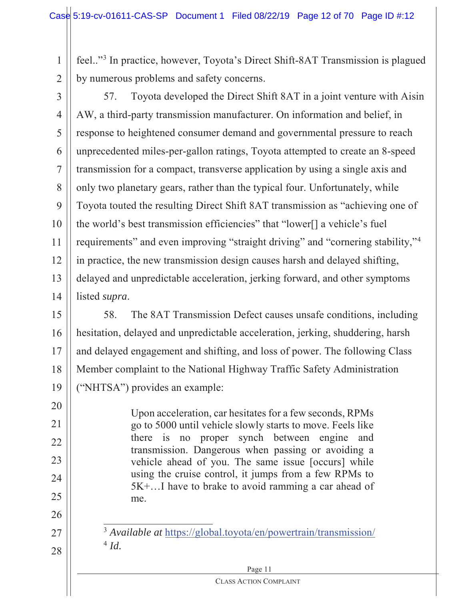2 feel.."3 In practice, however, Toyota's Direct Shift-8AT Transmission is plagued by numerous problems and safety concerns.

3

20

21

22

23

24

25

26

27

28

1

4 5 6 7 8 9 10 11 12 13 14 57. Toyota developed the Direct Shift 8AT in a joint venture with Aisin AW, a third-party transmission manufacturer. On information and belief, in response to heightened consumer demand and governmental pressure to reach unprecedented miles-per-gallon ratings, Toyota attempted to create an 8-speed transmission for a compact, transverse application by using a single axis and only two planetary gears, rather than the typical four. Unfortunately, while Toyota touted the resulting Direct Shift 8AT transmission as "achieving one of the world's best transmission efficiencies" that "lower[] a vehicle's fuel requirements" and even improving "straight driving" and "cornering stability,"4 in practice, the new transmission design causes harsh and delayed shifting, delayed and unpredictable acceleration, jerking forward, and other symptoms listed *supra*.

15 16 17 18 19 58. The 8AT Transmission Defect causes unsafe conditions, including hesitation, delayed and unpredictable acceleration, jerking, shuddering, harsh and delayed engagement and shifting, and loss of power. The following Class Member complaint to the National Highway Traffic Safety Administration ("NHTSA") provides an example:

> Upon acceleration, car hesitates for a few seconds, RPMs go to 5000 until vehicle slowly starts to move. Feels like there is no proper synch between engine and transmission. Dangerous when passing or avoiding a vehicle ahead of you. The same issue [occurs] while using the cruise control, it jumps from a few RPMs to 5K+…I have to brake to avoid ramming a car ahead of me.

<sup>3</sup> *Available at* https://global.toyota/en/powertrain/transmission/ <sup>4</sup> *Id.*

## Page 11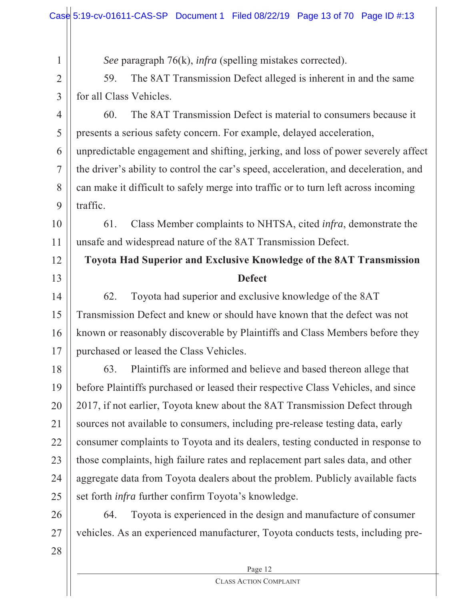*See* paragraph 76(k), *infra* (spelling mistakes corrected).

59. The 8AT Transmission Defect alleged is inherent in and the same for all Class Vehicles.

3

4

5

7

8

12

13

2

1

6 9 60. The 8AT Transmission Defect is material to consumers because it presents a serious safety concern. For example, delayed acceleration, unpredictable engagement and shifting, jerking, and loss of power severely affect the driver's ability to control the car's speed, acceleration, and deceleration, and can make it difficult to safely merge into traffic or to turn left across incoming traffic.

10 11 61. Class Member complaints to NHTSA, cited *infra*, demonstrate the unsafe and widespread nature of the 8AT Transmission Defect.

## **Toyota Had Superior and Exclusive Knowledge of the 8AT Transmission Defect**

14 15 16 17 62. Toyota had superior and exclusive knowledge of the 8AT Transmission Defect and knew or should have known that the defect was not known or reasonably discoverable by Plaintiffs and Class Members before they purchased or leased the Class Vehicles.

18 19 20 21 22 23 24 25 63. Plaintiffs are informed and believe and based thereon allege that before Plaintiffs purchased or leased their respective Class Vehicles, and since 2017, if not earlier, Toyota knew about the 8AT Transmission Defect through sources not available to consumers, including pre-release testing data, early consumer complaints to Toyota and its dealers, testing conducted in response to those complaints, high failure rates and replacement part sales data, and other aggregate data from Toyota dealers about the problem. Publicly available facts set forth *infra* further confirm Toyota's knowledge.

26 27 64. Toyota is experienced in the design and manufacture of consumer vehicles. As an experienced manufacturer, Toyota conducts tests, including pre-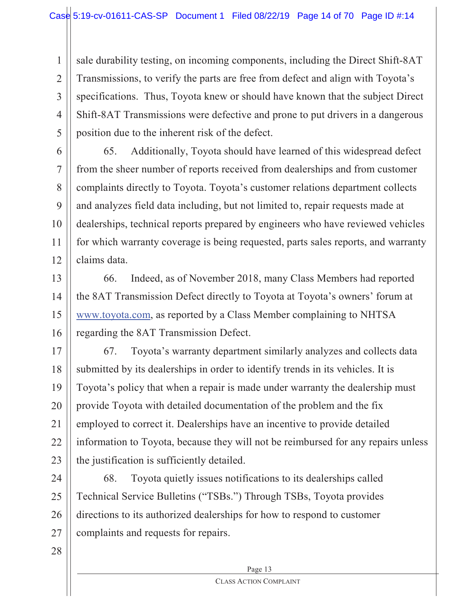2 3 4 5 sale durability testing, on incoming components, including the Direct Shift-8AT Transmissions, to verify the parts are free from defect and align with Toyota's specifications. Thus, Toyota knew or should have known that the subject Direct Shift-8AT Transmissions were defective and prone to put drivers in a dangerous position due to the inherent risk of the defect.

6 7 8 9 10 11 12 65. Additionally, Toyota should have learned of this widespread defect from the sheer number of reports received from dealerships and from customer complaints directly to Toyota. Toyota's customer relations department collects and analyzes field data including, but not limited to, repair requests made at dealerships, technical reports prepared by engineers who have reviewed vehicles for which warranty coverage is being requested, parts sales reports, and warranty claims data.

13 14 15 16 66. Indeed, as of November 2018, many Class Members had reported the 8AT Transmission Defect directly to Toyota at Toyota's owners' forum at www.toyota.com, as reported by a Class Member complaining to NHTSA regarding the 8AT Transmission Defect.

17 18 19 20 21 22 23 67. Toyota's warranty department similarly analyzes and collects data submitted by its dealerships in order to identify trends in its vehicles. It is Toyota's policy that when a repair is made under warranty the dealership must provide Toyota with detailed documentation of the problem and the fix employed to correct it. Dealerships have an incentive to provide detailed information to Toyota, because they will not be reimbursed for any repairs unless the justification is sufficiently detailed.

24 25 26 27 68. Toyota quietly issues notifications to its dealerships called Technical Service Bulletins ("TSBs.") Through TSBs, Toyota provides directions to its authorized dealerships for how to respond to customer complaints and requests for repairs.

28

1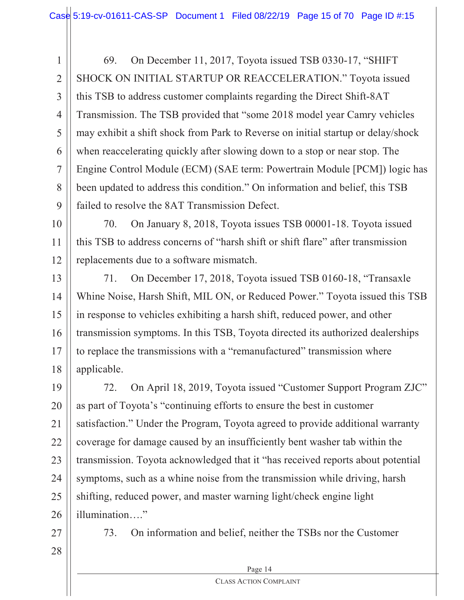1 2 3 4 5 6 7 8  $\mathbf Q$ 69. On December 11, 2017, Toyota issued TSB 0330-17, "SHIFT SHOCK ON INITIAL STARTUP OR REACCELERATION." Toyota issued this TSB to address customer complaints regarding the Direct Shift-8AT Transmission. The TSB provided that "some 2018 model year Camry vehicles may exhibit a shift shock from Park to Reverse on initial startup or delay/shock when reaccelerating quickly after slowing down to a stop or near stop. The Engine Control Module (ECM) (SAE term: Powertrain Module [PCM]) logic has been updated to address this condition." On information and belief, this TSB failed to resolve the 8AT Transmission Defect.

10 11 12 70. On January 8, 2018, Toyota issues TSB 00001-18. Toyota issued this TSB to address concerns of "harsh shift or shift flare" after transmission replacements due to a software mismatch.

13 14 15 16 17 18 71. On December 17, 2018, Toyota issued TSB 0160-18, "Transaxle Whine Noise, Harsh Shift, MIL ON, or Reduced Power." Toyota issued this TSB in response to vehicles exhibiting a harsh shift, reduced power, and other transmission symptoms. In this TSB, Toyota directed its authorized dealerships to replace the transmissions with a "remanufactured" transmission where applicable.

19 20 21 22 23 24 25 26 72. On April 18, 2019, Toyota issued "Customer Support Program ZJC" as part of Toyota's "continuing efforts to ensure the best in customer satisfaction." Under the Program, Toyota agreed to provide additional warranty coverage for damage caused by an insufficiently bent washer tab within the transmission. Toyota acknowledged that it "has received reports about potential symptoms, such as a whine noise from the transmission while driving, harsh shifting, reduced power, and master warning light/check engine light illumination…."

27

73. On information and belief, neither the TSBs nor the Customer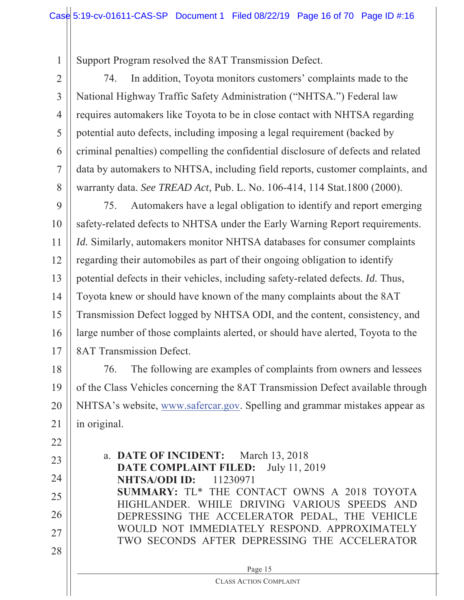Support Program resolved the 8AT Transmission Defect.

1

 $22$ 

2 3 4 5 6 7 8 74. In addition, Toyota monitors customers' complaints made to the National Highway Traffic Safety Administration ("NHTSA.") Federal law requires automakers like Toyota to be in close contact with NHTSA regarding potential auto defects, including imposing a legal requirement (backed by criminal penalties) compelling the confidential disclosure of defects and related data by automakers to NHTSA, including field reports, customer complaints, and warranty data. *See TREAD Act,* Pub. L. No. 106-414, 114 Stat.1800 (2000).

9 10 11 12 13 14 15 16 17 75. Automakers have a legal obligation to identify and report emerging safety-related defects to NHTSA under the Early Warning Report requirements. *Id.* Similarly, automakers monitor NHTSA databases for consumer complaints regarding their automobiles as part of their ongoing obligation to identify potential defects in their vehicles, including safety-related defects. *Id.* Thus, Toyota knew or should have known of the many complaints about the 8AT Transmission Defect logged by NHTSA ODI, and the content, consistency, and large number of those complaints alerted, or should have alerted, Toyota to the 8AT Transmission Defect.

18 19 20 21 76. The following are examples of complaints from owners and lessees of the Class Vehicles concerning the 8AT Transmission Defect available through NHTSA's website, www.safercar.gov. Spelling and grammar mistakes appear as in original.

| LL |                                                                                              |
|----|----------------------------------------------------------------------------------------------|
| 23 | a. DATE OF INCIDENT: March 13, 2018<br><b>DATE COMPLAINT FILED:</b> July 11, 2019            |
| 24 | <b>NHTSA/ODI ID:</b> 11230971                                                                |
| 25 | SUMMARY: TL* THE CONTACT OWNS A 2018 TOYOTA<br>HIGHLANDER. WHILE DRIVING VARIOUS SPEEDS AND  |
| 26 | DEPRESSING THE ACCELERATOR PEDAL, THE VEHICLE                                                |
| 27 | WOULD NOT IMMEDIATELY RESPOND. APPROXIMATELY<br>TWO SECONDS AFTER DEPRESSING THE ACCELERATOR |
| 28 |                                                                                              |
|    | Page 15                                                                                      |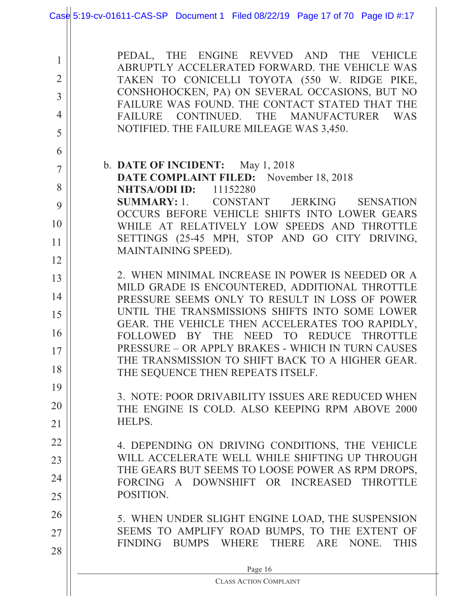|                                                              | Case 5:19-cv-01611-CAS-SP Document 1 Filed 08/22/19 Page 17 of 70 Page ID #:17                                                                                                                                                                                                                                                                                         |  |  |  |  |
|--------------------------------------------------------------|------------------------------------------------------------------------------------------------------------------------------------------------------------------------------------------------------------------------------------------------------------------------------------------------------------------------------------------------------------------------|--|--|--|--|
| 1<br>$\overline{2}$<br>$\overline{3}$<br>$\overline{4}$<br>5 | PEDAL, THE ENGINE REVVED AND THE VEHICLE<br>ABRUPTLY ACCELERATED FORWARD. THE VEHICLE WAS<br>TAKEN TO CONICELLI TOYOTA (550 W. RIDGE PIKE,<br>CONSHOHOCKEN, PA) ON SEVERAL OCCASIONS, BUT NO<br>FAILURE WAS FOUND. THE CONTACT STATED THAT THE<br>CONTINUED.<br><b>FAILURE</b><br>THE<br><b>MANUFACTURER</b><br><b>WAS</b><br>NOTIFIED. THE FAILURE MILEAGE WAS 3,450. |  |  |  |  |
| 6                                                            |                                                                                                                                                                                                                                                                                                                                                                        |  |  |  |  |
| 7                                                            | b. DATE OF INCIDENT: May 1, 2018<br>DATE COMPLAINT FILED: November 18, 2018                                                                                                                                                                                                                                                                                            |  |  |  |  |
| 8                                                            | <b>NHTSA/ODI ID:</b><br>11152280                                                                                                                                                                                                                                                                                                                                       |  |  |  |  |
| 9                                                            | <b>SUMMARY:</b> 1. CONSTANT JERKING<br><b>SENSATION</b><br>OCCURS BEFORE VEHICLE SHIFTS INTO LOWER GEARS                                                                                                                                                                                                                                                               |  |  |  |  |
| 10                                                           | WHILE AT RELATIVELY LOW SPEEDS AND THROTTLE                                                                                                                                                                                                                                                                                                                            |  |  |  |  |
| 11                                                           | SETTINGS (25-45 MPH, STOP AND GO CITY DRIVING,<br>MAINTAINING SPEED).                                                                                                                                                                                                                                                                                                  |  |  |  |  |
| 12                                                           |                                                                                                                                                                                                                                                                                                                                                                        |  |  |  |  |
| 13                                                           | 2. WHEN MINIMAL INCREASE IN POWER IS NEEDED OR A                                                                                                                                                                                                                                                                                                                       |  |  |  |  |
| 14                                                           | MILD GRADE IS ENCOUNTERED, ADDITIONAL THROTTLE<br>PRESSURE SEEMS ONLY TO RESULT IN LOSS OF POWER                                                                                                                                                                                                                                                                       |  |  |  |  |
| 15                                                           | UNTIL THE TRANSMISSIONS SHIFTS INTO SOME LOWER                                                                                                                                                                                                                                                                                                                         |  |  |  |  |
| 16                                                           | GEAR. THE VEHICLE THEN ACCELERATES TOO RAPIDLY,<br>FOLLOWED BY THE NEED TO REDUCE<br><b>THROTTLE</b>                                                                                                                                                                                                                                                                   |  |  |  |  |
| 17                                                           | PRESSURE – OR APPLY BRAKES - WHICH IN TURN CAUSES                                                                                                                                                                                                                                                                                                                      |  |  |  |  |
| 18                                                           | THE TRANSMISSION TO SHIFT BACK TO A HIGHER GEAR.<br>THE SEQUENCE THEN REPEATS ITSELF.                                                                                                                                                                                                                                                                                  |  |  |  |  |
| 19                                                           |                                                                                                                                                                                                                                                                                                                                                                        |  |  |  |  |
| 20                                                           | 3. NOTE: POOR DRIVABILITY ISSUES ARE REDUCED WHEN<br>THE ENGINE IS COLD. ALSO KEEPING RPM ABOVE 2000                                                                                                                                                                                                                                                                   |  |  |  |  |
| 21                                                           | HELPS.                                                                                                                                                                                                                                                                                                                                                                 |  |  |  |  |
| 22                                                           | 4. DEPENDING ON DRIVING CONDITIONS, THE VEHICLE                                                                                                                                                                                                                                                                                                                        |  |  |  |  |
| 23                                                           | WILL ACCELERATE WELL WHILE SHIFTING UP THROUGH                                                                                                                                                                                                                                                                                                                         |  |  |  |  |
| 24                                                           | THE GEARS BUT SEEMS TO LOOSE POWER AS RPM DROPS,<br>FORCING A DOWNSHIFT OR INCREASED THROTTLE                                                                                                                                                                                                                                                                          |  |  |  |  |
| 25                                                           | POSITION.                                                                                                                                                                                                                                                                                                                                                              |  |  |  |  |
| 26                                                           | 5. WHEN UNDER SLIGHT ENGINE LOAD, THE SUSPENSION                                                                                                                                                                                                                                                                                                                       |  |  |  |  |
| 27                                                           | SEEMS TO AMPLIFY ROAD BUMPS, TO THE EXTENT OF                                                                                                                                                                                                                                                                                                                          |  |  |  |  |
| 28                                                           | FINDING BUMPS WHERE THERE ARE NONE.<br><b>THIS</b>                                                                                                                                                                                                                                                                                                                     |  |  |  |  |
|                                                              | Page 16                                                                                                                                                                                                                                                                                                                                                                |  |  |  |  |
|                                                              | <b>CLASS ACTION COMPLAINT</b>                                                                                                                                                                                                                                                                                                                                          |  |  |  |  |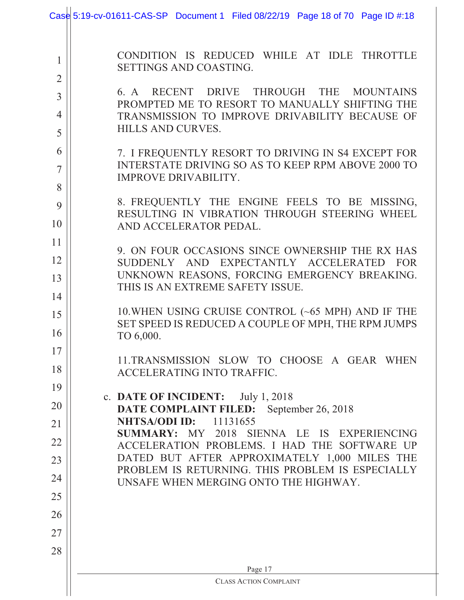|                | Case 5:19-cv-01611-CAS-SP Document 1 Filed 08/22/19 Page 18 of 70 Page ID #:18                                  |  |  |  |  |
|----------------|-----------------------------------------------------------------------------------------------------------------|--|--|--|--|
|                |                                                                                                                 |  |  |  |  |
| 1              | CONDITION IS REDUCED WHILE AT IDLE THROTTLE                                                                     |  |  |  |  |
| $\overline{2}$ | SETTINGS AND COASTING.                                                                                          |  |  |  |  |
| $\overline{3}$ | 6. A RECENT DRIVE THROUGH THE MOUNTAINS                                                                         |  |  |  |  |
| $\overline{4}$ | PROMPTED ME TO RESORT TO MANUALLY SHIFTING THE<br>TRANSMISSION TO IMPROVE DRIVABILITY BECAUSE OF                |  |  |  |  |
| 5              | <b>HILLS AND CURVES.</b>                                                                                        |  |  |  |  |
| 6              | 7. I FREQUENTLY RESORT TO DRIVING IN S4 EXCEPT FOR                                                              |  |  |  |  |
| 7              | INTERSTATE DRIVING SO AS TO KEEP RPM ABOVE 2000 TO<br><b>IMPROVE DRIVABILITY.</b>                               |  |  |  |  |
| 8              |                                                                                                                 |  |  |  |  |
| 9              | 8. FREQUENTLY THE ENGINE FEELS TO BE MISSING,<br>RESULTING IN VIBRATION THROUGH STEERING WHEEL                  |  |  |  |  |
| 10             | AND ACCELERATOR PEDAL.                                                                                          |  |  |  |  |
| 11             | 9. ON FOUR OCCASIONS SINCE OWNERSHIP THE RX HAS                                                                 |  |  |  |  |
| 12             | SUDDENLY AND EXPECTANTLY ACCELERATED<br><b>FOR</b>                                                              |  |  |  |  |
| 13             | UNKNOWN REASONS, FORCING EMERGENCY BREAKING.<br>THIS IS AN EXTREME SAFETY ISSUE.                                |  |  |  |  |
| 14             |                                                                                                                 |  |  |  |  |
| 15             | 10. WHEN USING CRUISE CONTROL $(\sim 65$ MPH) AND IF THE<br>SET SPEED IS REDUCED A COUPLE OF MPH, THE RPM JUMPS |  |  |  |  |
| 16             | TO 6,000.                                                                                                       |  |  |  |  |
| 17             | 11.TRANSMISSION SLOW TO CHOOSE A GEAR WHEN                                                                      |  |  |  |  |
| 18             | ACCELERATING INTO TRAFFIC.                                                                                      |  |  |  |  |
| 19             | c. DATE OF INCIDENT:<br>July 1, 2018                                                                            |  |  |  |  |
| 20             | <b>DATE COMPLAINT FILED:</b> September 26, 2018                                                                 |  |  |  |  |
| 21             | <b>NHTSA/ODI ID:</b><br>11131655<br>SUMMARY: MY 2018 SIENNA LE IS EXPERIENCING                                  |  |  |  |  |
| 22             | ACCELERATION PROBLEMS. I HAD THE SOFTWARE UP                                                                    |  |  |  |  |
| 23             | DATED BUT AFTER APPROXIMATELY 1,000 MILES THE<br>PROBLEM IS RETURNING. THIS PROBLEM IS ESPECIALLY               |  |  |  |  |
| 24             | UNSAFE WHEN MERGING ONTO THE HIGHWAY.                                                                           |  |  |  |  |
| 25             |                                                                                                                 |  |  |  |  |
| 26             |                                                                                                                 |  |  |  |  |
| 27             |                                                                                                                 |  |  |  |  |
| 28             |                                                                                                                 |  |  |  |  |
|                | Page 17                                                                                                         |  |  |  |  |
|                | <b>CLASS ACTION COMPLAINT</b>                                                                                   |  |  |  |  |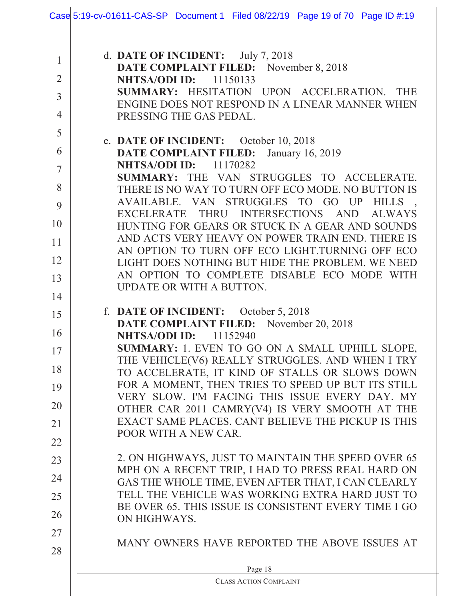|                | Case 5:19-cv-01611-CAS-SP Document 1 Filed 08/22/19 Page 19 of 70 Page ID #:19                          |  |  |  |  |  |
|----------------|---------------------------------------------------------------------------------------------------------|--|--|--|--|--|
|                |                                                                                                         |  |  |  |  |  |
| 1              | d. DATE OF INCIDENT: July 7, 2018                                                                       |  |  |  |  |  |
| $\overline{2}$ | <b>DATE COMPLAINT FILED:</b> November 8, 2018<br>NHTSA/ODI ID:<br>11150133                              |  |  |  |  |  |
| $\overline{3}$ | SUMMARY: HESITATION UPON ACCELERATION. THE                                                              |  |  |  |  |  |
| $\overline{4}$ | ENGINE DOES NOT RESPOND IN A LINEAR MANNER WHEN<br>PRESSING THE GAS PEDAL.                              |  |  |  |  |  |
| 5              |                                                                                                         |  |  |  |  |  |
| 6              | e. DATE OF INCIDENT: October 10, 2018<br><b>DATE COMPLAINT FILED:</b><br>January 16, 2019               |  |  |  |  |  |
| $\overline{7}$ | <b>NHTSA/ODI ID:</b> 11170282                                                                           |  |  |  |  |  |
| 8              | SUMMARY: THE VAN STRUGGLES TO ACCELERATE.<br>THERE IS NO WAY TO TURN OFF ECO MODE. NO BUTTON IS         |  |  |  |  |  |
| 9              | AVAILABLE. VAN STRUGGLES TO GO UP HILLS                                                                 |  |  |  |  |  |
| 10             | EXCELERATE THRU INTERSECTIONS AND<br><b>ALWAYS</b><br>HUNTING FOR GEARS OR STUCK IN A GEAR AND SOUNDS   |  |  |  |  |  |
| 11             | AND ACTS VERY HEAVY ON POWER TRAIN END. THERE IS                                                        |  |  |  |  |  |
| 12             | AN OPTION TO TURN OFF ECO LIGHT.TURNING OFF ECO                                                         |  |  |  |  |  |
| 13             | LIGHT DOES NOTHING BUT HIDE THE PROBLEM. WE NEED<br>AN OPTION TO COMPLETE DISABLE ECO MODE WITH         |  |  |  |  |  |
|                | UPDATE OR WITH A BUTTON.                                                                                |  |  |  |  |  |
| 14             | f. DATE OF INCIDENT: October 5, 2018                                                                    |  |  |  |  |  |
| 15             | DATE COMPLAINT FILED: November 20, 2018                                                                 |  |  |  |  |  |
| 16             | <b>NHTSA/ODI ID:</b><br>11152940                                                                        |  |  |  |  |  |
| 17             | SUMMARY: 1. EVEN TO GO ON A SMALL UPHILL SLOPE,<br>THE VEHICLE(V6) REALLY STRUGGLES. AND WHEN I TRY     |  |  |  |  |  |
| 18             | TO ACCELERATE, IT KIND OF STALLS OR SLOWS DOWN                                                          |  |  |  |  |  |
| 19             | FOR A MOMENT, THEN TRIES TO SPEED UP BUT ITS STILL<br>VERY SLOW. I'M FACING THIS ISSUE EVERY DAY. MY    |  |  |  |  |  |
| 20             | OTHER CAR 2011 CAMRY(V4) IS VERY SMOOTH AT THE                                                          |  |  |  |  |  |
| 21             | EXACT SAME PLACES. CANT BELIEVE THE PICKUP IS THIS<br>POOR WITH A NEW CAR.                              |  |  |  |  |  |
| 22             |                                                                                                         |  |  |  |  |  |
| 23             | 2. ON HIGHWAYS, JUST TO MAINTAIN THE SPEED OVER 65                                                      |  |  |  |  |  |
| 24             | MPH ON A RECENT TRIP, I HAD TO PRESS REAL HARD ON<br>GAS THE WHOLE TIME, EVEN AFTER THAT, I CAN CLEARLY |  |  |  |  |  |
| 25             | TELL THE VEHICLE WAS WORKING EXTRA HARD JUST TO                                                         |  |  |  |  |  |
| 26             | BE OVER 65. THIS ISSUE IS CONSISTENT EVERY TIME I GO<br>ON HIGHWAYS.                                    |  |  |  |  |  |
| 27             |                                                                                                         |  |  |  |  |  |
| 28             | MANY OWNERS HAVE REPORTED THE ABOVE ISSUES AT                                                           |  |  |  |  |  |
|                | Page 18                                                                                                 |  |  |  |  |  |
|                | <b>CLASS ACTION COMPLAINT</b>                                                                           |  |  |  |  |  |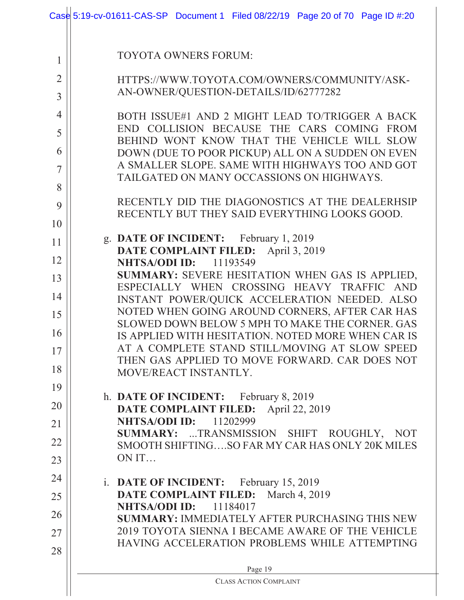|                | Case 5:19-cv-01611-CAS-SP Document 1 Filed 08/22/19 Page 20 of 70 Page ID #:20                    |  |  |  |  |  |
|----------------|---------------------------------------------------------------------------------------------------|--|--|--|--|--|
|                |                                                                                                   |  |  |  |  |  |
| 1              | <b>TOYOTA OWNERS FORUM:</b>                                                                       |  |  |  |  |  |
| $\overline{2}$ | HTTPS://WWW.TOYOTA.COM/OWNERS/COMMUNITY/ASK-                                                      |  |  |  |  |  |
| $\overline{3}$ | AN-OWNER/QUESTION-DETAILS/ID/62777282                                                             |  |  |  |  |  |
| $\overline{4}$ | BOTH ISSUE#1 AND 2 MIGHT LEAD TO/TRIGGER A BACK                                                   |  |  |  |  |  |
| 5              | END COLLISION BECAUSE THE CARS COMING FROM<br>BEHIND WONT KNOW THAT THE VEHICLE WILL SLOW         |  |  |  |  |  |
| 6              | DOWN (DUE TO POOR PICKUP) ALL ON A SUDDEN ON EVEN                                                 |  |  |  |  |  |
| 7              | A SMALLER SLOPE. SAME WITH HIGHWAYS TOO AND GOT<br>TAILGATED ON MANY OCCASSIONS ON HIGHWAYS.      |  |  |  |  |  |
| 8              |                                                                                                   |  |  |  |  |  |
| 9              | RECENTLY DID THE DIAGONOSTICS AT THE DEALERHSIP<br>RECENTLY BUT THEY SAID EVERYTHING LOOKS GOOD.  |  |  |  |  |  |
| 10             |                                                                                                   |  |  |  |  |  |
| 11             | g. DATE OF INCIDENT: February 1, 2019<br>DATE COMPLAINT FILED: April 3, 2019                      |  |  |  |  |  |
| 12             | <b>NHTSA/ODI ID:</b> 11193549                                                                     |  |  |  |  |  |
| 13             | SUMMARY: SEVERE HESITATION WHEN GAS IS APPLIED,<br>ESPECIALLY WHEN CROSSING HEAVY TRAFFIC AND     |  |  |  |  |  |
| 14             | INSTANT POWER/QUICK ACCELERATION NEEDED. ALSO                                                     |  |  |  |  |  |
| 15             | NOTED WHEN GOING AROUND CORNERS, AFTER CAR HAS<br>SLOWED DOWN BELOW 5 MPH TO MAKE THE CORNER, GAS |  |  |  |  |  |
| 16             | IS APPLIED WITH HESITATION. NOTED MORE WHEN CAR IS                                                |  |  |  |  |  |
| 17             | AT A COMPLETE STAND STILL/MOVING AT SLOW SPEED<br>THEN GAS APPLIED TO MOVE FORWARD. CAR DOES NOT  |  |  |  |  |  |
| 18             | MOVE/REACT INSTANTLY.                                                                             |  |  |  |  |  |
| 19             | h. DATE OF INCIDENT: February 8, 2019                                                             |  |  |  |  |  |
| 20             | DATE COMPLAINT FILED: April 22, 2019                                                              |  |  |  |  |  |
| 21             | <b>NHTSA/ODI ID:</b><br>11202999<br>SUMMARY: TRANSMISSION SHIFT ROUGHLY, NOT                      |  |  |  |  |  |
| 22             | SMOOTH SHIFTINGSO FAR MY CAR HAS ONLY 20K MILES                                                   |  |  |  |  |  |
| 23             | ON IT                                                                                             |  |  |  |  |  |
| 24             | i. DATE OF INCIDENT: February 15, 2019                                                            |  |  |  |  |  |
| 25             | DATE COMPLAINT FILED: March 4, 2019<br><b>NHTSA/ODI ID:</b> 11184017                              |  |  |  |  |  |
| 26             | <b>SUMMARY: IMMEDIATELY AFTER PURCHASING THIS NEW</b>                                             |  |  |  |  |  |
| 27             | 2019 TOYOTA SIENNA I BECAME AWARE OF THE VEHICLE<br>HAVING ACCELERATION PROBLEMS WHILE ATTEMPTING |  |  |  |  |  |
| 28             |                                                                                                   |  |  |  |  |  |
|                | Page 19<br><b>CLASS ACTION COMPLAINT</b>                                                          |  |  |  |  |  |
|                |                                                                                                   |  |  |  |  |  |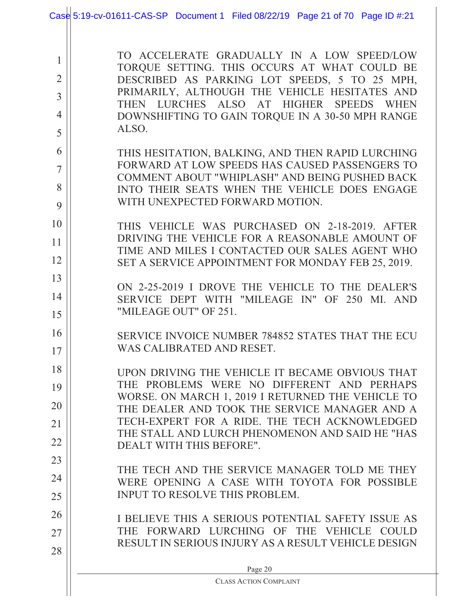|                                                                        | Case 5:19-cv-01611-CAS-SP Document 1 Filed 08/22/19 Page 21 of 70 Page ID #:21                                                                                                                                                                                                                                                                                                                              |
|------------------------------------------------------------------------|-------------------------------------------------------------------------------------------------------------------------------------------------------------------------------------------------------------------------------------------------------------------------------------------------------------------------------------------------------------------------------------------------------------|
| 1<br>$\overline{2}$<br>$\overline{3}$<br>4<br>5<br>6<br>$\overline{7}$ | TO ACCELERATE GRADUALLY IN A LOW SPEED/LOW<br>TORQUE SETTING. THIS OCCURS AT WHAT COULD BE<br>DESCRIBED AS PARKING LOT SPEEDS, 5 TO 25 MPH,<br>PRIMARILY, ALTHOUGH THE VEHICLE HESITATES AND<br>THEN LURCHES ALSO AT HIGHER SPEEDS WHEN<br>DOWNSHIFTING TO GAIN TORQUE IN A 30-50 MPH RANGE<br>ALSO.<br>THIS HESITATION, BALKING, AND THEN RAPID LURCHING<br>FORWARD AT LOW SPEEDS HAS CAUSED PASSENGERS TO |
| 8<br>9                                                                 | COMMENT ABOUT "WHIPLASH" AND BEING PUSHED BACK<br>INTO THEIR SEATS WHEN THE VEHICLE DOES ENGAGE<br>WITH UNEXPECTED FORWARD MOTION.                                                                                                                                                                                                                                                                          |
| 10<br>11<br>12                                                         | THIS VEHICLE WAS PURCHASED ON 2-18-2019. AFTER<br>DRIVING THE VEHICLE FOR A REASONABLE AMOUNT OF<br>TIME AND MILES I CONTACTED OUR SALES AGENT WHO<br>SET A SERVICE APPOINTMENT FOR MONDAY FEB 25, 2019.                                                                                                                                                                                                    |
| 13<br>14<br>15                                                         | ON 2-25-2019 I DROVE THE VEHICLE TO THE DEALER'S<br>SERVICE DEPT WITH "MILEAGE IN" OF 250 MI. AND<br>"MILEAGE OUT" OF 251.                                                                                                                                                                                                                                                                                  |
| 16<br>17                                                               | SERVICE INVOICE NUMBER 784852 STATES THAT THE ECU<br>WAS CALIBRATED AND RESET.                                                                                                                                                                                                                                                                                                                              |
| 18<br>19<br>20<br>21                                                   | UPON DRIVING THE VEHICLE IT BECAME OBVIOUS THAT<br>THE PROBLEMS WERE NO DIFFERENT AND PERHAPS<br>WORSE. ON MARCH 1, 2019 I RETURNED THE VEHICLE TO<br>THE DEALER AND TOOK THE SERVICE MANAGER AND A<br>TECH-EXPERT FOR A RIDE. THE TECH ACKNOWLEDGED                                                                                                                                                        |
| 22<br>23                                                               | THE STALL AND LURCH PHENOMENON AND SAID HE "HAS<br>DEALT WITH THIS BEFORE".<br>THE TECH AND THE SERVICE MANAGER TOLD ME THEY                                                                                                                                                                                                                                                                                |
| 24<br>25                                                               | WERE OPENING A CASE WITH TOYOTA FOR POSSIBLE<br><b>INPUT TO RESOLVE THIS PROBLEM.</b>                                                                                                                                                                                                                                                                                                                       |
| 26<br>27<br>28                                                         | I BELIEVE THIS A SERIOUS POTENTIAL SAFETY ISSUE AS<br>THE FORWARD LURCHING OF THE VEHICLE<br><b>COULD</b><br>RESULT IN SERIOUS INJURY AS A RESULT VEHICLE DESIGN                                                                                                                                                                                                                                            |
|                                                                        | Page 20<br><b>CLASS ACTION COMPLAINT</b>                                                                                                                                                                                                                                                                                                                                                                    |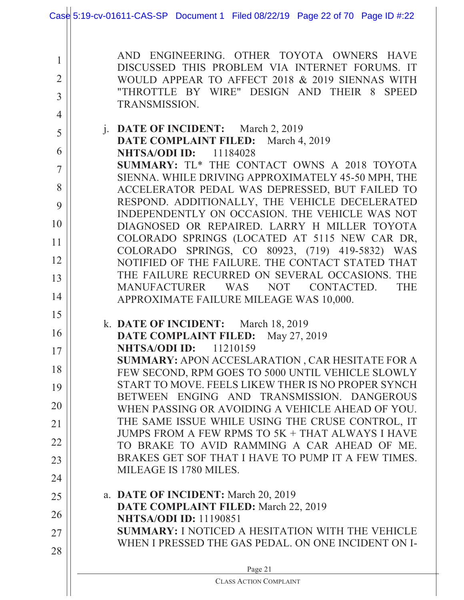|                                       | Case 5:19-cv-01611-CAS-SP Document 1 Filed 08/22/19 Page 22 of 70 Page ID #:22                                                                                                                                        |  |  |  |  |
|---------------------------------------|-----------------------------------------------------------------------------------------------------------------------------------------------------------------------------------------------------------------------|--|--|--|--|
| 1<br>$\overline{2}$<br>$\overline{3}$ | AND ENGINEERING. OTHER TOYOTA OWNERS HAVE<br>DISCUSSED THIS PROBLEM VIA INTERNET FORUMS. IT<br>WOULD APPEAR TO AFFECT 2018 & 2019 SIENNAS WITH<br>"THROTTLE BY WIRE" DESIGN AND THEIR 8 SPEED<br><b>TRANSMISSION.</b> |  |  |  |  |
| $\overline{4}$<br>5<br>6              | j. DATE OF INCIDENT: March 2, 2019<br>DATE COMPLAINT FILED: March 4, 2019<br><b>NHTSA/ODI ID:</b> 11184028<br>SUMMARY: TL* THE CONTACT OWNS A 2018 TOYOTA                                                             |  |  |  |  |
| 7<br>8<br>9                           | SIENNA. WHILE DRIVING APPROXIMATELY 45-50 MPH, THE<br>ACCELERATOR PEDAL WAS DEPRESSED, BUT FAILED TO<br>RESPOND. ADDITIONALLY, THE VEHICLE DECELERATED<br>INDEPENDENTLY ON OCCASION. THE VEHICLE WAS NOT              |  |  |  |  |
| 10<br>11                              | DIAGNOSED OR REPAIRED. LARRY H MILLER TOYOTA<br>COLORADO SPRINGS (LOCATED AT 5115 NEW CAR DR,                                                                                                                         |  |  |  |  |
| 12<br>13                              | COLORADO SPRINGS, CO 80923, (719) 419-5832)<br>WAS<br>NOTIFIED OF THE FAILURE. THE CONTACT STATED THAT<br>THE FAILURE RECURRED ON SEVERAL OCCASIONS. THE                                                              |  |  |  |  |
| 14<br>15                              | MANUFACTURER<br><b>THE</b><br>WAS<br><b>NOT</b><br>CONTACTED.<br>APPROXIMATE FAILURE MILEAGE WAS 10,000.                                                                                                              |  |  |  |  |
| 16<br>17                              | k. DATE OF INCIDENT: March 18, 2019<br>DATE COMPLAINT FILED: May 27, 2019<br><b>NHTSA/ODI ID:</b> 11210159                                                                                                            |  |  |  |  |
| 18<br>19                              | SUMMARY: APON ACCESLARATION, CAR HESITATE FOR A<br>FEW SECOND, RPM GOES TO 5000 UNTIL VEHICLE SLOWLY<br>START TO MOVE. FEELS LIKEW THER IS NO PROPER SYNCH                                                            |  |  |  |  |
| 20                                    | BETWEEN ENGING AND TRANSMISSION. DANGEROUS<br>WHEN PASSING OR AVOIDING A VEHICLE AHEAD OF YOU.<br>THE SAME ISSUE WHILE USING THE CRUSE CONTROL, IT                                                                    |  |  |  |  |
| 21<br>22                              | JUMPS FROM A FEW RPMS TO 5K + THAT ALWAYS I HAVE<br>TO BRAKE TO AVID RAMMING A CAR AHEAD OF ME.                                                                                                                       |  |  |  |  |
| 23<br>24                              | BRAKES GET SOF THAT I HAVE TO PUMP IT A FEW TIMES.<br>MILEAGE IS 1780 MILES.                                                                                                                                          |  |  |  |  |
| 25<br>26                              | a. DATE OF INCIDENT: March 20, 2019<br>DATE COMPLAINT FILED: March 22, 2019<br><b>NHTSA/ODI ID: 11190851</b>                                                                                                          |  |  |  |  |
| 27<br>28                              | <b>SUMMARY: I NOTICED A HESITATION WITH THE VEHICLE</b><br>WHEN I PRESSED THE GAS PEDAL. ON ONE INCIDENT ON I-                                                                                                        |  |  |  |  |
|                                       | Page 21<br><b>CLASS ACTION COMPLAINT</b>                                                                                                                                                                              |  |  |  |  |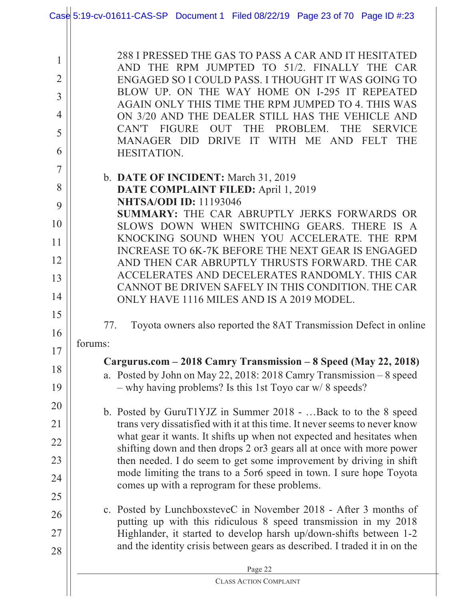|                                                                   | Case 5:19-cv-01611-CAS-SP Document 1 Filed 08/22/19 Page 23 of 70 Page ID #:23                                                                                                                                                                                                                                                                                                                                                                                                                   |  |  |  |
|-------------------------------------------------------------------|--------------------------------------------------------------------------------------------------------------------------------------------------------------------------------------------------------------------------------------------------------------------------------------------------------------------------------------------------------------------------------------------------------------------------------------------------------------------------------------------------|--|--|--|
| 1<br>$\overline{2}$<br>$\overline{3}$<br>$\overline{4}$<br>5<br>6 | 288 I PRESSED THE GAS TO PASS A CAR AND IT HESITATED<br>AND THE RPM JUMPTED TO 51/2. FINALLY THE CAR<br>ENGAGED SO I COULD PASS. I THOUGHT IT WAS GOING TO<br>BLOW UP. ON THE WAY HOME ON I-295 IT REPEATED<br>AGAIN ONLY THIS TIME THE RPM JUMPED TO 4. THIS WAS<br>ON 3/20 AND THE DEALER STILL HAS THE VEHICLE AND<br>CAN'T<br><b>FIGURE</b><br><b>OUT</b><br><b>THE</b><br>PROBLEM.<br><b>THE</b><br><b>SERVICE</b><br>MANAGER DID DRIVE<br>IT WITH ME AND FELT<br><b>THE</b><br>HESITATION. |  |  |  |
| 7<br>8<br>9                                                       | b. DATE OF INCIDENT: March 31, 2019<br>DATE COMPLAINT FILED: April 1, 2019<br><b>NHTSA/ODI ID: 11193046</b>                                                                                                                                                                                                                                                                                                                                                                                      |  |  |  |
| 10                                                                | SUMMARY: THE CAR ABRUPTLY JERKS FORWARDS OR<br>SLOWS DOWN WHEN SWITCHING GEARS. THERE IS A                                                                                                                                                                                                                                                                                                                                                                                                       |  |  |  |
| 11<br>12                                                          | KNOCKING SOUND WHEN YOU ACCELERATE. THE RPM<br>INCREASE TO 6K-7K BEFORE THE NEXT GEAR IS ENGAGED<br>AND THEN CAR ABRUPTLY THRUSTS FORWARD. THE CAR                                                                                                                                                                                                                                                                                                                                               |  |  |  |
| 13<br>14                                                          | ACCELERATES AND DECELERATES RANDOMLY. THIS CAR<br>CANNOT BE DRIVEN SAFELY IN THIS CONDITION. THE CAR<br>ONLY HAVE 1116 MILES AND IS A 2019 MODEL.                                                                                                                                                                                                                                                                                                                                                |  |  |  |
| 15<br>16                                                          | Toyota owners also reported the 8AT Transmission Defect in online<br>77.                                                                                                                                                                                                                                                                                                                                                                                                                         |  |  |  |
| 17                                                                | forums:                                                                                                                                                                                                                                                                                                                                                                                                                                                                                          |  |  |  |
| 18<br>19                                                          | Cargurus.com – 2018 Camry Transmission – 8 Speed (May 22, 2018)<br>a. Posted by John on May 22, 2018: 2018 Camry Transmission - 8 speed<br>$-$ why having problems? Is this 1st Toyo car w/ 8 speeds?                                                                                                                                                                                                                                                                                            |  |  |  |
| 20<br>21                                                          | b. Posted by GuruT1YJZ in Summer 2018 -  Back to to the 8 speed<br>trans very dissatisfied with it at this time. It never seems to never know                                                                                                                                                                                                                                                                                                                                                    |  |  |  |
| 22                                                                | what gear it wants. It shifts up when not expected and hesitates when<br>shifting down and then drops 2 or 3 gears all at once with more power                                                                                                                                                                                                                                                                                                                                                   |  |  |  |
| 23                                                                | then needed. I do seem to get some improvement by driving in shift<br>mode limiting the trans to a 5or6 speed in town. I sure hope Toyota                                                                                                                                                                                                                                                                                                                                                        |  |  |  |
| 24<br>25                                                          | comes up with a reprogram for these problems.                                                                                                                                                                                                                                                                                                                                                                                                                                                    |  |  |  |
| 26                                                                | c. Posted by LunchboxsteveC in November 2018 - After 3 months of                                                                                                                                                                                                                                                                                                                                                                                                                                 |  |  |  |
| 27                                                                | putting up with this ridiculous 8 speed transmission in my 2018<br>Highlander, it started to develop harsh up/down-shifts between 1-2                                                                                                                                                                                                                                                                                                                                                            |  |  |  |
| 28                                                                | and the identity crisis between gears as described. I traded it in on the                                                                                                                                                                                                                                                                                                                                                                                                                        |  |  |  |
|                                                                   | Page 22<br><b>CLASS ACTION COMPLAINT</b>                                                                                                                                                                                                                                                                                                                                                                                                                                                         |  |  |  |
|                                                                   |                                                                                                                                                                                                                                                                                                                                                                                                                                                                                                  |  |  |  |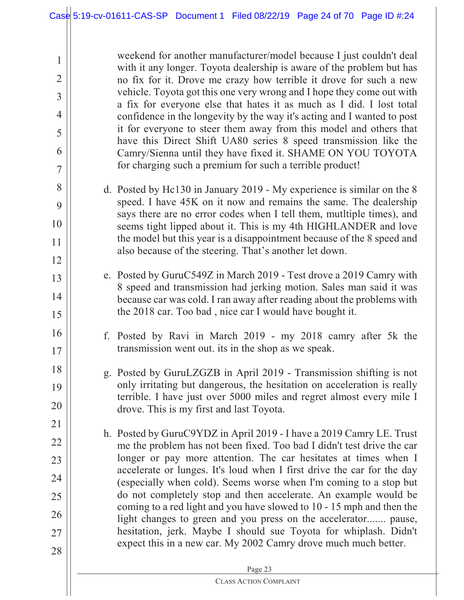2

3

4

5

6

7

8

9

10

11

12

13

14

15

16

17

18

19

20

21

22

23

24

25

26

27

28

weekend for another manufacturer/model because I just couldn't deal with it any longer. Toyota dealership is aware of the problem but has no fix for it. Drove me crazy how terrible it drove for such a new vehicle. Toyota got this one very wrong and I hope they come out with a fix for everyone else that hates it as much as I did. I lost total confidence in the longevity by the way it's acting and I wanted to post it for everyone to steer them away from this model and others that have this Direct Shift UA80 series 8 speed transmission like the Camry/Sienna until they have fixed it. SHAME ON YOU TOYOTA for charging such a premium for such a terrible product!

- d. Posted by Hc130 in January 2019 My experience is similar on the 8 speed. I have 45K on it now and remains the same. The dealership says there are no error codes when I tell them, mutltiple times), and seems tight lipped about it. This is my 4th HIGHLANDER and love the model but this year is a disappointment because of the 8 speed and also because of the steering. That's another let down.
- e. Posted by GuruC549Z in March 2019 Test drove a 2019 Camry with 8 speed and transmission had jerking motion. Sales man said it was because car was cold. I ran away after reading about the problems with the 2018 car. Too bad , nice car I would have bought it.
- f. Posted by Ravi in March 2019 my 2018 camry after 5k the transmission went out. its in the shop as we speak.
- g. Posted by GuruLZGZB in April 2019 Transmission shifting is not only irritating but dangerous, the hesitation on acceleration is really terrible. I have just over 5000 miles and regret almost every mile I drove. This is my first and last Toyota.
- h. Posted by GuruC9YDZ in April 2019 I have a 2019 Camry LE. Trust me the problem has not been fixed. Too bad I didn't test drive the car longer or pay more attention. The car hesitates at times when I accelerate or lunges. It's loud when I first drive the car for the day (especially when cold). Seems worse when I'm coming to a stop but do not completely stop and then accelerate. An example would be coming to a red light and you have slowed to 10 - 15 mph and then the light changes to green and you press on the accelerator....... pause, hesitation, jerk. Maybe I should sue Toyota for whiplash. Didn't expect this in a new car. My 2002 Camry drove much much better.

|  | <b>D</b><br><b>Contract Contract</b><br>ы<br>-<br>. .<br>- |
|--|------------------------------------------------------------|
|  |                                                            |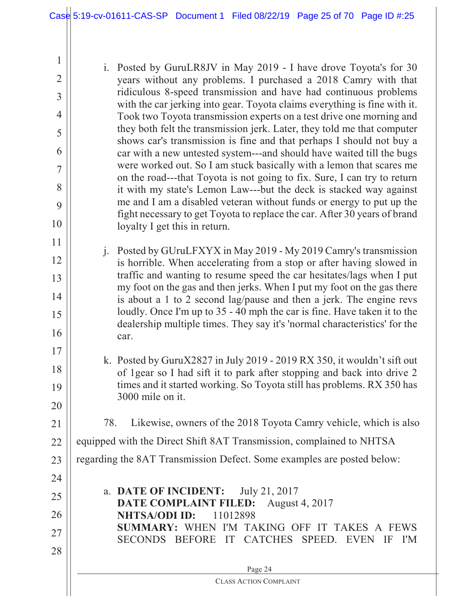2

3

4

5

6

7

8

9

10

11

12

13

14

15

16

17

18

19

20

21

24

i. Posted by GuruLR8JV in May 2019 - I have drove Toyota's for 30 years without any problems. I purchased a 2018 Camry with that ridiculous 8-speed transmission and have had continuous problems with the car jerking into gear. Toyota claims everything is fine with it. Took two Toyota transmission experts on a test drive one morning and they both felt the transmission jerk. Later, they told me that computer shows car's transmission is fine and that perhaps I should not buy a car with a new untested system---and should have waited till the bugs were worked out. So I am stuck basically with a lemon that scares me on the road---that Toyota is not going to fix. Sure, I can try to return it with my state's Lemon Law---but the deck is stacked way against me and I am a disabled veteran without funds or energy to put up the fight necessary to get Toyota to replace the car. After 30 years of brand loyalty I get this in return.

- j. Posted by GUruLFXYX in May 2019 My 2019 Camry's transmission is horrible. When accelerating from a stop or after having slowed in traffic and wanting to resume speed the car hesitates/lags when I put my foot on the gas and then jerks. When I put my foot on the gas there is about a 1 to 2 second lag/pause and then a jerk. The engine revs loudly. Once I'm up to 35 - 40 mph the car is fine. Have taken it to the dealership multiple times. They say it's 'normal characteristics' for the car.
- k. Posted by GuruX2827 in July 2019 2019 RX 350, it wouldn't sift out of 1gear so I had sift it to park after stopping and back into drive 2 times and it started working. So Toyota still has problems. RX 350 has 3000 mile on it.
	- 78. Likewise, owners of the 2018 Toyota Camry vehicle, which is also

22 equipped with the Direct Shift 8AT Transmission, complained to NHTSA

23 regarding the 8AT Transmission Defect. Some examples are posted below:

25 26 27 28 a. **DATE OF INCIDENT:** July 21, 2017 **DATE COMPLAINT FILED:** August 4, 2017 **NHTSA/ODI ID:** 11012898 **SUMMARY:** WHEN I'M TAKING OFF IT TAKES A FEWS SECONDS BEFORE IT CATCHES SPEED. EVEN IF I'M

> Page 24 CLASS ACTION COMPLAINT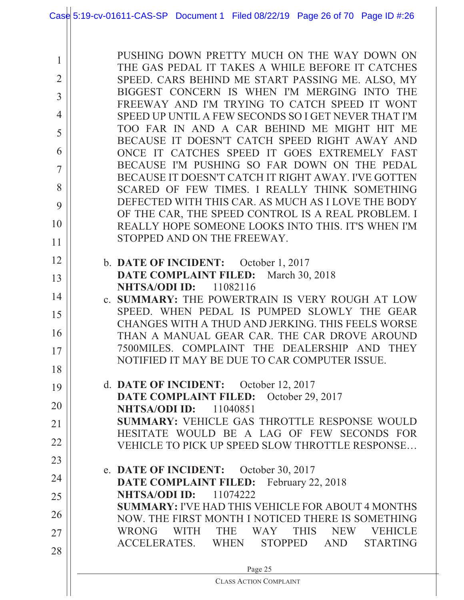|                | Case 5:19-cv-01611-CAS-SP Document 1 Filed 08/22/19 Page 26 of 70 Page ID #:26                        |
|----------------|-------------------------------------------------------------------------------------------------------|
|                |                                                                                                       |
|                | PUSHING DOWN PRETTY MUCH ON THE WAY DOWN ON                                                           |
| $\mathbf{1}$   | THE GAS PEDAL IT TAKES A WHILE BEFORE IT CATCHES                                                      |
| $\overline{2}$ | SPEED. CARS BEHIND ME START PASSING ME. ALSO, MY                                                      |
| $\overline{3}$ | BIGGEST CONCERN IS WHEN I'M MERGING INTO THE                                                          |
| $\overline{4}$ | FREEWAY AND I'M TRYING TO CATCH SPEED IT WONT<br>SPEED UP UNTIL A FEW SECONDS SO I GET NEVER THAT I'M |
| 5              | TOO FAR IN AND A CAR BEHIND ME MIGHT HIT ME                                                           |
|                | BECAUSE IT DOESN'T CATCH SPEED RIGHT AWAY AND                                                         |
| 6              | ONCE IT CATCHES SPEED IT GOES EXTREMELY FAST                                                          |
| 7              | BECAUSE I'M PUSHING SO FAR DOWN ON THE PEDAL                                                          |
| 8              | BECAUSE IT DOESN'T CATCH IT RIGHT AWAY. I'VE GOTTEN<br>SCARED OF FEW TIMES. I REALLY THINK SOMETHING  |
| 9              | DEFECTED WITH THIS CAR. AS MUCH AS I LOVE THE BODY                                                    |
|                | OF THE CAR, THE SPEED CONTROL IS A REAL PROBLEM. I                                                    |
| 10             | REALLY HOPE SOMEONE LOOKS INTO THIS. IT'S WHEN I'M                                                    |
| 11             | STOPPED AND ON THE FREEWAY.                                                                           |
| 12             | b. DATE OF INCIDENT: October 1, 2017                                                                  |
| 13             | DATE COMPLAINT FILED:<br>March 30, 2018                                                               |
|                | <b>NHTSA/ODI ID:</b><br>11082116                                                                      |
| 14             | c. SUMMARY: THE POWERTRAIN IS VERY ROUGH AT LOW<br>SPEED. WHEN PEDAL IS PUMPED SLOWLY THE GEAR        |
| 15             | CHANGES WITH A THUD AND JERKING. THIS FEELS WORSE                                                     |
| 16             | THAN A MANUAL GEAR CAR. THE CAR DROVE AROUND                                                          |
| 17             | 7500MILES. COMPLAINT THE DEALERSHIP AND THEY                                                          |
| 18             | NOTIFIED IT MAY BE DUE TO CAR COMPUTER ISSUE.                                                         |
|                | d. DATE OF INCIDENT: October 12, 2017                                                                 |
| 19             | DATE COMPLAINT FILED:<br>October 29, 2017                                                             |
| 20             | NHTSA/ODI ID:<br>11040851                                                                             |
| 21             | <b>SUMMARY: VEHICLE GAS THROTTLE RESPONSE WOULD</b>                                                   |
| 22             | HESITATE WOULD BE A LAG OF FEW SECONDS FOR<br>VEHICLE TO PICK UP SPEED SLOW THROTTLE RESPONSE         |
| 23             |                                                                                                       |
|                | e. DATE OF INCIDENT: October 30, 2017                                                                 |
| 24             | <b>DATE COMPLAINT FILED:</b> February 22, 2018                                                        |
| 25             | <b>NHTSA/ODI ID:</b><br>11074222<br><b>SUMMARY: I'VE HAD THIS VEHICLE FOR ABOUT 4 MONTHS</b>          |
| 26             | NOW. THE FIRST MONTH I NOTICED THERE IS SOMETHING                                                     |
| 27             | <b>WITH</b><br><b>THE</b><br>WAY<br><b>THIS</b><br><b>WRONG</b><br><b>NEW</b><br><b>VEHICLE</b>       |
| 28             | ACCELERATES. WHEN<br>STOPPED AND<br><b>STARTING</b>                                                   |
|                |                                                                                                       |
|                | Page 25<br><b>CLASS ACTION COMPLAINT</b>                                                              |
|                |                                                                                                       |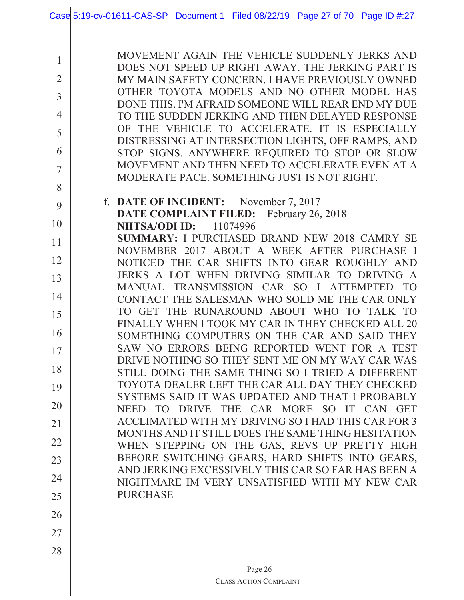|                     | Case 5:19-cv-01611-CAS-SP Document 1 Filed 08/22/19 Page 27 of 70 Page ID #:27                                                                        |
|---------------------|-------------------------------------------------------------------------------------------------------------------------------------------------------|
| 1<br>$\overline{2}$ | MOVEMENT AGAIN THE VEHICLE SUDDENLY JERKS AND<br>DOES NOT SPEED UP RIGHT AWAY. THE JERKING PART IS<br>MY MAIN SAFETY CONCERN. I HAVE PREVIOUSLY OWNED |
| 3                   | OTHER TOYOTA MODELS AND NO OTHER MODEL HAS                                                                                                            |
| $\overline{4}$      | DONE THIS. I'M AFRAID SOMEONE WILL REAR END MY DUE<br>TO THE SUDDEN JERKING AND THEN DELAYED RESPONSE                                                 |
| 5                   | OF THE VEHICLE TO ACCELERATE. IT IS ESPECIALLY                                                                                                        |
| 6                   | DISTRESSING AT INTERSECTION LIGHTS, OFF RAMPS, AND<br>STOP SIGNS. ANYWHERE REQUIRED TO STOP OR SLOW                                                   |
| $\overline{7}$      | MOVEMENT AND THEN NEED TO ACCELERATE EVEN AT A<br>MODERATE PACE, SOMETHING JUST IS NOT RIGHT.                                                         |
| 8                   |                                                                                                                                                       |
| 9                   | f. DATE OF INCIDENT: November 7, 2017<br>DATE COMPLAINT FILED:<br>February 26, 2018                                                                   |
| 10                  | 11074996<br><b>NHTSA/ODI ID:</b>                                                                                                                      |
| 11                  | <b>SUMMARY: I PURCHASED BRAND NEW 2018 CAMRY SE</b><br>NOVEMBER 2017 ABOUT A WEEK AFTER PURCHASE I                                                    |
| 12                  | THE CAR SHIFTS INTO GEAR ROUGHLY AND<br><b>NOTICED</b>                                                                                                |
| 13                  | JERKS A LOT WHEN DRIVING SIMILAR TO DRIVING A<br>TRANSMISSION CAR SO I ATTEMPTED<br><b>MANUAL</b><br><b>TO</b>                                        |
| 14                  | CONTACT THE SALESMAN WHO SOLD ME THE CAR ONLY<br>THE RUNAROUND ABOUT WHO<br>TO GET<br>TO TALK TO                                                      |
| 15                  | FINALLY WHEN I TOOK MY CAR IN THEY CHECKED ALL 20                                                                                                     |
| 16<br>17            | SOMETHING COMPUTERS ON THE CAR AND SAID THEY<br>SAW NO ERRORS BEING REPORTED WENT FOR A TEST                                                          |
| 18                  | DRIVE NOTHING SO THEY SENT ME ON MY WAY CAR WAS                                                                                                       |
| 19                  | STILL DOING THE SAME THING SO I TRIED A DIFFERENT<br>TOYOTA DEALER LEFT THE CAR ALL DAY THEY CHECKED                                                  |
| 20                  | SYSTEMS SAID IT WAS UPDATED AND THAT I PROBABLY<br>THE CAR MORE SO IT CAN GET<br>TO DRIVE<br><b>NEED</b>                                              |
| 21                  | ACCLIMATED WITH MY DRIVING SO I HAD THIS CAR FOR 3                                                                                                    |
| 22                  | MONTHS AND IT STILL DOES THE SAME THING HESITATION<br>WHEN STEPPING ON THE GAS, REVS UP PRETTY HIGH                                                   |
| 23                  | BEFORE SWITCHING GEARS, HARD SHIFTS INTO GEARS,                                                                                                       |
| 24                  | AND JERKING EXCESSIVELY THIS CAR SO FAR HAS BEEN A<br>NIGHTMARE IM VERY UNSATISFIED WITH MY NEW CAR                                                   |
| 25                  | <b>PURCHASE</b>                                                                                                                                       |
| 26                  |                                                                                                                                                       |
| 27                  |                                                                                                                                                       |
| 28                  |                                                                                                                                                       |
|                     | Page 26<br><b>CLASS ACTION COMPLAINT</b>                                                                                                              |
|                     |                                                                                                                                                       |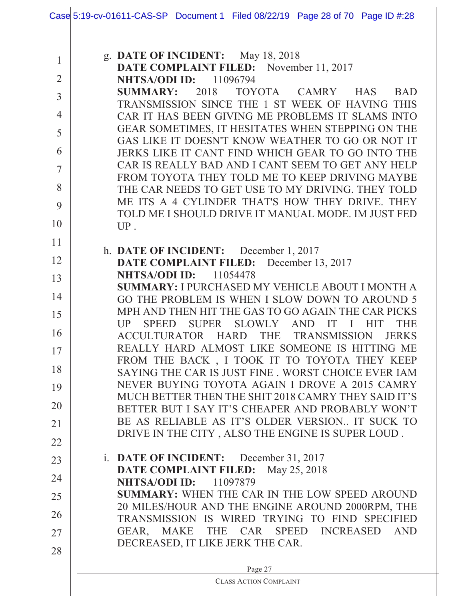|                | Case 5:19-cv-01611-CAS-SP Document 1 Filed 08/22/19 Page 28 of 70 Page ID #:28                        |
|----------------|-------------------------------------------------------------------------------------------------------|
| $\mathbf{1}$   | g. DATE OF INCIDENT: May 18, 2018                                                                     |
| $\overline{2}$ | DATE COMPLAINT FILED: November 11, 2017<br><b>NHTSA/ODI ID:</b><br>11096794                           |
| $\overline{3}$ | 2018<br>TOYOTA CAMRY<br><b>SUMMARY:</b><br><b>HAS</b><br><b>BAD</b>                                   |
|                | TRANSMISSION SINCE THE 1 ST WEEK OF HAVING THIS                                                       |
| $\overline{4}$ | CAR IT HAS BEEN GIVING ME PROBLEMS IT SLAMS INTO<br>GEAR SOMETIMES, IT HESITATES WHEN STEPPING ON THE |
| 5              | GAS LIKE IT DOESN'T KNOW WEATHER TO GO OR NOT IT                                                      |
| 6              | JERKS LIKE IT CANT FIND WHICH GEAR TO GO INTO THE                                                     |
| $\overline{7}$ | CAR IS REALLY BAD AND I CANT SEEM TO GET ANY HELP                                                     |
| 8              | FROM TOYOTA THEY TOLD ME TO KEEP DRIVING MAYBE<br>THE CAR NEEDS TO GET USE TO MY DRIVING. THEY TOLD   |
| 9              | ME ITS A 4 CYLINDER THAT'S HOW THEY DRIVE. THEY<br>TOLD ME I SHOULD DRIVE IT MANUAL MODE. IM JUST FED |
| 10             | $UP$ .                                                                                                |
| 11             |                                                                                                       |
| 12             | h. DATE OF INCIDENT: December 1, 2017<br>DATE COMPLAINT FILED:<br>December 13, 2017                   |
| 13             | <b>NHTSA/ODI ID:</b><br>11054478                                                                      |
| 14             | <b>SUMMARY: I PURCHASED MY VEHICLE ABOUT I MONTH A</b>                                                |
|                | GO THE PROBLEM IS WHEN I SLOW DOWN TO AROUND 5<br>MPH AND THEN HIT THE GAS TO GO AGAIN THE CAR PICKS  |
| 15             | SLOWLY<br>UP<br><b>SUPER</b><br>IT<br>THE<br><b>SPEED</b><br><b>AND</b><br>$\mathbf{I}$<br><b>HIT</b> |
| 16             | HARD THE<br>ACCULTURATOR<br><b>TRANSMISSION</b><br><b>JERKS</b>                                       |
| 17             | REALLY HARD ALMOST LIKE SOMEONE IS HITTING ME<br>FROM THE BACK, I TOOK IT TO TOYOTA THEY KEEP         |
| 18             | SAYING THE CAR IS JUST FINE . WORST CHOICE EVER IAM                                                   |
| 19             | NEVER BUYING TOYOTA AGAIN I DROVE A 2015 CAMRY                                                        |
| 20             | MUCH BETTER THEN THE SHIT 2018 CAMRY THEY SAID IT'S                                                   |
|                | BETTER BUT I SAY IT'S CHEAPER AND PROBABLY WON'T<br>BE AS RELIABLE AS IT'S OLDER VERSION IT SUCK TO   |
| 21             | DRIVE IN THE CITY , ALSO THE ENGINE IS SUPER LOUD .                                                   |
| 22             |                                                                                                       |
| 23             | i. DATE OF INCIDENT:<br>December 31, 2017<br>DATE COMPLAINT FILED:<br>May 25, 2018                    |
| 24             | <b>NHTSA/ODI ID:</b> 11097879                                                                         |
| 25             | <b>SUMMARY: WHEN THE CAR IN THE LOW SPEED AROUND</b>                                                  |
| 26             | 20 MILES/HOUR AND THE ENGINE AROUND 2000RPM, THE                                                      |
| 27             | TRANSMISSION IS WIRED TRYING TO FIND SPECIFIED<br>GEAR, MAKE THE CAR SPEED INCREASED<br><b>AND</b>    |
| 28             | DECREASED, IT LIKE JERK THE CAR.                                                                      |
|                | Page 27                                                                                               |
|                | <b>CLASS ACTION COMPLAINT</b>                                                                         |
|                |                                                                                                       |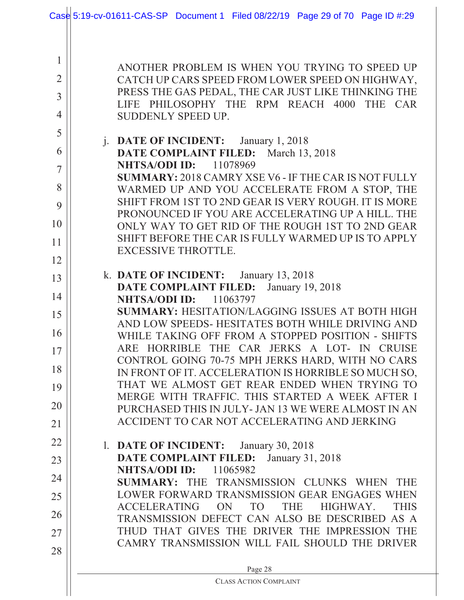|                     | Case 5:19-cv-01611-CAS-SP Document 1 Filed 08/22/19 Page 29 of 70 Page ID #:29                                                           |
|---------------------|------------------------------------------------------------------------------------------------------------------------------------------|
|                     |                                                                                                                                          |
| 1<br>$\overline{2}$ | ANOTHER PROBLEM IS WHEN YOU TRYING TO SPEED UP<br>CATCH UP CARS SPEED FROM LOWER SPEED ON HIGHWAY,                                       |
| $\overline{3}$      | PRESS THE GAS PEDAL, THE CAR JUST LIKE THINKING THE<br>LIFE PHILOSOPHY THE RPM REACH 4000<br>THE CAR                                     |
| $\overline{4}$      | SUDDENLY SPEED UP.                                                                                                                       |
| 5                   | j. DATE OF INCIDENT: January 1, 2018                                                                                                     |
| 6                   | DATE COMPLAINT FILED: March 13, 2018<br><b>NHTSA/ODI ID:</b> 11078969                                                                    |
| 7                   | <b>SUMMARY: 2018 CAMRY XSE V6 - IF THE CAR IS NOT FULLY</b>                                                                              |
| 8<br>9              | WARMED UP AND YOU ACCELERATE FROM A STOP, THE<br>SHIFT FROM 1ST TO 2ND GEAR IS VERY ROUGH. IT IS MORE                                    |
| 10                  | PRONOUNCED IF YOU ARE ACCELERATING UP A HILL. THE<br>ONLY WAY TO GET RID OF THE ROUGH 1ST TO 2ND GEAR                                    |
| 11                  | SHIFT BEFORE THE CAR IS FULLY WARMED UP IS TO APPLY<br><b>EXCESSIVE THROTTLE.</b>                                                        |
| 12                  |                                                                                                                                          |
| 13                  | k. DATE OF INCIDENT: January 13, 2018<br><b>DATE COMPLAINT FILED:</b><br>January 19, 2018                                                |
| 14                  | <b>NHTSA/ODI ID:</b><br>11063797                                                                                                         |
| 15                  | <b>SUMMARY: HESITATION/LAGGING ISSUES AT BOTH HIGH</b><br>AND LOW SPEEDS-HESITATES BOTH WHILE DRIVING AND                                |
| 16                  | WHILE TAKING OFF FROM A STOPPED POSITION - SHIFTS<br>ARE HORRIBLE THE CAR JERKS A LOT- IN CRUISE                                         |
| 17                  | CONTROL GOING 70-75 MPH JERKS HARD, WITH NO CARS                                                                                         |
| 18                  | IN FRONT OF IT. ACCELERATION IS HORRIBLE SO MUCH SO,<br>THAT WE ALMOST GET REAR ENDED WHEN TRYING TO                                     |
| 19<br>20            | MERGE WITH TRAFFIC. THIS STARTED A WEEK AFTER I                                                                                          |
| 21                  | PURCHASED THIS IN JULY- JAN 13 WE WERE ALMOST IN AN<br>ACCIDENT TO CAR NOT ACCELERATING AND JERKING                                      |
| 22                  | 1. DATE OF INCIDENT:<br>January 30, 2018                                                                                                 |
| 23                  | <b>DATE COMPLAINT FILED:</b><br>January 31, 2018                                                                                         |
| 24                  | <b>NHTSA/ODI ID:</b><br>11065982<br>SUMMARY: THE TRANSMISSION CLUNKS WHEN<br><b>THE</b>                                                  |
| 25                  | LOWER FORWARD TRANSMISSION GEAR ENGAGES WHEN                                                                                             |
| 26                  | <b>ACCELERATING</b><br><b>ON</b><br><b>TO</b><br><b>THE</b><br>HIGHWAY.<br><b>THIS</b><br>TRANSMISSION DEFECT CAN ALSO BE DESCRIBED AS A |
| 27                  | THUD THAT GIVES THE DRIVER THE IMPRESSION THE<br>CAMRY TRANSMISSION WILL FAIL SHOULD THE DRIVER                                          |
| 28                  |                                                                                                                                          |
|                     | Page 28<br><b>CLASS ACTION COMPLAINT</b>                                                                                                 |
|                     |                                                                                                                                          |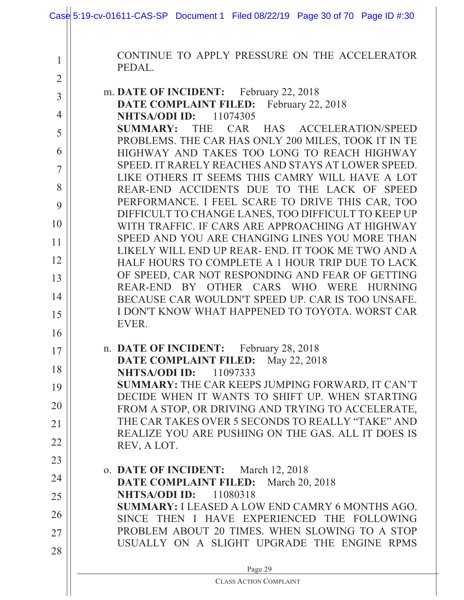| 1<br>PEDAL.<br>$\overline{2}$<br>m. DATE OF INCIDENT: February 22, 2018<br>$\overline{3}$<br><b>DATE COMPLAINT FILED:</b> February 22, 2018<br>$\overline{4}$<br><b>NHTSA/ODI ID:</b> 11074305<br>THE<br><b>SUMMARY:</b><br>5<br>PROBLEMS. THE CAR HAS ONLY 200 MILES, TOOK IT IN TE<br>6<br>$\overline{7}$<br>LIKE OTHERS IT SEEMS THIS CAMRY WILL HAVE A LOT<br>8<br>9<br>DIFFICULT TO CHANGE LANES, TOO DIFFICULT TO KEEP UP<br>10<br>SPEED AND YOU ARE CHANGING LINES YOU MORE THAN<br>11<br>LIKELY WILL END UP REAR- END. IT TOOK ME TWO AND A<br>12<br>OF SPEED, CAR NOT RESPONDING AND FEAR OF GETTING<br>13<br>14<br>I DON'T KNOW WHAT HAPPENED TO TOYOTA. WORST CAR<br>15<br>EVER.<br>16<br>n. DATE OF INCIDENT: February 28, 2018<br>17<br>DATE COMPLAINT FILED:<br>May 22, 2018<br>18<br><b>NHTSA/ODI ID:</b><br>11097333<br>SUMMARY: THE CAR KEEPS JUMPING FORWARD, IT CAN'T<br>19<br>20<br>FROM A STOP, OR DRIVING AND TRYING TO ACCELERATE,<br>THE CAR TAKES OVER 5 SECONDS TO REALLY "TAKE" AND<br>21<br>22<br>REV, A LOT.<br>23<br>o. DATE OF INCIDENT: March 12, 2018<br>24<br>DATE COMPLAINT FILED:<br>March 20, 2018 | Case $5:19$ -cv-01611-CAS-SP Document 1 Filed 08/22/19 Page 30 of 70 Page ID #:30             |
|-----------------------------------------------------------------------------------------------------------------------------------------------------------------------------------------------------------------------------------------------------------------------------------------------------------------------------------------------------------------------------------------------------------------------------------------------------------------------------------------------------------------------------------------------------------------------------------------------------------------------------------------------------------------------------------------------------------------------------------------------------------------------------------------------------------------------------------------------------------------------------------------------------------------------------------------------------------------------------------------------------------------------------------------------------------------------------------------------------------------------------------------|-----------------------------------------------------------------------------------------------|
|                                                                                                                                                                                                                                                                                                                                                                                                                                                                                                                                                                                                                                                                                                                                                                                                                                                                                                                                                                                                                                                                                                                                         | CONTINUE TO APPLY PRESSURE ON THE ACCELERATOR                                                 |
|                                                                                                                                                                                                                                                                                                                                                                                                                                                                                                                                                                                                                                                                                                                                                                                                                                                                                                                                                                                                                                                                                                                                         |                                                                                               |
|                                                                                                                                                                                                                                                                                                                                                                                                                                                                                                                                                                                                                                                                                                                                                                                                                                                                                                                                                                                                                                                                                                                                         |                                                                                               |
|                                                                                                                                                                                                                                                                                                                                                                                                                                                                                                                                                                                                                                                                                                                                                                                                                                                                                                                                                                                                                                                                                                                                         | CAR HAS ACCELERATION/SPEED                                                                    |
|                                                                                                                                                                                                                                                                                                                                                                                                                                                                                                                                                                                                                                                                                                                                                                                                                                                                                                                                                                                                                                                                                                                                         | HIGHWAY AND TAKES TOO LONG TO REACH HIGHWAY                                                   |
|                                                                                                                                                                                                                                                                                                                                                                                                                                                                                                                                                                                                                                                                                                                                                                                                                                                                                                                                                                                                                                                                                                                                         | SPEED. IT RARELY REACHES AND STAYS AT LOWER SPEED.                                            |
|                                                                                                                                                                                                                                                                                                                                                                                                                                                                                                                                                                                                                                                                                                                                                                                                                                                                                                                                                                                                                                                                                                                                         | REAR-END ACCIDENTS DUE TO THE LACK OF SPEED                                                   |
|                                                                                                                                                                                                                                                                                                                                                                                                                                                                                                                                                                                                                                                                                                                                                                                                                                                                                                                                                                                                                                                                                                                                         | PERFORMANCE. I FEEL SCARE TO DRIVE THIS CAR, TOO                                              |
|                                                                                                                                                                                                                                                                                                                                                                                                                                                                                                                                                                                                                                                                                                                                                                                                                                                                                                                                                                                                                                                                                                                                         | WITH TRAFFIC. IF CARS ARE APPROACHING AT HIGHWAY                                              |
|                                                                                                                                                                                                                                                                                                                                                                                                                                                                                                                                                                                                                                                                                                                                                                                                                                                                                                                                                                                                                                                                                                                                         |                                                                                               |
|                                                                                                                                                                                                                                                                                                                                                                                                                                                                                                                                                                                                                                                                                                                                                                                                                                                                                                                                                                                                                                                                                                                                         | HALF HOURS TO COMPLETE A 1 HOUR TRIP DUE TO LACK                                              |
|                                                                                                                                                                                                                                                                                                                                                                                                                                                                                                                                                                                                                                                                                                                                                                                                                                                                                                                                                                                                                                                                                                                                         | REAR-END BY OTHER CARS WHO WERE HURNING                                                       |
|                                                                                                                                                                                                                                                                                                                                                                                                                                                                                                                                                                                                                                                                                                                                                                                                                                                                                                                                                                                                                                                                                                                                         | BECAUSE CAR WOULDN'T SPEED UP. CAR IS TOO UNSAFE.                                             |
|                                                                                                                                                                                                                                                                                                                                                                                                                                                                                                                                                                                                                                                                                                                                                                                                                                                                                                                                                                                                                                                                                                                                         |                                                                                               |
|                                                                                                                                                                                                                                                                                                                                                                                                                                                                                                                                                                                                                                                                                                                                                                                                                                                                                                                                                                                                                                                                                                                                         |                                                                                               |
|                                                                                                                                                                                                                                                                                                                                                                                                                                                                                                                                                                                                                                                                                                                                                                                                                                                                                                                                                                                                                                                                                                                                         |                                                                                               |
|                                                                                                                                                                                                                                                                                                                                                                                                                                                                                                                                                                                                                                                                                                                                                                                                                                                                                                                                                                                                                                                                                                                                         |                                                                                               |
|                                                                                                                                                                                                                                                                                                                                                                                                                                                                                                                                                                                                                                                                                                                                                                                                                                                                                                                                                                                                                                                                                                                                         | DECIDE WHEN IT WANTS TO SHIFT UP. WHEN STARTING                                               |
|                                                                                                                                                                                                                                                                                                                                                                                                                                                                                                                                                                                                                                                                                                                                                                                                                                                                                                                                                                                                                                                                                                                                         |                                                                                               |
|                                                                                                                                                                                                                                                                                                                                                                                                                                                                                                                                                                                                                                                                                                                                                                                                                                                                                                                                                                                                                                                                                                                                         | REALIZE YOU ARE PUSHING ON THE GAS. ALL IT DOES IS                                            |
|                                                                                                                                                                                                                                                                                                                                                                                                                                                                                                                                                                                                                                                                                                                                                                                                                                                                                                                                                                                                                                                                                                                                         |                                                                                               |
|                                                                                                                                                                                                                                                                                                                                                                                                                                                                                                                                                                                                                                                                                                                                                                                                                                                                                                                                                                                                                                                                                                                                         |                                                                                               |
| 25                                                                                                                                                                                                                                                                                                                                                                                                                                                                                                                                                                                                                                                                                                                                                                                                                                                                                                                                                                                                                                                                                                                                      | <b>NHTSA/ODI ID:</b> 11080318                                                                 |
| 26                                                                                                                                                                                                                                                                                                                                                                                                                                                                                                                                                                                                                                                                                                                                                                                                                                                                                                                                                                                                                                                                                                                                      | <b>SUMMARY: I LEASED A LOW END CAMRY 6 MONTHS AGO.</b>                                        |
| 27                                                                                                                                                                                                                                                                                                                                                                                                                                                                                                                                                                                                                                                                                                                                                                                                                                                                                                                                                                                                                                                                                                                                      | SINCE THEN I HAVE EXPERIENCED THE FOLLOWING<br>PROBLEM ABOUT 20 TIMES. WHEN SLOWING TO A STOP |
| 28                                                                                                                                                                                                                                                                                                                                                                                                                                                                                                                                                                                                                                                                                                                                                                                                                                                                                                                                                                                                                                                                                                                                      | USUALLY ON A SLIGHT UPGRADE THE ENGINE RPMS                                                   |
| Page 29                                                                                                                                                                                                                                                                                                                                                                                                                                                                                                                                                                                                                                                                                                                                                                                                                                                                                                                                                                                                                                                                                                                                 |                                                                                               |
| <b>CLASS ACTION COMPLAINT</b>                                                                                                                                                                                                                                                                                                                                                                                                                                                                                                                                                                                                                                                                                                                                                                                                                                                                                                                                                                                                                                                                                                           |                                                                                               |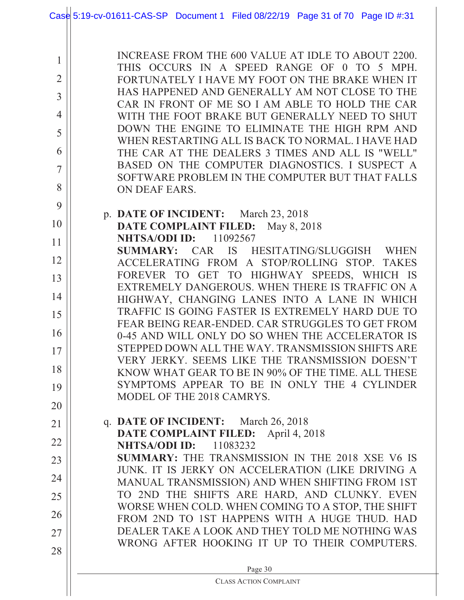|                | Case 5:19-cv-01611-CAS-SP Document 1 Filed 08/22/19 Page 31 of 70 Page ID #:31                        |
|----------------|-------------------------------------------------------------------------------------------------------|
|                |                                                                                                       |
| $\mathbf{1}$   | INCREASE FROM THE 600 VALUE AT IDLE TO ABOUT 2200.<br>THIS OCCURS IN A SPEED RANGE OF 0 TO 5 MPH.     |
| $\overline{2}$ | FORTUNATELY I HAVE MY FOOT ON THE BRAKE WHEN IT<br>HAS HAPPENED AND GENERALLY AM NOT CLOSE TO THE     |
| $\overline{3}$ | CAR IN FRONT OF ME SO I AM ABLE TO HOLD THE CAR                                                       |
| $\overline{4}$ | WITH THE FOOT BRAKE BUT GENERALLY NEED TO SHUT                                                        |
| 5              | DOWN THE ENGINE TO ELIMINATE THE HIGH RPM AND                                                         |
| 6              | WHEN RESTARTING ALL IS BACK TO NORMAL. I HAVE HAD<br>THE CAR AT THE DEALERS 3 TIMES AND ALL IS "WELL" |
| $\overline{7}$ | BASED ON THE COMPUTER DIAGNOSTICS. I SUSPECT A                                                        |
|                | SOFTWARE PROBLEM IN THE COMPUTER BUT THAT FALLS                                                       |
| 8              | ON DEAF EARS.                                                                                         |
| 9              | p. DATE OF INCIDENT: March 23, 2018                                                                   |
| 10             | DATE COMPLAINT FILED: May 8, 2018                                                                     |
| 11             | <b>NHTSA/ODI ID:</b> 11092567<br>CAR IS HESITATING/SLUGGISH WHEN<br><b>SUMMARY:</b>                   |
| 12             | ACCELERATING FROM A STOP/ROLLING STOP. TAKES                                                          |
| 13             | FOREVER TO GET TO HIGHWAY SPEEDS, WHICH IS                                                            |
| 14             | EXTREMELY DANGEROUS. WHEN THERE IS TRAFFIC ON A                                                       |
| 15             | HIGHWAY, CHANGING LANES INTO A LANE IN WHICH<br>TRAFFIC IS GOING FASTER IS EXTREMELY HARD DUE TO      |
|                | FEAR BEING REAR-ENDED. CAR STRUGGLES TO GET FROM                                                      |
| 16             | 0-45 AND WILL ONLY DO SO WHEN THE ACCELERATOR IS                                                      |
| 17             | STEPPED DOWN ALL THE WAY. TRANSMISSION SHIFTS ARE<br>VERY JERKY. SEEMS LIKE THE TRANSMISSION DOESN'T  |
| 18             | KNOW WHAT GEAR TO BE IN 90% OF THE TIME. ALL THESE                                                    |
| 19             | SYMPTOMS APPEAR TO BE IN ONLY THE 4 CYLINDER                                                          |
| 20             | MODEL OF THE 2018 CAMRYS.                                                                             |
| 21             | q. DATE OF INCIDENT: March 26, 2018                                                                   |
| 22             | <b>DATE COMPLAINT FILED:</b> April 4, 2018                                                            |
| 23             | <b>NHTSA/ODI ID:</b><br>11083232<br><b>SUMMARY:</b> THE TRANSMISSION IN THE 2018 XSE V6 IS            |
|                | JUNK. IT IS JERKY ON ACCELERATION (LIKE DRIVING A                                                     |
| 24             | MANUAL TRANSMISSION) AND WHEN SHIFTING FROM 1ST                                                       |
| 25             | TO 2ND THE SHIFTS ARE HARD, AND CLUNKY. EVEN<br>WORSE WHEN COLD. WHEN COMING TO A STOP, THE SHIFT     |
| 26             | FROM 2ND TO 1ST HAPPENS WITH A HUGE THUD. HAD                                                         |
| 27             | DEALER TAKE A LOOK AND THEY TOLD ME NOTHING WAS                                                       |
| 28             | WRONG AFTER HOOKING IT UP TO THEIR COMPUTERS.                                                         |
|                | Page 30                                                                                               |
|                | <b>CLASS ACTION COMPLAINT</b>                                                                         |
|                |                                                                                                       |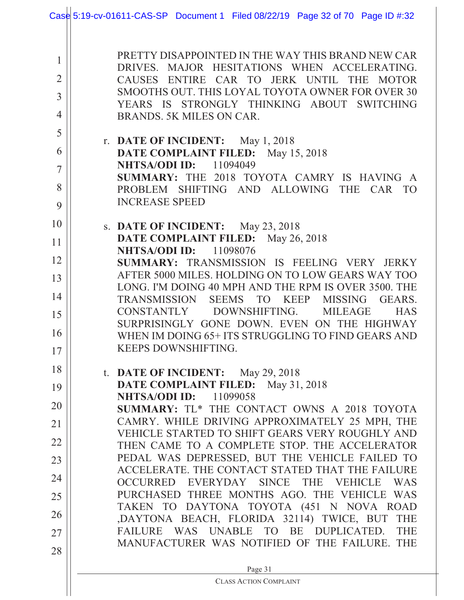|                                                                   | Case 5:19-cv-01611-CAS-SP Document 1 Filed 08/22/19 Page 32 of 70 Page ID #:32                                                                                                                                                                                                                                                                                                |
|-------------------------------------------------------------------|-------------------------------------------------------------------------------------------------------------------------------------------------------------------------------------------------------------------------------------------------------------------------------------------------------------------------------------------------------------------------------|
| 1<br>$\overline{2}$<br>$\overline{3}$<br>$\overline{4}$<br>5<br>6 | PRETTY DISAPPOINTED IN THE WAY THIS BRAND NEW CAR<br>DRIVES. MAJOR HESITATIONS WHEN ACCELERATING.<br>ENTIRE CAR TO JERK UNTIL THE<br><b>CAUSES</b><br><b>MOTOR</b><br>SMOOTHS OUT. THIS LOYAL TOYOTA OWNER FOR OVER 30<br>YEARS IS STRONGLY THINKING ABOUT SWITCHING<br>BRANDS. 5K MILES ON CAR.<br>r. DATE OF INCIDENT: May 1, 2018<br>DATE COMPLAINT FILED:<br>May 15, 2018 |
| $\overline{7}$<br>8<br>9                                          | <b>NHTSA/ODI ID:</b><br>11094049<br>SUMMARY: THE 2018 TOYOTA CAMRY IS HAVING A<br>PROBLEM SHIFTING AND ALLOWING<br><b>THE</b><br>CAR<br><b>TO</b><br><b>INCREASE SPEED</b>                                                                                                                                                                                                    |
| 10<br>11                                                          | s. DATE OF INCIDENT: May 23, 2018<br>DATE COMPLAINT FILED: May 26, 2018                                                                                                                                                                                                                                                                                                       |
| 12                                                                | <b>NHTSA/ODI ID:</b> 11098076<br>SUMMARY: TRANSMISSION IS FEELING VERY<br><b>JERKY</b>                                                                                                                                                                                                                                                                                        |
| 13                                                                | AFTER 5000 MILES. HOLDING ON TO LOW GEARS WAY TOO                                                                                                                                                                                                                                                                                                                             |
| 14                                                                | LONG. I'M DOING 40 MPH AND THE RPM IS OVER 3500. THE                                                                                                                                                                                                                                                                                                                          |
|                                                                   | TRANSMISSION<br>SEEMS TO<br><b>KEEP</b><br><b>MISSING</b><br>GEARS.<br>DOWNSHIFTING.<br><b>CONSTANTLY</b><br><b>MILEAGE</b><br><b>HAS</b>                                                                                                                                                                                                                                     |
| 15                                                                | SURPRISINGLY GONE DOWN. EVEN ON THE HIGHWAY                                                                                                                                                                                                                                                                                                                                   |
| 16                                                                | WHEN IM DOING 65+ ITS STRUGGLING TO FIND GEARS AND                                                                                                                                                                                                                                                                                                                            |
| 17                                                                | KEEPS DOWNSHIFTING.                                                                                                                                                                                                                                                                                                                                                           |
| 18                                                                | t. DATE OF INCIDENT: May $29, 2018$                                                                                                                                                                                                                                                                                                                                           |
| 19                                                                | DATE COMPLAINT FILED:<br>May 31, 2018<br>NHTSA/ODI ID:<br>11099058                                                                                                                                                                                                                                                                                                            |
| 20                                                                | SUMMARY: TL* THE CONTACT OWNS A 2018 TOYOTA                                                                                                                                                                                                                                                                                                                                   |
| 21                                                                | CAMRY. WHILE DRIVING APPROXIMATELY 25 MPH, THE                                                                                                                                                                                                                                                                                                                                |
| 22                                                                | VEHICLE STARTED TO SHIFT GEARS VERY ROUGHLY AND<br>THEN CAME TO A COMPLETE STOP. THE ACCELERATOR                                                                                                                                                                                                                                                                              |
| 23                                                                | PEDAL WAS DEPRESSED, BUT THE VEHICLE FAILED TO                                                                                                                                                                                                                                                                                                                                |
| 24                                                                | ACCELERATE. THE CONTACT STATED THAT THE FAILURE                                                                                                                                                                                                                                                                                                                               |
| 25                                                                | OCCURRED EVERYDAY SINCE THE VEHICLE<br><b>WAS</b><br>PURCHASED THREE MONTHS AGO. THE VEHICLE WAS                                                                                                                                                                                                                                                                              |
|                                                                   | TAKEN TO DAYTONA TOYOTA (451 N NOVA ROAD                                                                                                                                                                                                                                                                                                                                      |
| 26                                                                | ,DAYTONA BEACH, FLORIDA 32114) TWICE, BUT<br><b>THE</b>                                                                                                                                                                                                                                                                                                                       |
| 27                                                                | WAS UNABLE TO BE<br>DUPLICATED.<br><b>THE</b><br><b>FAILURE</b><br>MANUFACTURER WAS NOTIFIED OF THE FAILURE. THE                                                                                                                                                                                                                                                              |
| 28                                                                |                                                                                                                                                                                                                                                                                                                                                                               |
|                                                                   | Page 31<br><b>CLASS ACTION COMPLAINT</b>                                                                                                                                                                                                                                                                                                                                      |
|                                                                   |                                                                                                                                                                                                                                                                                                                                                                               |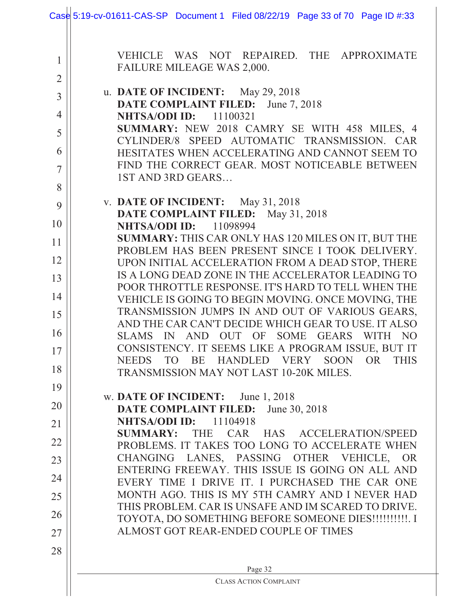|                | Case 5:19-cv-01611-CAS-SP Document 1 Filed 08/22/19 Page 33 of 70 Page ID #:33                                     |
|----------------|--------------------------------------------------------------------------------------------------------------------|
|                |                                                                                                                    |
| $\mathbf{1}$   | VEHICLE WAS NOT REPAIRED. THE APPROXIMATE<br>FAILURE MILEAGE WAS 2,000.                                            |
| $\overline{2}$ |                                                                                                                    |
| $\overline{3}$ | u. DATE OF INCIDENT: May 29, 2018                                                                                  |
| $\overline{4}$ | DATE COMPLAINT FILED: June 7, 2018<br><b>NHTSA/ODI ID:</b><br>11100321                                             |
|                | SUMMARY: NEW 2018 CAMRY SE WITH 458 MILES, 4                                                                       |
| 5              | CYLINDER/8 SPEED AUTOMATIC TRANSMISSION. CAR                                                                       |
| 6              | HESITATES WHEN ACCELERATING AND CANNOT SEEM TO                                                                     |
| $\overline{7}$ | FIND THE CORRECT GEAR. MOST NOTICEABLE BETWEEN<br><b>1ST AND 3RD GEARS</b>                                         |
| 8              |                                                                                                                    |
| 9              | v. DATE OF INCIDENT: May 31, 2018                                                                                  |
| 10             | DATE COMPLAINT FILED: May 31, 2018<br><b>NHTSA/ODI ID:</b><br>11098994                                             |
| 11             | SUMMARY: THIS CAR ONLY HAS 120 MILES ON IT, BUT THE                                                                |
|                | PROBLEM HAS BEEN PRESENT SINCE I TOOK DELIVERY.                                                                    |
| 12             | UPON INITIAL ACCELERATION FROM A DEAD STOP, THERE<br>IS A LONG DEAD ZONE IN THE ACCELERATOR LEADING TO             |
| 13             | POOR THROTTLE RESPONSE. IT'S HARD TO TELL WHEN THE                                                                 |
| 14             | VEHICLE IS GOING TO BEGIN MOVING. ONCE MOVING, THE                                                                 |
| 15             | TRANSMISSION JUMPS IN AND OUT OF VARIOUS GEARS,                                                                    |
| 16             | AND THE CAR CAN'T DECIDE WHICH GEAR TO USE. IT ALSO<br>SLAMS IN AND OUT OF<br>SOME<br>GEARS WITH<br>N <sub>O</sub> |
| 17             | CONSISTENCY. IT SEEMS LIKE A PROGRAM ISSUE, BUT IT                                                                 |
| 18             | TO BE HANDLED VERY SOON OR<br><b>THIS</b><br><b>NEEDS</b>                                                          |
|                | TRANSMISSION MAY NOT LAST 10-20K MILES.                                                                            |
| 19             | w. DATE OF INCIDENT: June 1, 2018                                                                                  |
| 20             | <b>DATE COMPLAINT FILED:</b> June 30, 2018                                                                         |
| 21             | <b>NHTSA/ODI ID:</b> 11104918<br>SUMMARY: THE CAR HAS ACCELERATION/SPEED                                           |
| 22             | PROBLEMS. IT TAKES TOO LONG TO ACCELERATE WHEN                                                                     |
| 23             | CHANGING LANES, PASSING OTHER VEHICLE,<br><b>OR</b>                                                                |
| 24             | ENTERING FREEWAY. THIS ISSUE IS GOING ON ALL AND<br>EVERY TIME I DRIVE IT. I PURCHASED THE CAR ONE                 |
| 25             | MONTH AGO. THIS IS MY 5TH CAMRY AND I NEVER HAD                                                                    |
|                | THIS PROBLEM. CAR IS UNSAFE AND IM SCARED TO DRIVE.                                                                |
| 26             | TOYOTA, DO SOMETHING BEFORE SOMEONE DIES!!!!!!!!!!!!!!                                                             |
| 27             | ALMOST GOT REAR-ENDED COUPLE OF TIMES                                                                              |
| 28             |                                                                                                                    |
|                | Page 32                                                                                                            |
|                | <b>CLASS ACTION COMPLAINT</b>                                                                                      |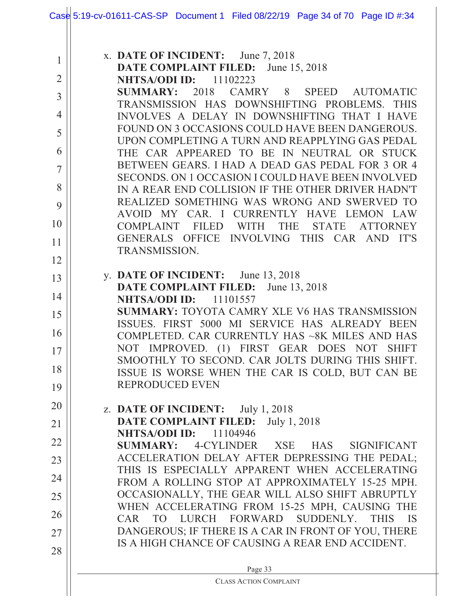|                | Case 5:19-cv-01611-CAS-SP Document 1 Filed 08/22/19 Page 34 of 70 Page ID #:34                          |
|----------------|---------------------------------------------------------------------------------------------------------|
|                |                                                                                                         |
| $\mathbf{1}$   | x. DATE OF INCIDENT: June 7, 2018                                                                       |
| $\overline{2}$ | <b>DATE COMPLAINT FILED:</b> June 15, 2018<br><b>NHTSA/ODI ID:</b><br>11102223                          |
| $\overline{3}$ | SUMMARY: 2018 CAMRY 8 SPEED AUTOMATIC                                                                   |
| $\overline{4}$ | TRANSMISSION HAS DOWNSHIFTING PROBLEMS. THIS<br>INVOLVES A DELAY IN DOWNSHIFTING THAT I HAVE            |
| 5              | FOUND ON 3 OCCASIONS COULD HAVE BEEN DANGEROUS.                                                         |
|                | UPON COMPLETING A TURN AND REAPPLYING GAS PEDAL                                                         |
| 6              | THE CAR APPEARED TO BE IN NEUTRAL OR STUCK<br>BETWEEN GEARS. I HAD A DEAD GAS PEDAL FOR 3 OR 4          |
| $\overline{7}$ | SECONDS. ON 1 OCCASION I COULD HAVE BEEN INVOLVED                                                       |
| 8              | IN A REAR END COLLISION IF THE OTHER DRIVER HADN'T                                                      |
| 9              | REALIZED SOMETHING WAS WRONG AND SWERVED TO<br>AVOID MY CAR. I CURRENTLY HAVE LEMON LAW                 |
| 10             | COMPLAINT<br><b>FILED</b><br><b>WITH</b><br><b>THE</b><br><b>STATE</b><br><b>ATTORNEY</b>               |
| 11             | GENERALS OFFICE INVOLVING THIS CAR AND<br>IT'S                                                          |
| 12             | TRANSMISSION.                                                                                           |
| 13             | y. DATE OF INCIDENT: June $13, 2018$                                                                    |
| 14             | <b>DATE COMPLAINT FILED:</b> June 13, 2018<br>11101557<br>NHTSA/ODI ID:                                 |
| 15             | <b>SUMMARY: TOYOTA CAMRY XLE V6 HAS TRANSMISSION</b>                                                    |
|                | ISSUES. FIRST 5000 MI SERVICE HAS ALREADY BEEN                                                          |
| 16             | COMPLETED. CAR CURRENTLY HAS ~8K MILES AND HAS<br>NOT IMPROVED. (1) FIRST GEAR DOES NOT SHIFT           |
| 17             | SMOOTHLY TO SECOND. CAR JOLTS DURING THIS SHIFT.                                                        |
| 18             | ISSUE IS WORSE WHEN THE CAR IS COLD, BUT CAN BE                                                         |
| 19             | <b>REPRODUCED EVEN</b>                                                                                  |
| 20             | z. DATE OF INCIDENT: $July 1, 2018$                                                                     |
| 21             | <b>DATE COMPLAINT FILED:</b> July 1, 2018                                                               |
| 22             | <b>NHTSA/ODI ID:</b> 11104946<br>SUMMARY: 4-CYLINDER XSE HAS SIGNIFICANT                                |
| 23             | ACCELERATION DELAY AFTER DEPRESSING THE PEDAL;                                                          |
| 24             | THIS IS ESPECIALLY APPARENT WHEN ACCELERATING                                                           |
| 25             | FROM A ROLLING STOP AT APPROXIMATELY 15-25 MPH.<br>OCCASIONALLY, THE GEAR WILL ALSO SHIFT ABRUPTLY      |
|                | WHEN ACCELERATING FROM 15-25 MPH, CAUSING THE                                                           |
| 26             | CAR TO LURCH FORWARD SUDDENLY. THIS IS                                                                  |
| 27             | DANGEROUS; IF THERE IS A CAR IN FRONT OF YOU, THERE<br>IS A HIGH CHANCE OF CAUSING A REAR END ACCIDENT. |
| 28             |                                                                                                         |
|                | Page 33<br><b>CLASS ACTION COMPLAINT</b>                                                                |
|                |                                                                                                         |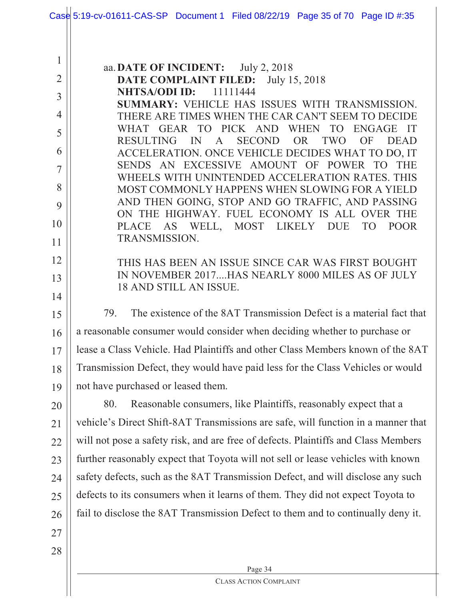|                | Case 5:19-cv-01611-CAS-SP Document 1 Filed 08/22/19 Page 35 of 70 Page ID #:35                                                      |
|----------------|-------------------------------------------------------------------------------------------------------------------------------------|
|                |                                                                                                                                     |
|                |                                                                                                                                     |
| $\mathbf{1}$   | aa. DATE OF INCIDENT: July 2, 2018                                                                                                  |
| $\overline{2}$ | <b>DATE COMPLAINT FILED:</b> July 15, 2018<br><b>NHTSA/ODI ID:</b> 11111444                                                         |
| $\overline{3}$ | <b>SUMMARY: VEHICLE HAS ISSUES WITH TRANSMISSION.</b>                                                                               |
| $\overline{4}$ | THERE ARE TIMES WHEN THE CAR CAN'T SEEM TO DECIDE                                                                                   |
| 5              | WHAT GEAR TO PICK AND WHEN TO ENGAGE IT                                                                                             |
| 6              | <b>SECOND</b><br><b>RESULTING</b><br>IN<br>OR<br>TWO<br>OF<br><b>DEAD</b><br>A<br>ACCELERATION. ONCE VEHICLE DECIDES WHAT TO DO, IT |
| $\overline{7}$ | SENDS AN EXCESSIVE AMOUNT OF POWER TO THE                                                                                           |
| 8              | WHEELS WITH UNINTENDED ACCELERATION RATES. THIS                                                                                     |
| 9              | MOST COMMONLY HAPPENS WHEN SLOWING FOR A YIELD<br>AND THEN GOING, STOP AND GO TRAFFIC, AND PASSING                                  |
|                | ON THE HIGHWAY. FUEL ECONOMY IS ALL OVER THE                                                                                        |
| 10             | AS WELL, MOST LIKELY DUE<br>TO T<br>PLACE<br><b>POOR</b><br><b>TRANSMISSION.</b>                                                    |
| 11             |                                                                                                                                     |
| 12             | THIS HAS BEEN AN ISSUE SINCE CAR WAS FIRST BOUGHT                                                                                   |
| 13             | IN NOVEMBER 2017HAS NEARLY 8000 MILES AS OF JULY<br>18 AND STILL AN ISSUE.                                                          |
| 14             |                                                                                                                                     |
| 15             | The existence of the 8AT Transmission Defect is a material fact that<br>79.                                                         |
| 16             | a reasonable consumer would consider when deciding whether to purchase or                                                           |
| 17             | lease a Class Vehicle. Had Plaintiffs and other Class Members known of the 8AT                                                      |
| 18             | Transmission Defect, they would have paid less for the Class Vehicles or would                                                      |
| 19             | not have purchased or leased them.                                                                                                  |
| 20             | 80.<br>Reasonable consumers, like Plaintiffs, reasonably expect that a                                                              |
| 21             | vehicle's Direct Shift-8AT Transmissions are safe, will function in a manner that                                                   |
| 22             | will not pose a safety risk, and are free of defects. Plaintiffs and Class Members                                                  |
| 23             | further reasonably expect that Toyota will not sell or lease vehicles with known                                                    |
| 24             | safety defects, such as the 8AT Transmission Defect, and will disclose any such                                                     |
| 25             | defects to its consumers when it learns of them. They did not expect Toyota to                                                      |
| 26             | fail to disclose the 8AT Transmission Defect to them and to continually deny it.                                                    |
| 27             |                                                                                                                                     |
| 28             |                                                                                                                                     |
|                | Page 34                                                                                                                             |
|                | <b>CLASS ACTION COMPLAINT</b>                                                                                                       |
|                |                                                                                                                                     |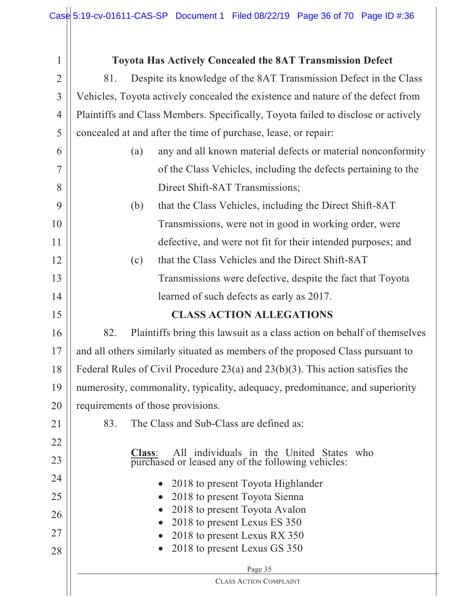| $\mathbf{1}$   | <b>Toyota Has Actively Concealed the 8AT Transmission Defect</b>                                                |
|----------------|-----------------------------------------------------------------------------------------------------------------|
| $\overline{2}$ | Despite its knowledge of the 8AT Transmission Defect in the Class<br>81.                                        |
| 3              | Vehicles, Toyota actively concealed the existence and nature of the defect from                                 |
| $\overline{4}$ | Plaintiffs and Class Members. Specifically, Toyota failed to disclose or actively                               |
| 5              | concealed at and after the time of purchase, lease, or repair:                                                  |
| 6              | any and all known material defects or material nonconformity<br>(a)                                             |
| 7              | of the Class Vehicles, including the defects pertaining to the                                                  |
| 8              | Direct Shift-8AT Transmissions;                                                                                 |
| 9              | that the Class Vehicles, including the Direct Shift-8AT<br>(b)                                                  |
| 10             | Transmissions, were not in good in working order, were                                                          |
| 11             | defective, and were not fit for their intended purposes; and                                                    |
| 12             | that the Class Vehicles and the Direct Shift-8AT<br>(c)                                                         |
| 13             | Transmissions were defective, despite the fact that Toyota                                                      |
| 14             | learned of such defects as early as 2017.                                                                       |
| 15             | <b>CLASS ACTION ALLEGATIONS</b>                                                                                 |
| 16             | 82.<br>Plaintiffs bring this lawsuit as a class action on behalf of themselves                                  |
| 17             | and all others similarly situated as members of the proposed Class pursuant to                                  |
| 18             | Federal Rules of Civil Procedure 23(a) and 23(b)(3). This action satisfies the                                  |
| 19             | numerosity, commonality, typicality, adequacy, predominance, and superiority                                    |
| 20             | requirements of those provisions.                                                                               |
| 21             | The Class and Sub-Class are defined as:<br>83.                                                                  |
| 22             |                                                                                                                 |
| 23             | All individuals in the United States who<br><b>Class:</b><br>purchased or leased any of the following vehicles: |
| 24             | 2018 to present Toyota Highlander<br>$\bullet$                                                                  |
| 25             | 2018 to present Toyota Sienna                                                                                   |
| 26             | 2018 to present Toyota Avalon                                                                                   |
| 27             | 2018 to present Lexus ES 350<br>2018 to present Lexus RX 350                                                    |
| 28             | 2018 to present Lexus GS 350                                                                                    |
|                | Page 35                                                                                                         |
|                | <b>CLASS ACTION COMPLAINT</b>                                                                                   |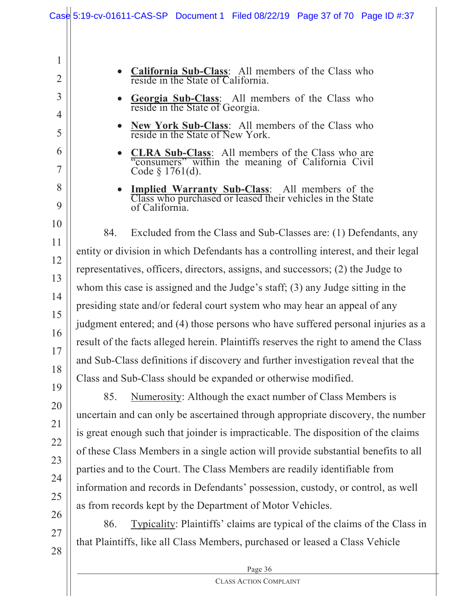|                     | Case $5:19$ -cv-01611-CAS-SP Document 1 Filed 08/22/19 Page 37 of 70 Page ID #:37                                                |
|---------------------|----------------------------------------------------------------------------------------------------------------------------------|
| 1<br>$\overline{2}$ | California Sub-Class: All members of the Class who<br>reside in the State of California.                                         |
| 3<br>4              | Georgia Sub-Class: All members of the Class who reside in the State of Georgia.                                                  |
| 5                   | New York Sub-Class: All members of the Class who<br>reside in the State of New York.                                             |
| 6<br>7              | <b>CLRA Sub-Class:</b> All members of the Class who are "consumers" within the meaning of California Civil"<br>Code $§$ 1761(d). |
| 8<br>9              | Implied Warranty Sub-Class: All members of the Class who purchased or leased their vehicles in the State<br>of California.       |
| 10<br>11            | 84.<br>Excluded from the Class and Sub-Classes are: (1) Defendants, any                                                          |
|                     | entity or division in which Defendants has a controlling interest, and their legal                                               |
| 12                  | representatives, officers, directors, assigns, and successors; (2) the Judge to                                                  |
| 13                  | whom this case is assigned and the Judge's staff; (3) any Judge sitting in the                                                   |
| 14                  | presiding state and/or federal court system who may hear an appeal of any                                                        |
| 15                  | judgment entered; and (4) those persons who have suffered personal injuries as a                                                 |
| 16                  | result of the facts alleged herein. Plaintiffs reserves the right to amend the Class                                             |
| 17                  | and Sub-Class definitions if discovery and further investigation reveal that the                                                 |
| 18                  | Class and Sub-Class should be expanded or otherwise modified.                                                                    |
| 19                  | Numerosity: Although the exact number of Class Members is<br>85.                                                                 |
| 20                  | uncertain and can only be ascertained through appropriate discovery, the number                                                  |
| 21                  | is great enough such that joinder is impracticable. The disposition of the claims                                                |
| 22                  | of these Class Members in a single action will provide substantial benefits to all                                               |
| 23                  | parties and to the Court. The Class Members are readily identifiable from                                                        |
| 24                  | information and records in Defendants' possession, custody, or control, as well                                                  |
| 25                  | as from records kept by the Department of Motor Vehicles.                                                                        |
| 26                  | Typicality: Plaintiffs' claims are typical of the claims of the Class in<br>86.                                                  |
| 27<br>$\bigcap$     | that Plaintiffs, like all Class Members, purchased or leased a Class Vehicle                                                     |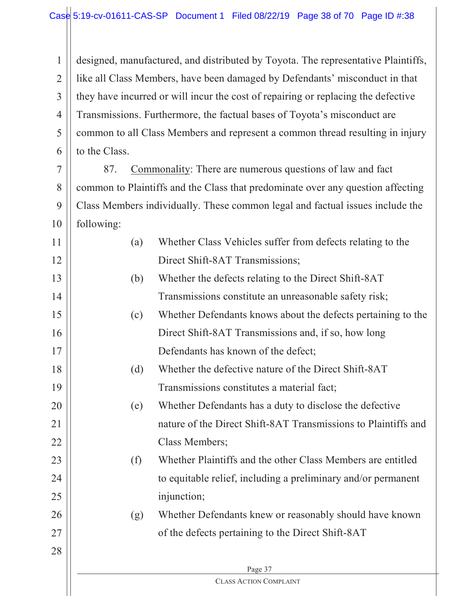1 2 3 4 5 6 designed, manufactured, and distributed by Toyota. The representative Plaintiffs, like all Class Members, have been damaged by Defendants' misconduct in that they have incurred or will incur the cost of repairing or replacing the defective Transmissions. Furthermore, the factual bases of Toyota's misconduct are common to all Class Members and represent a common thread resulting in injury to the Class.

7 8 9 10 87. Commonality: There are numerous questions of law and fact common to Plaintiffs and the Class that predominate over any question affecting Class Members individually. These common legal and factual issues include the following:

| 11 | Whether Class Vehicles suffer from defects relating to the<br>(a) |                                                                |  |
|----|-------------------------------------------------------------------|----------------------------------------------------------------|--|
| 12 |                                                                   | Direct Shift-8AT Transmissions;                                |  |
| 13 | (b)                                                               | Whether the defects relating to the Direct Shift-8AT           |  |
| 14 |                                                                   | Transmissions constitute an unreasonable safety risk;          |  |
| 15 | (c)                                                               | Whether Defendants knows about the defects pertaining to the   |  |
| 16 |                                                                   | Direct Shift-8AT Transmissions and, if so, how long            |  |
| 17 |                                                                   | Defendants has known of the defect;                            |  |
| 18 | (d)                                                               | Whether the defective nature of the Direct Shift-8AT           |  |
| 19 |                                                                   | Transmissions constitutes a material fact;                     |  |
| 20 | (e)                                                               | Whether Defendants has a duty to disclose the defective        |  |
| 21 |                                                                   | nature of the Direct Shift-8AT Transmissions to Plaintiffs and |  |
| 22 |                                                                   | Class Members;                                                 |  |
| 23 | (f)                                                               | Whether Plaintiffs and the other Class Members are entitled    |  |
| 24 |                                                                   | to equitable relief, including a preliminary and/or permanent  |  |
| 25 |                                                                   | injunction;                                                    |  |
| 26 | (g)                                                               | Whether Defendants knew or reasonably should have known        |  |
| 27 |                                                                   | of the defects pertaining to the Direct Shift-8AT              |  |
| 28 |                                                                   |                                                                |  |
|    |                                                                   | Page 37                                                        |  |
|    |                                                                   | CLASS ACTION COMPLAINT                                         |  |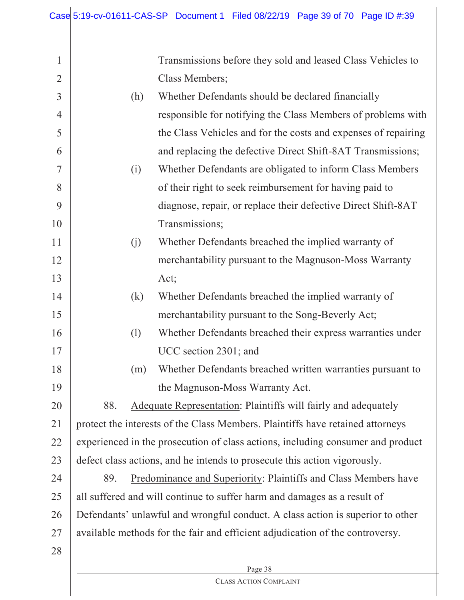Page 38 1 2 3 4 5 6 7 8 9 10 11 12 13 14 15 16 17 18 19 20 21 22 23 24 25 26 27 28 Transmissions before they sold and leased Class Vehicles to Class Members; (h) Whether Defendants should be declared financially responsible for notifying the Class Members of problems with the Class Vehicles and for the costs and expenses of repairing and replacing the defective Direct Shift-8AT Transmissions; (i) Whether Defendants are obligated to inform Class Members of their right to seek reimbursement for having paid to diagnose, repair, or replace their defective Direct Shift-8AT Transmissions; (j) Whether Defendants breached the implied warranty of merchantability pursuant to the Magnuson-Moss Warranty Act; (k) Whether Defendants breached the implied warranty of merchantability pursuant to the Song-Beverly Act; (l) Whether Defendants breached their express warranties under UCC section 2301; and (m) Whether Defendants breached written warranties pursuant to the Magnuson-Moss Warranty Act. 88. Adequate Representation: Plaintiffs will fairly and adequately protect the interests of the Class Members. Plaintiffs have retained attorneys experienced in the prosecution of class actions, including consumer and product defect class actions, and he intends to prosecute this action vigorously. 89. Predominance and Superiority: Plaintiffs and Class Members have all suffered and will continue to suffer harm and damages as a result of Defendants' unlawful and wrongful conduct. A class action is superior to other available methods for the fair and efficient adjudication of the controversy.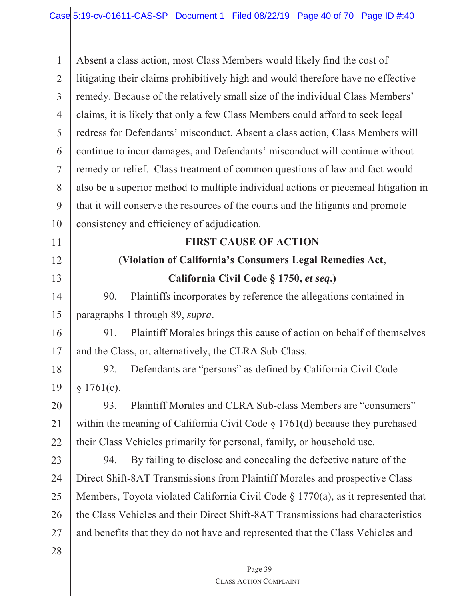Page 39 1 2 3 4 5 6 7 8 9 10 11 12 13 14 15 16 17 18 19 20 21 22 23 24 25 26 27 28 Absent a class action, most Class Members would likely find the cost of litigating their claims prohibitively high and would therefore have no effective remedy. Because of the relatively small size of the individual Class Members' claims, it is likely that only a few Class Members could afford to seek legal redress for Defendants' misconduct. Absent a class action, Class Members will continue to incur damages, and Defendants' misconduct will continue without remedy or relief. Class treatment of common questions of law and fact would also be a superior method to multiple individual actions or piecemeal litigation in that it will conserve the resources of the courts and the litigants and promote consistency and efficiency of adjudication. **FIRST CAUSE OF ACTION (Violation of California's Consumers Legal Remedies Act, California Civil Code § 1750,** *et seq***.)** 90. Plaintiffs incorporates by reference the allegations contained in paragraphs 1 through 89, *supra*. 91. Plaintiff Morales brings this cause of action on behalf of themselves and the Class, or, alternatively, the CLRA Sub-Class. 92. Defendants are "persons" as defined by California Civil Code § 1761(c). 93. Plaintiff Morales and CLRA Sub-class Members are "consumers" within the meaning of California Civil Code § 1761(d) because they purchased their Class Vehicles primarily for personal, family, or household use. 94. By failing to disclose and concealing the defective nature of the Direct Shift-8AT Transmissions from Plaintiff Morales and prospective Class Members, Toyota violated California Civil Code § 1770(a), as it represented that the Class Vehicles and their Direct Shift-8AT Transmissions had characteristics and benefits that they do not have and represented that the Class Vehicles and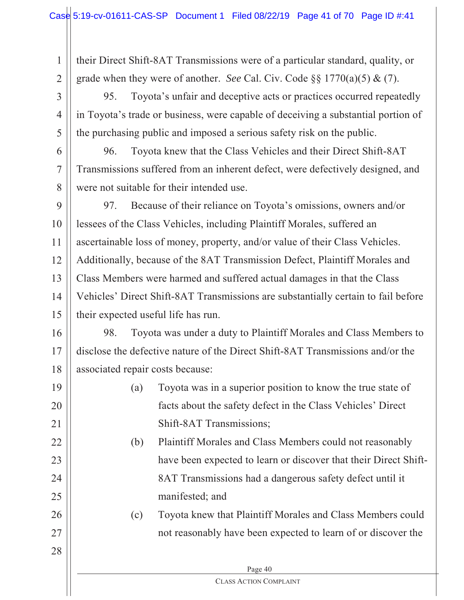their Direct Shift-8AT Transmissions were of a particular standard, quality, or grade when they were of another. *See* Cal. Civ. Code §§ 1770(a)(5) & (7).

3 4 5 95. Toyota's unfair and deceptive acts or practices occurred repeatedly in Toyota's trade or business, were capable of deceiving a substantial portion of the purchasing public and imposed a serious safety risk on the public.

6 7 8 96. Toyota knew that the Class Vehicles and their Direct Shift-8AT Transmissions suffered from an inherent defect, were defectively designed, and were not suitable for their intended use.

9 10 11 12 13 14 15 97. Because of their reliance on Toyota's omissions, owners and/or lessees of the Class Vehicles, including Plaintiff Morales, suffered an ascertainable loss of money, property, and/or value of their Class Vehicles. Additionally, because of the 8AT Transmission Defect, Plaintiff Morales and Class Members were harmed and suffered actual damages in that the Class Vehicles' Direct Shift-8AT Transmissions are substantially certain to fail before their expected useful life has run.

16 17 18 98. Toyota was under a duty to Plaintiff Morales and Class Members to disclose the defective nature of the Direct Shift-8AT Transmissions and/or the associated repair costs because:

19 20 21 (a) Toyota was in a superior position to know the true state of facts about the safety defect in the Class Vehicles' Direct Shift-8AT Transmissions;

> (b) Plaintiff Morales and Class Members could not reasonably have been expected to learn or discover that their Direct Shift-8AT Transmissions had a dangerous safety defect until it manifested; and

(c) Toyota knew that Plaintiff Morales and Class Members could not reasonably have been expected to learn of or discover the

> Page 40 CLASS ACTION COMPLAINT

28

27

22

23

24

25

26

1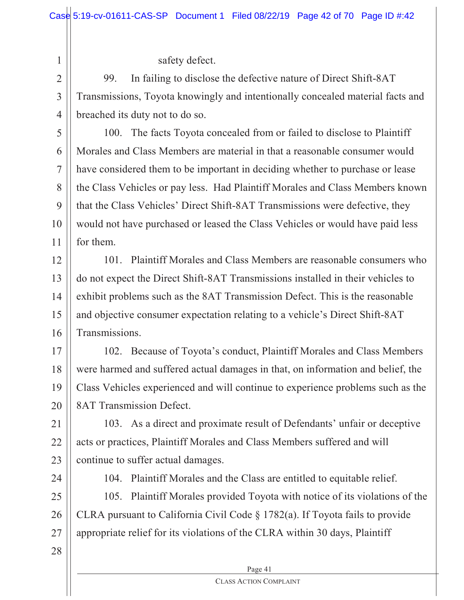safety defect.

99. In failing to disclose the defective nature of Direct Shift-8AT Transmissions, Toyota knowingly and intentionally concealed material facts and breached its duty not to do so.

5 6 7 8 9 10 11 100. The facts Toyota concealed from or failed to disclose to Plaintiff Morales and Class Members are material in that a reasonable consumer would have considered them to be important in deciding whether to purchase or lease the Class Vehicles or pay less. Had Plaintiff Morales and Class Members known that the Class Vehicles' Direct Shift-8AT Transmissions were defective, they would not have purchased or leased the Class Vehicles or would have paid less for them.

12 13 14 15 16 101. Plaintiff Morales and Class Members are reasonable consumers who do not expect the Direct Shift-8AT Transmissions installed in their vehicles to exhibit problems such as the 8AT Transmission Defect. This is the reasonable and objective consumer expectation relating to a vehicle's Direct Shift-8AT Transmissions.

17 18 19 20 102. Because of Toyota's conduct, Plaintiff Morales and Class Members were harmed and suffered actual damages in that, on information and belief, the Class Vehicles experienced and will continue to experience problems such as the 8AT Transmission Defect.

21 22 23 103. As a direct and proximate result of Defendants' unfair or deceptive acts or practices, Plaintiff Morales and Class Members suffered and will continue to suffer actual damages.

24

1

2

3

4

104. Plaintiff Morales and the Class are entitled to equitable relief.

25 26 27 105. Plaintiff Morales provided Toyota with notice of its violations of the CLRA pursuant to California Civil Code § 1782(a). If Toyota fails to provide appropriate relief for its violations of the CLRA within 30 days, Plaintiff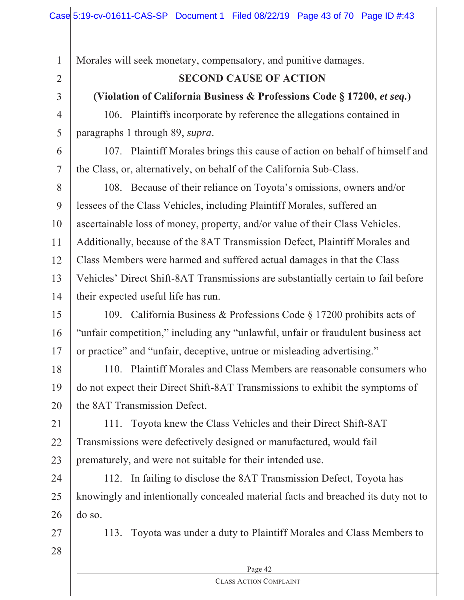Morales will seek monetary, compensatory, and punitive damages.

## **SECOND CAUSE OF ACTION**

## **(Violation of California Business & Professions Code § 17200,** *et seq.***)**

106. Plaintiffs incorporate by reference the allegations contained in paragraphs 1 through 89, *supra*.

107. Plaintiff Morales brings this cause of action on behalf of himself and the Class, or, alternatively, on behalf of the California Sub-Class.

8 9 10 11 12 13 14 108. Because of their reliance on Toyota's omissions, owners and/or lessees of the Class Vehicles, including Plaintiff Morales, suffered an ascertainable loss of money, property, and/or value of their Class Vehicles. Additionally, because of the 8AT Transmission Defect, Plaintiff Morales and Class Members were harmed and suffered actual damages in that the Class Vehicles' Direct Shift-8AT Transmissions are substantially certain to fail before their expected useful life has run.

15 16 17 109. California Business & Professions Code § 17200 prohibits acts of "unfair competition," including any "unlawful, unfair or fraudulent business act or practice" and "unfair, deceptive, untrue or misleading advertising."

18 19 20 110. Plaintiff Morales and Class Members are reasonable consumers who do not expect their Direct Shift-8AT Transmissions to exhibit the symptoms of the 8AT Transmission Defect.

21 22 23 111. Toyota knew the Class Vehicles and their Direct Shift-8AT Transmissions were defectively designed or manufactured, would fail prematurely, and were not suitable for their intended use.

24 25 26 112. In failing to disclose the 8AT Transmission Defect, Toyota has knowingly and intentionally concealed material facts and breached its duty not to do so.

27

1

2

3

4

5

6

7

28

113. Toyota was under a duty to Plaintiff Morales and Class Members to

Page 42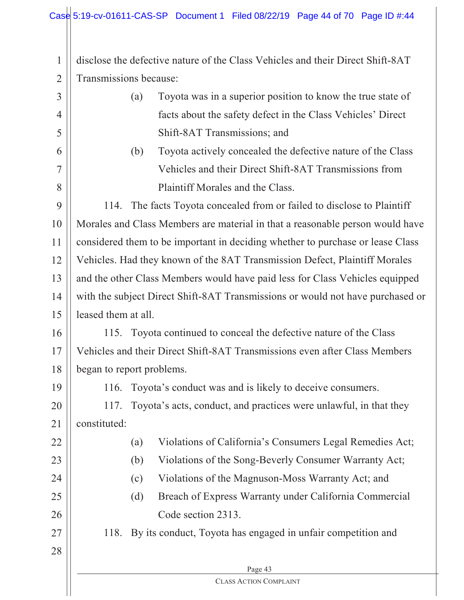1 2 disclose the defective nature of the Class Vehicles and their Direct Shift-8AT Transmissions because:

- 3 4 5 6 7 8 9 10 11 12 13 14 15 16 17 18 19 20 21 22 (a) Toyota was in a superior position to know the true state of facts about the safety defect in the Class Vehicles' Direct Shift-8AT Transmissions; and (b) Toyota actively concealed the defective nature of the Class Vehicles and their Direct Shift-8AT Transmissions from Plaintiff Morales and the Class. 114. The facts Toyota concealed from or failed to disclose to Plaintiff Morales and Class Members are material in that a reasonable person would have considered them to be important in deciding whether to purchase or lease Class Vehicles. Had they known of the 8AT Transmission Defect, Plaintiff Morales and the other Class Members would have paid less for Class Vehicles equipped with the subject Direct Shift-8AT Transmissions or would not have purchased or leased them at all. 115. Toyota continued to conceal the defective nature of the Class Vehicles and their Direct Shift-8AT Transmissions even after Class Members began to report problems. 116. Toyota's conduct was and is likely to deceive consumers. 117. Toyota's acts, conduct, and practices were unlawful, in that they constituted: (a) Violations of California's Consumers Legal Remedies Act;
	- (b) Violations of the Song-Beverly Consumer Warranty Act;
	- (c) Violations of the Magnuson-Moss Warranty Act; and
	- (d) Breach of Express Warranty under California Commercial Code section 2313.
	- 118. By its conduct, Toyota has engaged in unfair competition and
- 28

27

23

24

25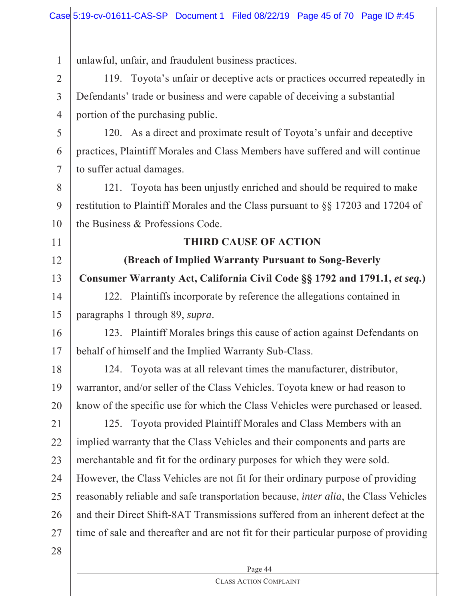1 2 3 4 5 6 7 8 9 10 11 12 13 14 15 16 17 18 19 20 21 22 23 24 25 26 27 28 unlawful, unfair, and fraudulent business practices. 119. Toyota's unfair or deceptive acts or practices occurred repeatedly in Defendants' trade or business and were capable of deceiving a substantial portion of the purchasing public. 120. As a direct and proximate result of Toyota's unfair and deceptive practices, Plaintiff Morales and Class Members have suffered and will continue to suffer actual damages. 121. Toyota has been unjustly enriched and should be required to make restitution to Plaintiff Morales and the Class pursuant to §§ 17203 and 17204 of the Business & Professions Code. **THIRD CAUSE OF ACTION (Breach of Implied Warranty Pursuant to Song-Beverly Consumer Warranty Act, California Civil Code §§ 1792 and 1791.1,** *et seq.***)** 122. Plaintiffs incorporate by reference the allegations contained in paragraphs 1 through 89, *supra*. 123. Plaintiff Morales brings this cause of action against Defendants on behalf of himself and the Implied Warranty Sub-Class. 124. Toyota was at all relevant times the manufacturer, distributor, warrantor, and/or seller of the Class Vehicles. Toyota knew or had reason to know of the specific use for which the Class Vehicles were purchased or leased. 125. Toyota provided Plaintiff Morales and Class Members with an implied warranty that the Class Vehicles and their components and parts are merchantable and fit for the ordinary purposes for which they were sold. However, the Class Vehicles are not fit for their ordinary purpose of providing reasonably reliable and safe transportation because, *inter alia*, the Class Vehicles and their Direct Shift-8AT Transmissions suffered from an inherent defect at the time of sale and thereafter and are not fit for their particular purpose of providing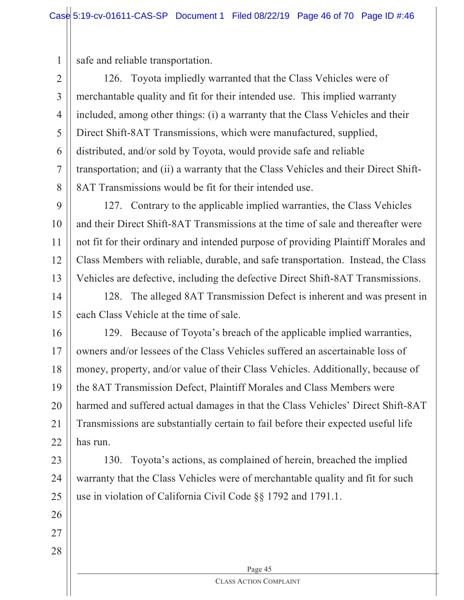safe and reliable transportation.

1

2 3 4 5 6 7 8 126. Toyota impliedly warranted that the Class Vehicles were of merchantable quality and fit for their intended use. This implied warranty included, among other things: (i) a warranty that the Class Vehicles and their Direct Shift-8AT Transmissions, which were manufactured, supplied, distributed, and/or sold by Toyota, would provide safe and reliable transportation; and (ii) a warranty that the Class Vehicles and their Direct Shift-8AT Transmissions would be fit for their intended use.

 $\mathbf Q$ 10 11 12 13 127. Contrary to the applicable implied warranties, the Class Vehicles and their Direct Shift-8AT Transmissions at the time of sale and thereafter were not fit for their ordinary and intended purpose of providing Plaintiff Morales and Class Members with reliable, durable, and safe transportation. Instead, the Class Vehicles are defective, including the defective Direct Shift-8AT Transmissions.

14 15 128. The alleged 8AT Transmission Defect is inherent and was present in each Class Vehicle at the time of sale.

16 17 18 19 20 21 22 129. Because of Toyota's breach of the applicable implied warranties, owners and/or lessees of the Class Vehicles suffered an ascertainable loss of money, property, and/or value of their Class Vehicles. Additionally, because of the 8AT Transmission Defect, Plaintiff Morales and Class Members were harmed and suffered actual damages in that the Class Vehicles' Direct Shift-8AT Transmissions are substantially certain to fail before their expected useful life has run.

23 24 25 130. Toyota's actions, as complained of herein, breached the implied warranty that the Class Vehicles were of merchantable quality and fit for such use in violation of California Civil Code §§ 1792 and 1791.1.

27

26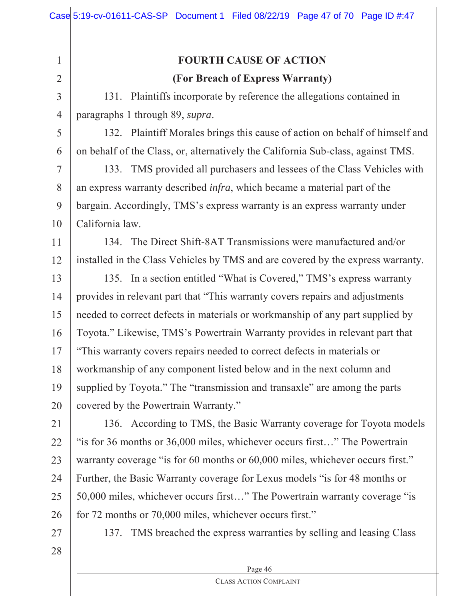3

4

5

6

7

8

9

10

1

## **FOURTH CAUSE OF ACTION (For Breach of Express Warranty)**

131. Plaintiffs incorporate by reference the allegations contained in paragraphs 1 through 89, *supra*.

132. Plaintiff Morales brings this cause of action on behalf of himself and on behalf of the Class, or, alternatively the California Sub-class, against TMS.

133. TMS provided all purchasers and lessees of the Class Vehicles with an express warranty described *infra*, which became a material part of the bargain. Accordingly, TMS's express warranty is an express warranty under California law.

11 12 134. The Direct Shift-8AT Transmissions were manufactured and/or installed in the Class Vehicles by TMS and are covered by the express warranty.

13 14 15 16 17 18 19 20 135. In a section entitled "What is Covered," TMS's express warranty provides in relevant part that "This warranty covers repairs and adjustments needed to correct defects in materials or workmanship of any part supplied by Toyota." Likewise, TMS's Powertrain Warranty provides in relevant part that "This warranty covers repairs needed to correct defects in materials or workmanship of any component listed below and in the next column and supplied by Toyota." The "transmission and transaxle" are among the parts covered by the Powertrain Warranty."

21 22 23 24 25 26 136. According to TMS, the Basic Warranty coverage for Toyota models "is for 36 months or 36,000 miles, whichever occurs first…" The Powertrain warranty coverage "is for 60 months or 60,000 miles, whichever occurs first." Further, the Basic Warranty coverage for Lexus models "is for 48 months or 50,000 miles, whichever occurs first…" The Powertrain warranty coverage "is for 72 months or 70,000 miles, whichever occurs first."

27

137. TMS breached the express warranties by selling and leasing Class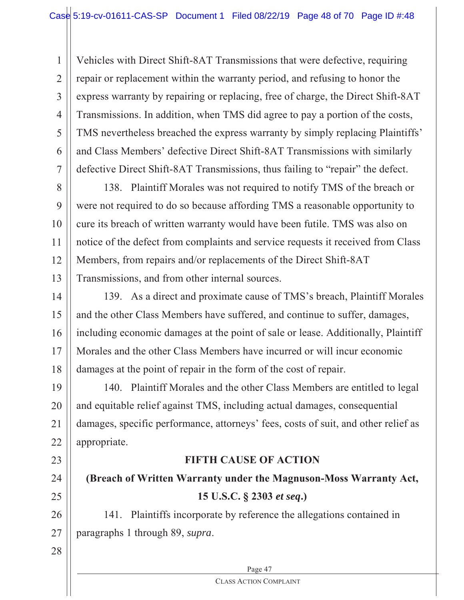1 2 3 4 5 6 7 Vehicles with Direct Shift-8AT Transmissions that were defective, requiring repair or replacement within the warranty period, and refusing to honor the express warranty by repairing or replacing, free of charge, the Direct Shift-8AT Transmissions. In addition, when TMS did agree to pay a portion of the costs, TMS nevertheless breached the express warranty by simply replacing Plaintiffs' and Class Members' defective Direct Shift-8AT Transmissions with similarly defective Direct Shift-8AT Transmissions, thus failing to "repair" the defect.

8 9 10 11 12 13 138. Plaintiff Morales was not required to notify TMS of the breach or were not required to do so because affording TMS a reasonable opportunity to cure its breach of written warranty would have been futile. TMS was also on notice of the defect from complaints and service requests it received from Class Members, from repairs and/or replacements of the Direct Shift-8AT Transmissions, and from other internal sources.

14 15 16 17 18 139. As a direct and proximate cause of TMS's breach, Plaintiff Morales and the other Class Members have suffered, and continue to suffer, damages, including economic damages at the point of sale or lease. Additionally, Plaintiff Morales and the other Class Members have incurred or will incur economic damages at the point of repair in the form of the cost of repair.

19 20 21 22 140. Plaintiff Morales and the other Class Members are entitled to legal and equitable relief against TMS, including actual damages, consequential damages, specific performance, attorneys' fees, costs of suit, and other relief as appropriate.

## **FIFTH CAUSE OF ACTION**

**(Breach of Written Warranty under the Magnuson-Moss Warranty Act, 15 U.S.C. § 2303** *et seq***.)**

26 27 141. Plaintiffs incorporate by reference the allegations contained in paragraphs 1 through 89, *supra*.

28

23

24

25

Page 47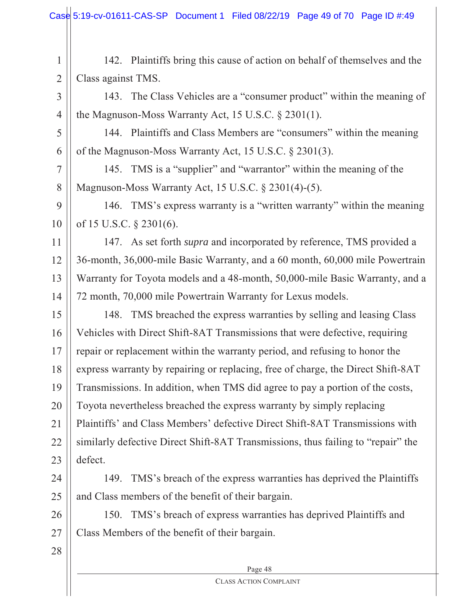1 2 142. Plaintiffs bring this cause of action on behalf of themselves and the Class against TMS.

3 4 143. The Class Vehicles are a "consumer product" within the meaning of the Magnuson-Moss Warranty Act, 15 U.S.C. § 2301(1).

5 6 144. Plaintiffs and Class Members are "consumers" within the meaning of the Magnuson-Moss Warranty Act, 15 U.S.C. § 2301(3).

145. TMS is a "supplier" and "warrantor" within the meaning of the Magnuson-Moss Warranty Act, 15 U.S.C. § 2301(4)-(5).

9 10 146. TMS's express warranty is a "written warranty" within the meaning of 15 U.S.C. § 2301(6).

11 12 13 14 147. As set forth *supra* and incorporated by reference, TMS provided a 36-month, 36,000-mile Basic Warranty, and a 60 month, 60,000 mile Powertrain Warranty for Toyota models and a 48-month, 50,000-mile Basic Warranty, and a 72 month, 70,000 mile Powertrain Warranty for Lexus models.

15 16 17 18 19 20 21 22 23 148. TMS breached the express warranties by selling and leasing Class Vehicles with Direct Shift-8AT Transmissions that were defective, requiring repair or replacement within the warranty period, and refusing to honor the express warranty by repairing or replacing, free of charge, the Direct Shift-8AT Transmissions. In addition, when TMS did agree to pay a portion of the costs, Toyota nevertheless breached the express warranty by simply replacing Plaintiffs' and Class Members' defective Direct Shift-8AT Transmissions with similarly defective Direct Shift-8AT Transmissions, thus failing to "repair" the defect.

24 25 149. TMS's breach of the express warranties has deprived the Plaintiffs and Class members of the benefit of their bargain.

26 27 150. TMS's breach of express warranties has deprived Plaintiffs and Class Members of the benefit of their bargain.

28

7

8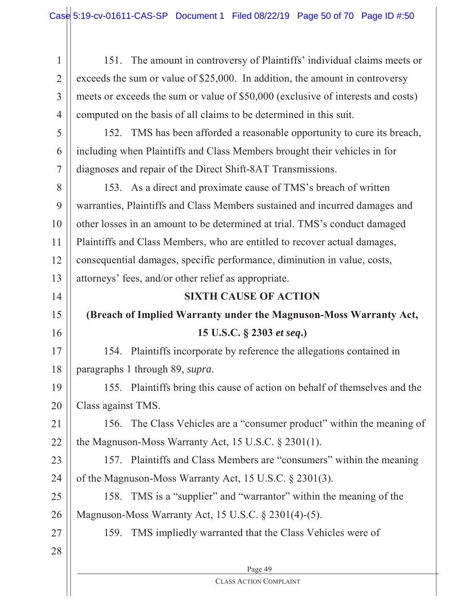1 2 3 4 151. The amount in controversy of Plaintiffs' individual claims meets or exceeds the sum or value of \$25,000. In addition, the amount in controversy meets or exceeds the sum or value of \$50,000 (exclusive of interests and costs) computed on the basis of all claims to be determined in this suit.

5 6 7 152. TMS has been afforded a reasonable opportunity to cure its breach, including when Plaintiffs and Class Members brought their vehicles in for diagnoses and repair of the Direct Shift-8AT Transmissions.

8 9 10 11 12 13 153. As a direct and proximate cause of TMS's breach of written warranties, Plaintiffs and Class Members sustained and incurred damages and other losses in an amount to be determined at trial. TMS's conduct damaged Plaintiffs and Class Members, who are entitled to recover actual damages, consequential damages, specific performance, diminution in value, costs, attorneys' fees, and/or other relief as appropriate.

## **SIXTH CAUSE OF ACTION**

## **(Breach of Implied Warranty under the Magnuson-Moss Warranty Act, 15 U.S.C. § 2303** *et seq***.)**

17 18 154. Plaintiffs incorporate by reference the allegations contained in paragraphs 1 through 89, *supra*.

19 20 155. Plaintiffs bring this cause of action on behalf of themselves and the Class against TMS.

21 22 156. The Class Vehicles are a "consumer product" within the meaning of the Magnuson-Moss Warranty Act, 15 U.S.C. § 2301(1).

23 24 157. Plaintiffs and Class Members are "consumers" within the meaning of the Magnuson-Moss Warranty Act, 15 U.S.C. § 2301(3).

25 26 158. TMS is a "supplier" and "warrantor" within the meaning of the Magnuson-Moss Warranty Act, 15 U.S.C. § 2301(4)-(5).

159. TMS impliedly warranted that the Class Vehicles were of

28

27

14

15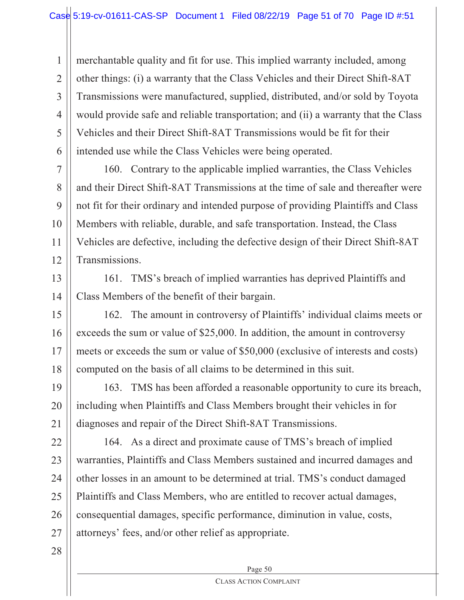1 2 3 4 5 6 merchantable quality and fit for use. This implied warranty included, among other things: (i) a warranty that the Class Vehicles and their Direct Shift-8AT Transmissions were manufactured, supplied, distributed, and/or sold by Toyota would provide safe and reliable transportation; and (ii) a warranty that the Class Vehicles and their Direct Shift-8AT Transmissions would be fit for their intended use while the Class Vehicles were being operated.

7 8 9 10 12 160. Contrary to the applicable implied warranties, the Class Vehicles and their Direct Shift-8AT Transmissions at the time of sale and thereafter were not fit for their ordinary and intended purpose of providing Plaintiffs and Class Members with reliable, durable, and safe transportation. Instead, the Class Vehicles are defective, including the defective design of their Direct Shift-8AT Transmissions.

13 14 161. TMS's breach of implied warranties has deprived Plaintiffs and Class Members of the benefit of their bargain.

15 16 17 18 162. The amount in controversy of Plaintiffs' individual claims meets or exceeds the sum or value of \$25,000. In addition, the amount in controversy meets or exceeds the sum or value of \$50,000 (exclusive of interests and costs) computed on the basis of all claims to be determined in this suit.

19 20 21 163. TMS has been afforded a reasonable opportunity to cure its breach, including when Plaintiffs and Class Members brought their vehicles in for diagnoses and repair of the Direct Shift-8AT Transmissions.

22 23 24 25 26 27 164. As a direct and proximate cause of TMS's breach of implied warranties, Plaintiffs and Class Members sustained and incurred damages and other losses in an amount to be determined at trial. TMS's conduct damaged Plaintiffs and Class Members, who are entitled to recover actual damages, consequential damages, specific performance, diminution in value, costs, attorneys' fees, and/or other relief as appropriate.

28

11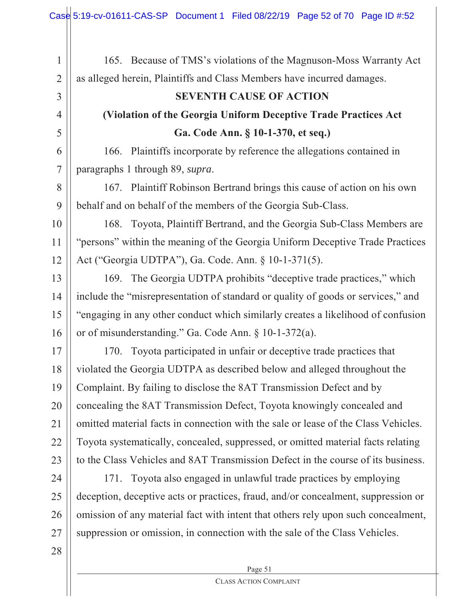| $\mathbf{1}$   | 165. Because of TMS's violations of the Magnuson-Moss Warranty Act                 |  |
|----------------|------------------------------------------------------------------------------------|--|
| $\overline{2}$ | as alleged herein, Plaintiffs and Class Members have incurred damages.             |  |
| 3              | <b>SEVENTH CAUSE OF ACTION</b>                                                     |  |
| $\overline{4}$ | (Violation of the Georgia Uniform Deceptive Trade Practices Act                    |  |
| 5              | Ga. Code Ann. § 10-1-370, et seq.)                                                 |  |
| 6              | 166. Plaintiffs incorporate by reference the allegations contained in              |  |
| $\overline{7}$ | paragraphs 1 through 89, supra.                                                    |  |
| 8              | 167. Plaintiff Robinson Bertrand brings this cause of action on his own            |  |
| 9              | behalf and on behalf of the members of the Georgia Sub-Class.                      |  |
| 10             | Toyota, Plaintiff Bertrand, and the Georgia Sub-Class Members are<br>168.          |  |
| 11             | "persons" within the meaning of the Georgia Uniform Deceptive Trade Practices      |  |
| 12             | Act ("Georgia UDTPA"), Ga. Code. Ann. § 10-1-371(5).                               |  |
| 13             | 169. The Georgia UDTPA prohibits "deceptive trade practices," which                |  |
| 14             | include the "misrepresentation of standard or quality of goods or services," and   |  |
| 15             | "engaging in any other conduct which similarly creates a likelihood of confusion   |  |
| 16             | or of misunderstanding." Ga. Code Ann. § 10-1-372(a).                              |  |
| 17             | 170. Toyota participated in unfair or deceptive trade practices that               |  |
| 18             | violated the Georgia UDTPA as described below and alleged throughout the           |  |
| 19             | Complaint. By failing to disclose the 8AT Transmission Defect and by               |  |
| 20             | concealing the 8AT Transmission Defect, Toyota knowingly concealed and             |  |
| 21             | omitted material facts in connection with the sale or lease of the Class Vehicles. |  |
| 22             | Toyota systematically, concealed, suppressed, or omitted material facts relating   |  |
| 23             | to the Class Vehicles and 8AT Transmission Defect in the course of its business.   |  |
| 24             | Toyota also engaged in unlawful trade practices by employing<br>171.               |  |
| 25             | deception, deceptive acts or practices, fraud, and/or concealment, suppression or  |  |
| 26             | omission of any material fact with intent that others rely upon such concealment,  |  |
| 27             | suppression or omission, in connection with the sale of the Class Vehicles.        |  |

Page 51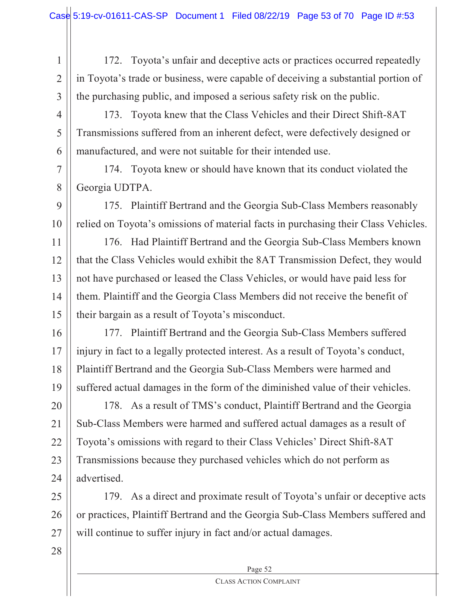2 3 172. Toyota's unfair and deceptive acts or practices occurred repeatedly in Toyota's trade or business, were capable of deceiving a substantial portion of the purchasing public, and imposed a serious safety risk on the public.

4

5

6

7

8

1

173. Toyota knew that the Class Vehicles and their Direct Shift-8AT Transmissions suffered from an inherent defect, were defectively designed or manufactured, and were not suitable for their intended use.

174. Toyota knew or should have known that its conduct violated the Georgia UDTPA.

 $\mathbf Q$ 10 175. Plaintiff Bertrand and the Georgia Sub-Class Members reasonably relied on Toyota's omissions of material facts in purchasing their Class Vehicles.

11 12 13 14 15 176. Had Plaintiff Bertrand and the Georgia Sub-Class Members known that the Class Vehicles would exhibit the 8AT Transmission Defect, they would not have purchased or leased the Class Vehicles, or would have paid less for them. Plaintiff and the Georgia Class Members did not receive the benefit of their bargain as a result of Toyota's misconduct.

16 17 18 19 177. Plaintiff Bertrand and the Georgia Sub-Class Members suffered injury in fact to a legally protected interest. As a result of Toyota's conduct, Plaintiff Bertrand and the Georgia Sub-Class Members were harmed and suffered actual damages in the form of the diminished value of their vehicles.

20 21 22 23 24 178. As a result of TMS's conduct, Plaintiff Bertrand and the Georgia Sub-Class Members were harmed and suffered actual damages as a result of Toyota's omissions with regard to their Class Vehicles' Direct Shift-8AT Transmissions because they purchased vehicles which do not perform as advertised.

25 26 27 179. As a direct and proximate result of Toyota's unfair or deceptive acts or practices, Plaintiff Bertrand and the Georgia Sub-Class Members suffered and will continue to suffer injury in fact and/or actual damages.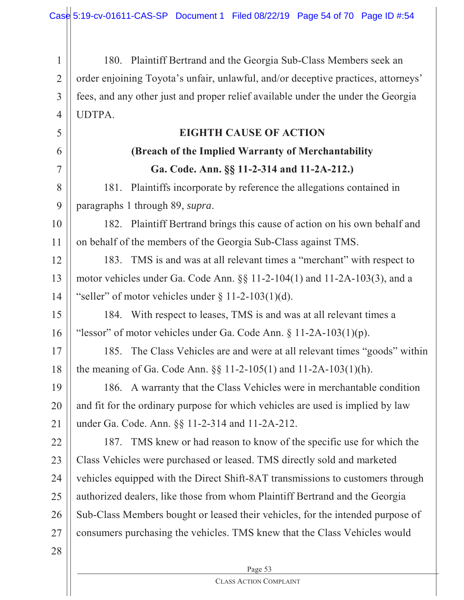1 2 3 4 180. Plaintiff Bertrand and the Georgia Sub-Class Members seek an order enjoining Toyota's unfair, unlawful, and/or deceptive practices, attorneys' fees, and any other just and proper relief available under the under the Georgia UDTPA.

| 5  | <b>EIGHTH CAUSE OF ACTION</b>                                                    |
|----|----------------------------------------------------------------------------------|
| 6  | (Breach of the Implied Warranty of Merchantability                               |
| 7  | Ga. Code. Ann. §§ 11-2-314 and 11-2A-212.)                                       |
| 8  | 181. Plaintiffs incorporate by reference the allegations contained in            |
| 9  | paragraphs 1 through 89, supra.                                                  |
| 10 | 182. Plaintiff Bertrand brings this cause of action on his own behalf and        |
| 11 | on behalf of the members of the Georgia Sub-Class against TMS.                   |
| 12 | 183. TMS is and was at all relevant times a "merchant" with respect to           |
| 13 | motor vehicles under Ga. Code Ann. $\S\S 11-2-104(1)$ and $11-2A-103(3)$ , and a |
| 14 | "seller" of motor vehicles under $\S 11-2-103(1)(d)$ .                           |
| 15 | 184. With respect to leases, TMS is and was at all relevant times a              |
| 16 | "lessor" of motor vehicles under Ga. Code Ann. § 11-2A-103(1)(p).                |
| 17 | 185. The Class Vehicles are and were at all relevant times "goods" within        |
| 18 | the meaning of Ga. Code Ann. $\S$ 11-2-105(1) and 11-2A-103(1)(h).               |
| 19 | 186. A warranty that the Class Vehicles were in merchantable condition           |
| 20 | and fit for the ordinary purpose for which vehicles are used is implied by law   |
| 21 | under Ga. Code. Ann. §§ 11-2-314 and 11-2A-212.                                  |
| 22 | 187. TMS knew or had reason to know of the specific use for which the            |
| 23 | Class Vehicles were purchased or leased. TMS directly sold and marketed          |
| 24 | vehicles equipped with the Direct Shift-8AT transmissions to customers through   |
| 25 | authorized dealers, like those from whom Plaintiff Bertrand and the Georgia      |
| 26 | Sub-Class Members bought or leased their vehicles, for the intended purpose of   |
| 27 | consumers purchasing the vehicles. TMS knew that the Class Vehicles would        |
| 28 |                                                                                  |

Page 53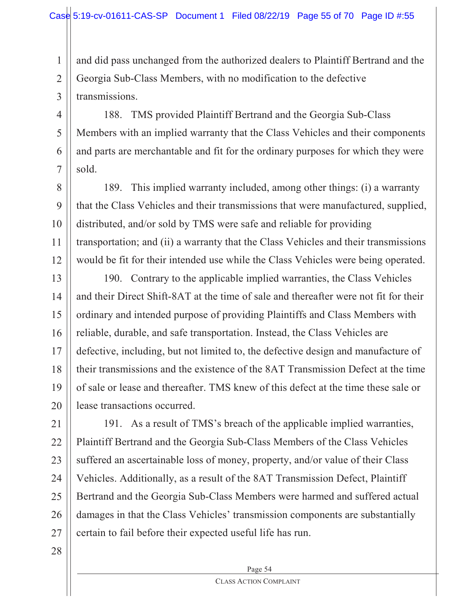and did pass unchanged from the authorized dealers to Plaintiff Bertrand and the Georgia Sub-Class Members, with no modification to the defective transmissions.

4 6 188. TMS provided Plaintiff Bertrand and the Georgia Sub-Class Members with an implied warranty that the Class Vehicles and their components and parts are merchantable and fit for the ordinary purposes for which they were sold.

8 9 10 11 12 189. This implied warranty included, among other things: (i) a warranty that the Class Vehicles and their transmissions that were manufactured, supplied, distributed, and/or sold by TMS were safe and reliable for providing transportation; and (ii) a warranty that the Class Vehicles and their transmissions would be fit for their intended use while the Class Vehicles were being operated.

13 14 15 16 17 18 19 20 190. Contrary to the applicable implied warranties, the Class Vehicles and their Direct Shift-8AT at the time of sale and thereafter were not fit for their ordinary and intended purpose of providing Plaintiffs and Class Members with reliable, durable, and safe transportation. Instead, the Class Vehicles are defective, including, but not limited to, the defective design and manufacture of their transmissions and the existence of the 8AT Transmission Defect at the time of sale or lease and thereafter. TMS knew of this defect at the time these sale or lease transactions occurred.

21 22 23 24 25 26 27 191. As a result of TMS's breach of the applicable implied warranties, Plaintiff Bertrand and the Georgia Sub-Class Members of the Class Vehicles suffered an ascertainable loss of money, property, and/or value of their Class Vehicles. Additionally, as a result of the 8AT Transmission Defect, Plaintiff Bertrand and the Georgia Sub-Class Members were harmed and suffered actual damages in that the Class Vehicles' transmission components are substantially certain to fail before their expected useful life has run.

28

1

2

3

5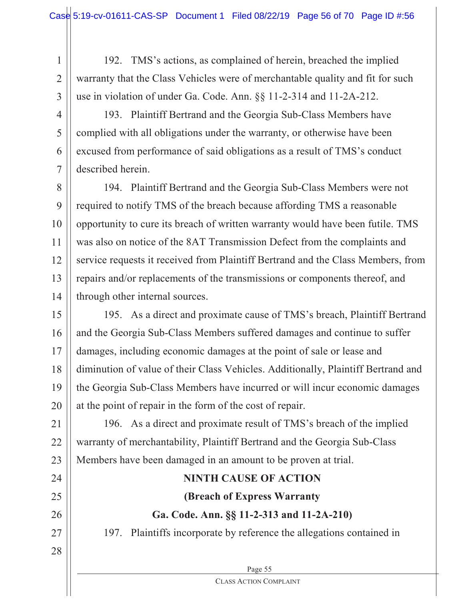192. TMS's actions, as complained of herein, breached the implied warranty that the Class Vehicles were of merchantable quality and fit for such use in violation of under Ga. Code. Ann. §§ 11-2-314 and 11-2A-212.

3 4

5

6

7

1

2

193. Plaintiff Bertrand and the Georgia Sub-Class Members have complied with all obligations under the warranty, or otherwise have been excused from performance of said obligations as a result of TMS's conduct described herein.

8 9 10 11 12 13 14 194. Plaintiff Bertrand and the Georgia Sub-Class Members were not required to notify TMS of the breach because affording TMS a reasonable opportunity to cure its breach of written warranty would have been futile. TMS was also on notice of the 8AT Transmission Defect from the complaints and service requests it received from Plaintiff Bertrand and the Class Members, from repairs and/or replacements of the transmissions or components thereof, and through other internal sources.

15 16 17 18 19 20 195. As a direct and proximate cause of TMS's breach, Plaintiff Bertrand and the Georgia Sub-Class Members suffered damages and continue to suffer damages, including economic damages at the point of sale or lease and diminution of value of their Class Vehicles. Additionally, Plaintiff Bertrand and the Georgia Sub-Class Members have incurred or will incur economic damages at the point of repair in the form of the cost of repair.

21 22 23 196. As a direct and proximate result of TMS's breach of the implied warranty of merchantability, Plaintiff Bertrand and the Georgia Sub-Class Members have been damaged in an amount to be proven at trial.

## Page 55 24 25 26 27 28 **NINTH CAUSE OF ACTION (Breach of Express Warranty Ga. Code. Ann. §§ 11-2-313 and 11-2A-210)** 197. Plaintiffs incorporate by reference the allegations contained in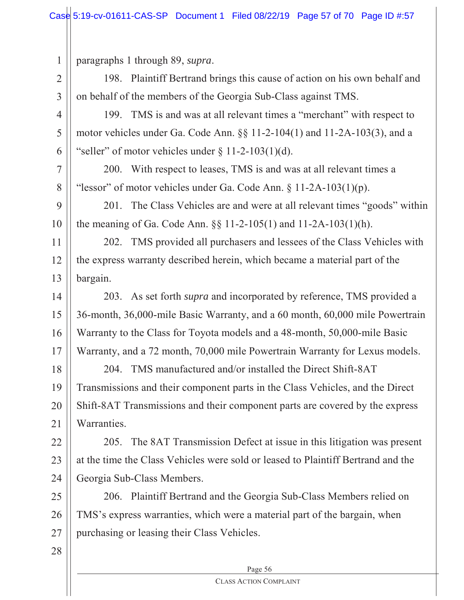paragraphs 1 through 89, *supra*.

1

2

3

4

5

6

7

8

198. Plaintiff Bertrand brings this cause of action on his own behalf and on behalf of the members of the Georgia Sub-Class against TMS.

199. TMS is and was at all relevant times a "merchant" with respect to motor vehicles under Ga. Code Ann. §§ 11-2-104(1) and 11-2A-103(3), and a "seller" of motor vehicles under  $\S 11-2-103(1)(d)$ .

200. With respect to leases, TMS is and was at all relevant times a "lessor" of motor vehicles under Ga. Code Ann.  $\S 11-2A-103(1)(p)$ .

 $\mathbf Q$ 10 201. The Class Vehicles are and were at all relevant times "goods" within the meaning of Ga. Code Ann. §§ 11-2-105(1) and 11-2A-103(1)(h).

11 12 13 202. TMS provided all purchasers and lessees of the Class Vehicles with the express warranty described herein, which became a material part of the bargain.

14 15 16 17 203. As set forth *supra* and incorporated by reference, TMS provided a 36-month, 36,000-mile Basic Warranty, and a 60 month, 60,000 mile Powertrain Warranty to the Class for Toyota models and a 48-month, 50,000-mile Basic Warranty, and a 72 month, 70,000 mile Powertrain Warranty for Lexus models.

18 19 20 21 204. TMS manufactured and/or installed the Direct Shift-8AT Transmissions and their component parts in the Class Vehicles, and the Direct Shift-8AT Transmissions and their component parts are covered by the express Warranties.

22 23 24 205. The 8AT Transmission Defect at issue in this litigation was present at the time the Class Vehicles were sold or leased to Plaintiff Bertrand and the Georgia Sub-Class Members.

25 26 27 206. Plaintiff Bertrand and the Georgia Sub-Class Members relied on TMS's express warranties, which were a material part of the bargain, when purchasing or leasing their Class Vehicles.

28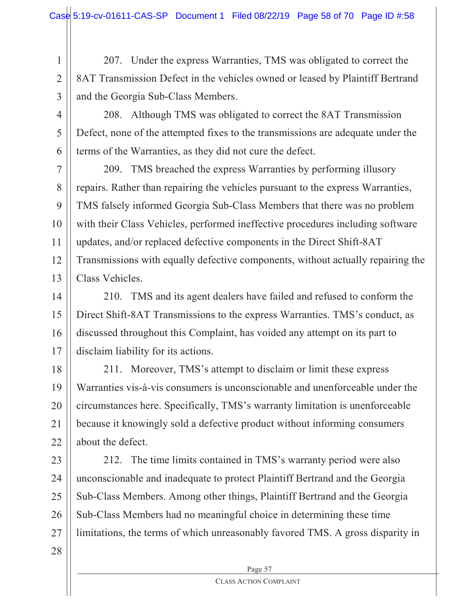2 207. Under the express Warranties, TMS was obligated to correct the 8AT Transmission Defect in the vehicles owned or leased by Plaintiff Bertrand and the Georgia Sub-Class Members.

3 4

5

6

1

208. Although TMS was obligated to correct the 8AT Transmission Defect, none of the attempted fixes to the transmissions are adequate under the terms of the Warranties, as they did not cure the defect.

7 8 9 10 11 12 13 209. TMS breached the express Warranties by performing illusory repairs. Rather than repairing the vehicles pursuant to the express Warranties, TMS falsely informed Georgia Sub-Class Members that there was no problem with their Class Vehicles, performed ineffective procedures including software updates, and/or replaced defective components in the Direct Shift-8AT Transmissions with equally defective components, without actually repairing the Class Vehicles.

14 15 16 17 210. TMS and its agent dealers have failed and refused to conform the Direct Shift-8AT Transmissions to the express Warranties. TMS's conduct, as discussed throughout this Complaint, has voided any attempt on its part to disclaim liability for its actions.

18 19 20 21 22 211. Moreover, TMS's attempt to disclaim or limit these express Warranties vis-à-vis consumers is unconscionable and unenforceable under the circumstances here. Specifically, TMS's warranty limitation is unenforceable because it knowingly sold a defective product without informing consumers about the defect.

23 24 25 26 27 212. The time limits contained in TMS's warranty period were also unconscionable and inadequate to protect Plaintiff Bertrand and the Georgia Sub-Class Members. Among other things, Plaintiff Bertrand and the Georgia Sub-Class Members had no meaningful choice in determining these time limitations, the terms of which unreasonably favored TMS. A gross disparity in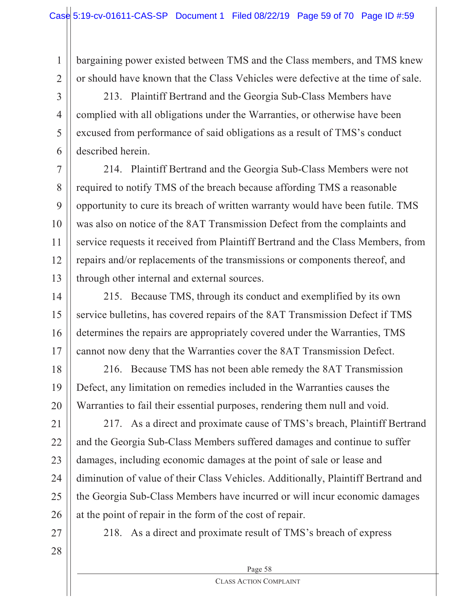bargaining power existed between TMS and the Class members, and TMS knew or should have known that the Class Vehicles were defective at the time of sale.

213. Plaintiff Bertrand and the Georgia Sub-Class Members have complied with all obligations under the Warranties, or otherwise have been excused from performance of said obligations as a result of TMS's conduct described herein.

7 8  $\mathbf Q$ 10 11 12 13 214. Plaintiff Bertrand and the Georgia Sub-Class Members were not required to notify TMS of the breach because affording TMS a reasonable opportunity to cure its breach of written warranty would have been futile. TMS was also on notice of the 8AT Transmission Defect from the complaints and service requests it received from Plaintiff Bertrand and the Class Members, from repairs and/or replacements of the transmissions or components thereof, and through other internal and external sources.

14 15 16 17 215. Because TMS, through its conduct and exemplified by its own service bulletins, has covered repairs of the 8AT Transmission Defect if TMS determines the repairs are appropriately covered under the Warranties, TMS cannot now deny that the Warranties cover the 8AT Transmission Defect.

18 19 20 216. Because TMS has not been able remedy the 8AT Transmission Defect, any limitation on remedies included in the Warranties causes the Warranties to fail their essential purposes, rendering them null and void.

21 22 23 24 25 26 217. As a direct and proximate cause of TMS's breach, Plaintiff Bertrand and the Georgia Sub-Class Members suffered damages and continue to suffer damages, including economic damages at the point of sale or lease and diminution of value of their Class Vehicles. Additionally, Plaintiff Bertrand and the Georgia Sub-Class Members have incurred or will incur economic damages at the point of repair in the form of the cost of repair.

27 28

1

2

3

4

5

6

218. As a direct and proximate result of TMS's breach of express

Page 58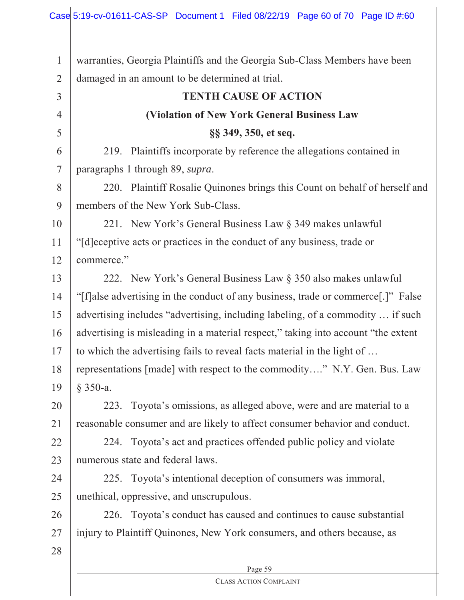Page 59 1 2 3 4 5 6 7 8 9 10 11 12 13 14 15 16 17 18 19 20 21 22 23 24 25 26 27 28 warranties, Georgia Plaintiffs and the Georgia Sub-Class Members have been damaged in an amount to be determined at trial. **TENTH CAUSE OF ACTION (Violation of New York General Business Law §§ 349, 350, et seq.** 219. Plaintiffs incorporate by reference the allegations contained in paragraphs 1 through 89, *supra*. 220. Plaintiff Rosalie Quinones brings this Count on behalf of herself and members of the New York Sub-Class. 221. New York's General Business Law § 349 makes unlawful "[d]eceptive acts or practices in the conduct of any business, trade or commerce." 222. New York's General Business Law § 350 also makes unlawful "[f]alse advertising in the conduct of any business, trade or commerce[.]" False advertising includes "advertising, including labeling, of a commodity … if such advertising is misleading in a material respect," taking into account "the extent to which the advertising fails to reveal facts material in the light of … representations [made] with respect to the commodity…." N.Y. Gen. Bus. Law § 350-a. 223. Toyota's omissions, as alleged above, were and are material to a reasonable consumer and are likely to affect consumer behavior and conduct. 224. Toyota's act and practices offended public policy and violate numerous state and federal laws. 225. Toyota's intentional deception of consumers was immoral, unethical, oppressive, and unscrupulous. 226. Toyota's conduct has caused and continues to cause substantial injury to Plaintiff Quinones, New York consumers, and others because, as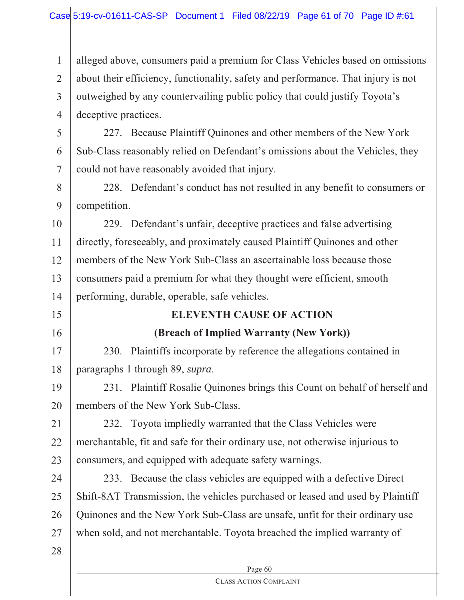1 2 3 4 alleged above, consumers paid a premium for Class Vehicles based on omissions about their efficiency, functionality, safety and performance. That injury is not outweighed by any countervailing public policy that could justify Toyota's deceptive practices.

5 6 7 227. Because Plaintiff Quinones and other members of the New York Sub-Class reasonably relied on Defendant's omissions about the Vehicles, they could not have reasonably avoided that injury.

8 9 228. Defendant's conduct has not resulted in any benefit to consumers or competition.

10 11 12 13 14 229. Defendant's unfair, deceptive practices and false advertising directly, foreseeably, and proximately caused Plaintiff Quinones and other members of the New York Sub-Class an ascertainable loss because those consumers paid a premium for what they thought were efficient, smooth performing, durable, operable, safe vehicles.

## **ELEVENTH CAUSE OF ACTION**

## **(Breach of Implied Warranty (New York))**

17 18 230. Plaintiffs incorporate by reference the allegations contained in paragraphs 1 through 89, *supra*.

19 20 231. Plaintiff Rosalie Quinones brings this Count on behalf of herself and members of the New York Sub-Class.

21 22 23 232. Toyota impliedly warranted that the Class Vehicles were merchantable, fit and safe for their ordinary use, not otherwise injurious to consumers, and equipped with adequate safety warnings.

24 25 26 27 233. Because the class vehicles are equipped with a defective Direct Shift-8AT Transmission, the vehicles purchased or leased and used by Plaintiff Quinones and the New York Sub-Class are unsafe, unfit for their ordinary use when sold, and not merchantable. Toyota breached the implied warranty of

28

15

16

Page 60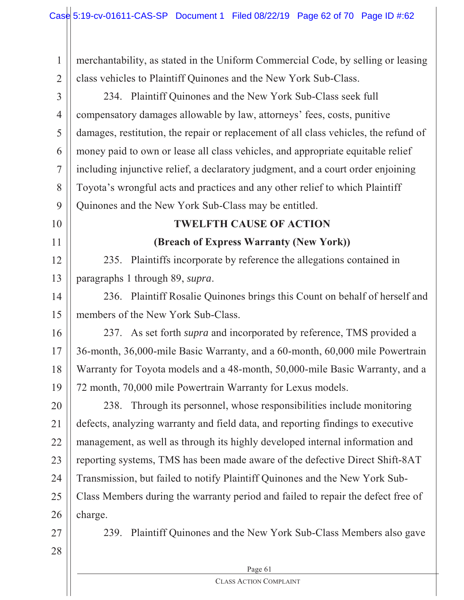1 2 merchantability, as stated in the Uniform Commercial Code, by selling or leasing class vehicles to Plaintiff Quinones and the New York Sub-Class.

3 4 5 6 7 8 9 234. Plaintiff Quinones and the New York Sub-Class seek full compensatory damages allowable by law, attorneys' fees, costs, punitive damages, restitution, the repair or replacement of all class vehicles, the refund of money paid to own or lease all class vehicles, and appropriate equitable relief including injunctive relief, a declaratory judgment, and a court order enjoining Toyota's wrongful acts and practices and any other relief to which Plaintiff Quinones and the New York Sub-Class may be entitled.

## **TWELFTH CAUSE OF ACTION**

**(Breach of Express Warranty (New York))**

12 13 235. Plaintiffs incorporate by reference the allegations contained in paragraphs 1 through 89, *supra*.

14 15 236. Plaintiff Rosalie Quinones brings this Count on behalf of herself and members of the New York Sub-Class.

16 17 18 19 237. As set forth *supra* and incorporated by reference, TMS provided a 36-month, 36,000-mile Basic Warranty, and a 60-month, 60,000 mile Powertrain Warranty for Toyota models and a 48-month, 50,000-mile Basic Warranty, and a 72 month, 70,000 mile Powertrain Warranty for Lexus models.

20 21 22 23 24 25 26 238. Through its personnel, whose responsibilities include monitoring defects, analyzing warranty and field data, and reporting findings to executive management, as well as through its highly developed internal information and reporting systems, TMS has been made aware of the defective Direct Shift-8AT Transmission, but failed to notify Plaintiff Quinones and the New York Sub-Class Members during the warranty period and failed to repair the defect free of charge.

27

10

11

28

239. Plaintiff Quinones and the New York Sub-Class Members also gave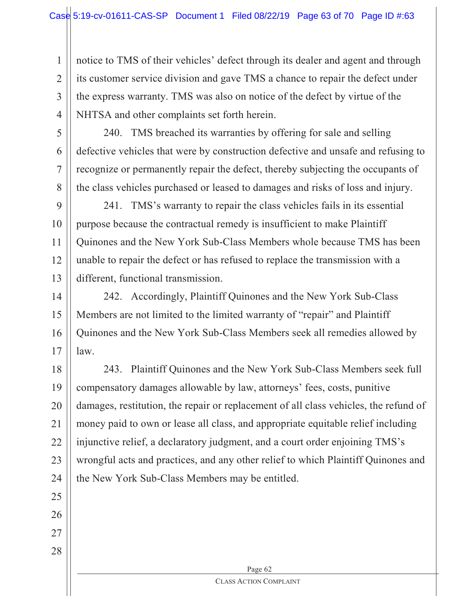2 3 4 notice to TMS of their vehicles' defect through its dealer and agent and through its customer service division and gave TMS a chance to repair the defect under the express warranty. TMS was also on notice of the defect by virtue of the NHTSA and other complaints set forth herein.

5 6

7

8

1

240. TMS breached its warranties by offering for sale and selling defective vehicles that were by construction defective and unsafe and refusing to recognize or permanently repair the defect, thereby subjecting the occupants of the class vehicles purchased or leased to damages and risks of loss and injury.

9 10 11 12 13 241. TMS's warranty to repair the class vehicles fails in its essential purpose because the contractual remedy is insufficient to make Plaintiff Quinones and the New York Sub-Class Members whole because TMS has been unable to repair the defect or has refused to replace the transmission with a different, functional transmission.

14 15 16 17 242. Accordingly, Plaintiff Quinones and the New York Sub-Class Members are not limited to the limited warranty of "repair" and Plaintiff Quinones and the New York Sub-Class Members seek all remedies allowed by law.

18 19 20 21 22 23 24 243. Plaintiff Quinones and the New York Sub-Class Members seek full compensatory damages allowable by law, attorneys' fees, costs, punitive damages, restitution, the repair or replacement of all class vehicles, the refund of money paid to own or lease all class, and appropriate equitable relief including injunctive relief, a declaratory judgment, and a court order enjoining TMS's wrongful acts and practices, and any other relief to which Plaintiff Quinones and the New York Sub-Class Members may be entitled.

25 26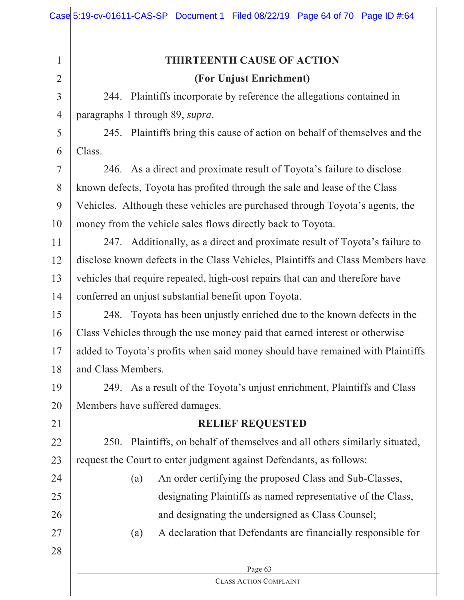| 1              | <b>THIRTEENTH CAUSE OF ACTION</b>                                                  |  |  |  |
|----------------|------------------------------------------------------------------------------------|--|--|--|
| $\overline{2}$ | (For Unjust Enrichment)                                                            |  |  |  |
| 3              | 244. Plaintiffs incorporate by reference the allegations contained in              |  |  |  |
| $\overline{4}$ | paragraphs 1 through 89, supra.                                                    |  |  |  |
| 5              | 245. Plaintiffs bring this cause of action on behalf of themselves and the         |  |  |  |
| 6              | Class.                                                                             |  |  |  |
| $\overline{7}$ | 246. As a direct and proximate result of Toyota's failure to disclose              |  |  |  |
| 8              | known defects, Toyota has profited through the sale and lease of the Class         |  |  |  |
| 9              | Vehicles. Although these vehicles are purchased through Toyota's agents, the       |  |  |  |
| 10             | money from the vehicle sales flows directly back to Toyota.                        |  |  |  |
| 11             | 247. Additionally, as a direct and proximate result of Toyota's failure to         |  |  |  |
| 12             | disclose known defects in the Class Vehicles, Plaintiffs and Class Members have    |  |  |  |
| 13             | vehicles that require repeated, high-cost repairs that can and therefore have      |  |  |  |
| 14             | conferred an unjust substantial benefit upon Toyota.                               |  |  |  |
| 15             | Toyota has been unjustly enriched due to the known defects in the<br>248.          |  |  |  |
| 16             | Class Vehicles through the use money paid that earned interest or otherwise        |  |  |  |
| 17             | added to Toyota's profits when said money should have remained with Plaintiffs     |  |  |  |
| 18             | and Class Members.                                                                 |  |  |  |
| 19             | 249. As a result of the Toyota's unjust enrichment, Plaintiffs and Class           |  |  |  |
| 20             | Members have suffered damages.                                                     |  |  |  |
| 21             | <b>RELIEF REQUESTED</b>                                                            |  |  |  |
| 22             | Plaintiffs, on behalf of themselves and all others similarly situated,<br>250.     |  |  |  |
| 23             | request the Court to enter judgment against Defendants, as follows:                |  |  |  |
| 24             | An order certifying the proposed Class and Sub-Classes,<br>(a)                     |  |  |  |
| 25             | designating Plaintiffs as named representative of the Class,                       |  |  |  |
| 26             | and designating the undersigned as Class Counsel;                                  |  |  |  |
| 27             | A declaration that Defendants are financially responsible for<br>$\left( a\right)$ |  |  |  |
| 28             |                                                                                    |  |  |  |
|                | Page 63                                                                            |  |  |  |
|                | <b>CLASS ACTION COMPLAINT</b>                                                      |  |  |  |

 $\mathbb{I}$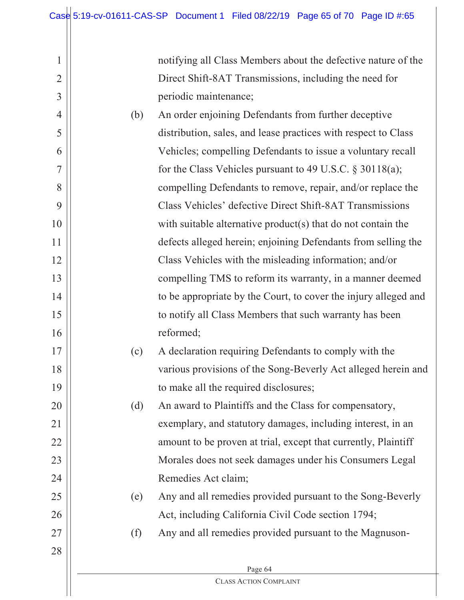notifying all Class Members about the defective nature of the Direct Shift-8AT Transmissions, including the need for periodic maintenance;

- 4 5 6 7 8 9 10 11 12 13 14 15 16 (b) An order enjoining Defendants from further deceptive distribution, sales, and lease practices with respect to Class Vehicles; compelling Defendants to issue a voluntary recall for the Class Vehicles pursuant to 49 U.S.C. § 30118(a); compelling Defendants to remove, repair, and/or replace the Class Vehicles' defective Direct Shift-8AT Transmissions with suitable alternative product(s) that do not contain the defects alleged herein; enjoining Defendants from selling the Class Vehicles with the misleading information; and/or compelling TMS to reform its warranty, in a manner deemed to be appropriate by the Court, to cover the injury alleged and to notify all Class Members that such warranty has been reformed;
	- (c) A declaration requiring Defendants to comply with the various provisions of the Song-Beverly Act alleged herein and to make all the required disclosures;

(d) An award to Plaintiffs and the Class for compensatory, exemplary, and statutory damages, including interest, in an amount to be proven at trial, except that currently, Plaintiff Morales does not seek damages under his Consumers Legal Remedies Act claim;

- (e) Any and all remedies provided pursuant to the Song-Beverly Act, including California Civil Code section 1794;
- (f) Any and all remedies provided pursuant to the Magnuson-

28

17

18

19

20

21

22

23

24

25

26

27

1

2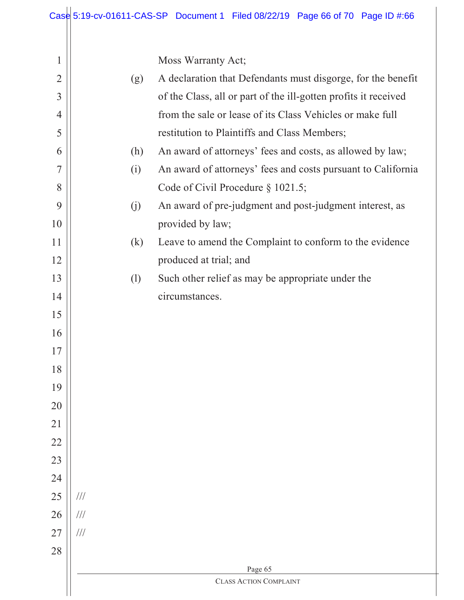Moss Warranty Act;

| $\overline{2}$ | (g)           | A declaration that Defendants must disgorge, for the benefit    |  |  |
|----------------|---------------|-----------------------------------------------------------------|--|--|
| $\overline{3}$ |               | of the Class, all or part of the ill-gotten profits it received |  |  |
| $\overline{4}$ |               | from the sale or lease of its Class Vehicles or make full       |  |  |
| 5              |               | restitution to Plaintiffs and Class Members;                    |  |  |
| 6              | (h)           | An award of attorneys' fees and costs, as allowed by law;       |  |  |
| 7              | (i)           | An award of attorneys' fees and costs pursuant to California    |  |  |
| 8              |               | Code of Civil Procedure § 1021.5;                               |  |  |
| 9              | (j)           | An award of pre-judgment and post-judgment interest, as         |  |  |
| 10             |               | provided by law;                                                |  |  |
| 11             | (k)           | Leave to amend the Complaint to conform to the evidence         |  |  |
| 12             |               | produced at trial; and                                          |  |  |
| 13             | (1)           | Such other relief as may be appropriate under the               |  |  |
| 14             |               | circumstances.                                                  |  |  |
| 15             |               |                                                                 |  |  |
| 16             |               |                                                                 |  |  |
| 17             |               |                                                                 |  |  |
| 18             |               |                                                                 |  |  |
| 19             |               |                                                                 |  |  |
| 20             |               |                                                                 |  |  |
| 21             |               |                                                                 |  |  |
| 22             |               |                                                                 |  |  |
| 23             |               |                                                                 |  |  |
| 24             |               |                                                                 |  |  |
| 25             | $\frac{1}{1}$ |                                                                 |  |  |
| 26             | $/\!/ /$      |                                                                 |  |  |
| 27             | $/\!/ /$      |                                                                 |  |  |
| 28             |               |                                                                 |  |  |
|                | Page 65       |                                                                 |  |  |
|                |               | <b>CLASS ACTION COMPLAINT</b>                                   |  |  |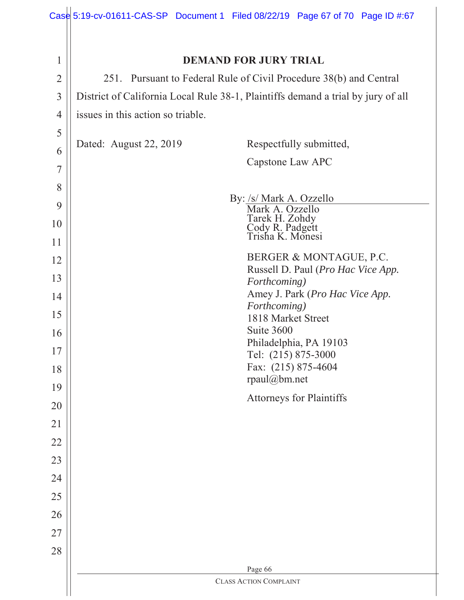|                | Case 5:19-cv-01611-CAS-SP Document 1 Filed 08/22/19 Page 67 of 70 Page ID #:67   |  |  |  |  |
|----------------|----------------------------------------------------------------------------------|--|--|--|--|
|                |                                                                                  |  |  |  |  |
| $\mathbf{1}$   | <b>DEMAND FOR JURY TRIAL</b>                                                     |  |  |  |  |
| $\overline{2}$ | 251. Pursuant to Federal Rule of Civil Procedure 38(b) and Central               |  |  |  |  |
| $\overline{3}$ | District of California Local Rule 38-1, Plaintiffs demand a trial by jury of all |  |  |  |  |
| $\overline{4}$ | issues in this action so triable.                                                |  |  |  |  |
| 5              |                                                                                  |  |  |  |  |
| 6              | Dated: August 22, 2019<br>Respectfully submitted,                                |  |  |  |  |
| $\overline{7}$ | Capstone Law APC                                                                 |  |  |  |  |
| 8              |                                                                                  |  |  |  |  |
| 9              | By: /s/ Mark A. Ozzello<br>Mark A. Ozzello                                       |  |  |  |  |
| 10             | Tarek H. Zohdy<br>Cody R. Padgett<br>Trisha K. Monesi                            |  |  |  |  |
| 11             |                                                                                  |  |  |  |  |
| 12             | BERGER & MONTAGUE, P.C.<br>Russell D. Paul (Pro Hac Vice App.                    |  |  |  |  |
| 13             | Forthcoming)                                                                     |  |  |  |  |
| 14             | Amey J. Park (Pro Hac Vice App.<br>Forthcoming)                                  |  |  |  |  |
| 15             | 1818 Market Street                                                               |  |  |  |  |
| 16             | Suite 3600<br>Philadelphia, PA 19103                                             |  |  |  |  |
| 17             | Tel: (215) 875-3000                                                              |  |  |  |  |
| 18             | Fax: (215) 875-4604<br>rpaul@bm.net                                              |  |  |  |  |
| 19             | <b>Attorneys for Plaintiffs</b>                                                  |  |  |  |  |
| 20             |                                                                                  |  |  |  |  |
| 21             |                                                                                  |  |  |  |  |
| 22             |                                                                                  |  |  |  |  |
| 23             |                                                                                  |  |  |  |  |
| 24             |                                                                                  |  |  |  |  |
| 25             |                                                                                  |  |  |  |  |
| 26             |                                                                                  |  |  |  |  |
| 27             |                                                                                  |  |  |  |  |
| 28             |                                                                                  |  |  |  |  |
|                | Page 66<br><b>CLASS ACTION COMPLAINT</b>                                         |  |  |  |  |
|                |                                                                                  |  |  |  |  |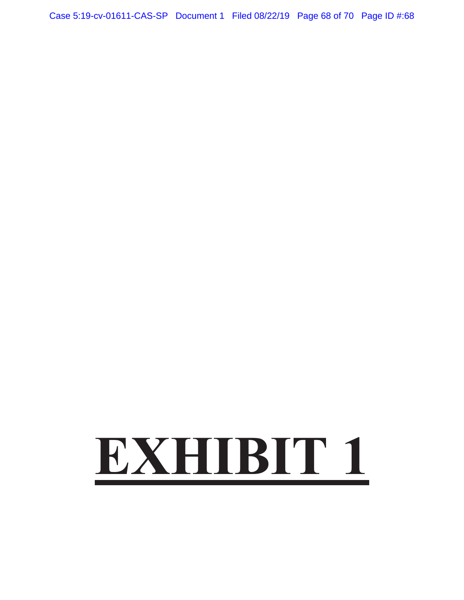Case 5:19-cv-01611-CAS-SP Document 1 Filed 08/22/19 Page 68 of 70 Page ID #:68

# **EXHIBIT 1**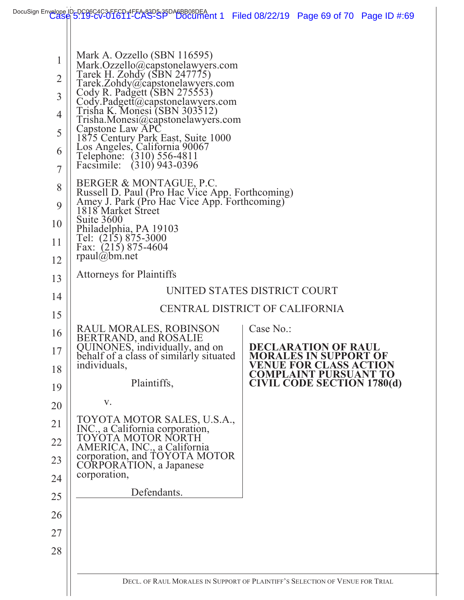|                                                                                                           |                                                                                                                                                                                                                                                                                                                                                                                                                                                                                                                                                                                                                                                                             | DocuSign Envelope ID-DC06C4C3-FFCD1FEA-83D5-35DA6BB08DEA<br>DocuMent 1 Filed 08/22/19 Page 69 of 70 Page ID #:69 |  |  |
|-----------------------------------------------------------------------------------------------------------|-----------------------------------------------------------------------------------------------------------------------------------------------------------------------------------------------------------------------------------------------------------------------------------------------------------------------------------------------------------------------------------------------------------------------------------------------------------------------------------------------------------------------------------------------------------------------------------------------------------------------------------------------------------------------------|------------------------------------------------------------------------------------------------------------------|--|--|
|                                                                                                           |                                                                                                                                                                                                                                                                                                                                                                                                                                                                                                                                                                                                                                                                             |                                                                                                                  |  |  |
| 1<br>$\overline{2}$<br>$\overline{3}$<br>$\overline{4}$<br>5<br>6<br>$\overline{7}$<br>8<br>9<br>10<br>11 | Mark A. Ozzello (SBN 116595)<br>Mark.Ozzello@capstonelawyers.com<br>Tarek H. Zohdy (SBN 247775)<br>Tarek.Zohdy@capstonelawyers.com<br>Cody R. Padgett (SBN 275553)<br>Cody.Padgett@capstonelawyers.com<br>Trisha K. Monesi (SBN 303512)<br>Trisha.Monesi@capstonelawyers.com<br>Capstone Law APC<br>1875 Century Park East, Suite 1000<br>Los Angeles, California 90067<br>Telephone: (310) 556-4811<br>Facsimile: (310) 943-0396<br>BERGER & MONTAGUE, P.C.<br>Russell D. Paul (Pro Hac Vice App. Forthcoming)<br>Amey J. Park (Pro Hac Vice App. Forthcoming)<br>1818 Market Street<br>Suite 3600<br>Philadelphia, PA 19103<br>Tel: (215) 875-3000<br>Fax: (215) 875-4604 |                                                                                                                  |  |  |
| 12                                                                                                        | rpaul(a)bm.net                                                                                                                                                                                                                                                                                                                                                                                                                                                                                                                                                                                                                                                              |                                                                                                                  |  |  |
| 13                                                                                                        | <b>Attorneys for Plaintiffs</b>                                                                                                                                                                                                                                                                                                                                                                                                                                                                                                                                                                                                                                             | UNITED STATES DISTRICT COURT                                                                                     |  |  |
| 14                                                                                                        |                                                                                                                                                                                                                                                                                                                                                                                                                                                                                                                                                                                                                                                                             | CENTRAL DISTRICT OF CALIFORNIA                                                                                   |  |  |
| 15                                                                                                        |                                                                                                                                                                                                                                                                                                                                                                                                                                                                                                                                                                                                                                                                             |                                                                                                                  |  |  |
| 16<br>17                                                                                                  | RAUL MORALES, ROBINSON<br>BERTRAND, and ROSALIE<br>QUINONES, individually, and on                                                                                                                                                                                                                                                                                                                                                                                                                                                                                                                                                                                           | Case No.:<br><b>DECLARATION OF RAUL</b>                                                                          |  |  |
| 18                                                                                                        | behalf of a class of similarly situated<br>individuals,                                                                                                                                                                                                                                                                                                                                                                                                                                                                                                                                                                                                                     | <b>MORALES IN SUPPORT OF</b><br>VENUE FOR CLASS ACTION<br><b>COMPLAINT PURSUANT TO</b>                           |  |  |
| 19                                                                                                        | Plaintiffs,                                                                                                                                                                                                                                                                                                                                                                                                                                                                                                                                                                                                                                                                 | <b>CIVIL CODE SECTION 1780(d)</b>                                                                                |  |  |
| 20                                                                                                        | V.                                                                                                                                                                                                                                                                                                                                                                                                                                                                                                                                                                                                                                                                          |                                                                                                                  |  |  |
| 21                                                                                                        | TOYOTA MOTOR SALES, U.S.A.,<br>INC., a California corporation,<br>TOYOTA MOTOR NORTH                                                                                                                                                                                                                                                                                                                                                                                                                                                                                                                                                                                        |                                                                                                                  |  |  |
| 22                                                                                                        | AMERICA, INC., a California                                                                                                                                                                                                                                                                                                                                                                                                                                                                                                                                                                                                                                                 |                                                                                                                  |  |  |
| 23                                                                                                        | corporation, and TOYOTA MOTOR<br>CORPORATION, a Japanese                                                                                                                                                                                                                                                                                                                                                                                                                                                                                                                                                                                                                    |                                                                                                                  |  |  |
| 24                                                                                                        | corporation,                                                                                                                                                                                                                                                                                                                                                                                                                                                                                                                                                                                                                                                                |                                                                                                                  |  |  |
| 25                                                                                                        | Defendants.                                                                                                                                                                                                                                                                                                                                                                                                                                                                                                                                                                                                                                                                 |                                                                                                                  |  |  |
| 26                                                                                                        |                                                                                                                                                                                                                                                                                                                                                                                                                                                                                                                                                                                                                                                                             |                                                                                                                  |  |  |
| 27                                                                                                        |                                                                                                                                                                                                                                                                                                                                                                                                                                                                                                                                                                                                                                                                             |                                                                                                                  |  |  |
| 28                                                                                                        |                                                                                                                                                                                                                                                                                                                                                                                                                                                                                                                                                                                                                                                                             |                                                                                                                  |  |  |
|                                                                                                           |                                                                                                                                                                                                                                                                                                                                                                                                                                                                                                                                                                                                                                                                             | DECL. OF RAUL MORALES IN SUPPORT OF PLAINTIFF'S SELECTION OF VENUE FOR TRIAL                                     |  |  |
|                                                                                                           |                                                                                                                                                                                                                                                                                                                                                                                                                                                                                                                                                                                                                                                                             |                                                                                                                  |  |  |